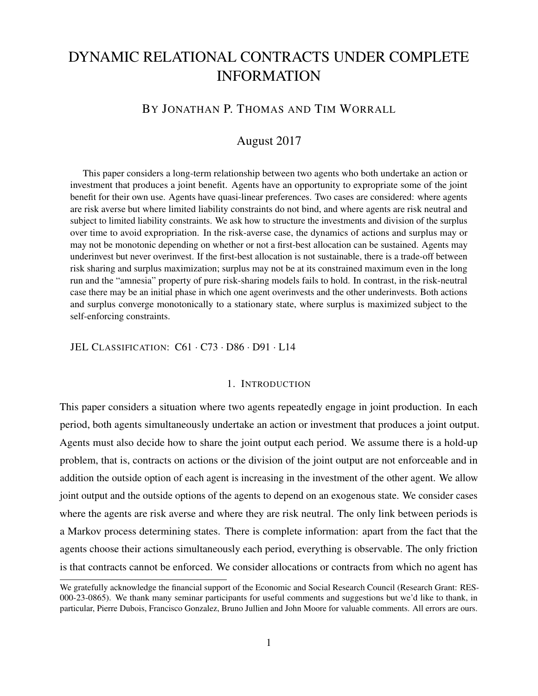# DYNAMIC RELATIONAL CONTRACTS UNDER COMPLETE INFORMATION

## BY JONATHAN P. THOMAS AND TIM WORRALL

## August 2017

This paper considers a long-term relationship between two agents who both undertake an action or investment that produces a joint benefit. Agents have an opportunity to expropriate some of the joint benefit for their own use. Agents have quasi-linear preferences. Two cases are considered: where agents are risk averse but where limited liability constraints do not bind, and where agents are risk neutral and subject to limited liability constraints. We ask how to structure the investments and division of the surplus over time to avoid expropriation. In the risk-averse case, the dynamics of actions and surplus may or may not be monotonic depending on whether or not a first-best allocation can be sustained. Agents may underinvest but never overinvest. If the first-best allocation is not sustainable, there is a trade-off between risk sharing and surplus maximization; surplus may not be at its constrained maximum even in the long run and the "amnesia" property of pure risk-sharing models fails to hold. In contrast, in the risk-neutral case there may be an initial phase in which one agent overinvests and the other underinvests. Both actions and surplus converge monotonically to a stationary state, where surplus is maximized subject to the self-enforcing constraints.

<span id="page-0-0"></span>JEL CLASSIFICATION: C61 · C73 · D86 · D91 · L14

## 1. INTRODUCTION

This paper considers a situation where two agents repeatedly engage in joint production. In each period, both agents simultaneously undertake an action or investment that produces a joint output. Agents must also decide how to share the joint output each period. We assume there is a hold-up problem, that is, contracts on actions or the division of the joint output are not enforceable and in addition the outside option of each agent is increasing in the investment of the other agent. We allow joint output and the outside options of the agents to depend on an exogenous state. We consider cases where the agents are risk averse and where they are risk neutral. The only link between periods is a Markov process determining states. There is complete information: apart from the fact that the agents choose their actions simultaneously each period, everything is observable. The only friction is that contracts cannot be enforced. We consider allocations or contracts from which no agent has

We gratefully acknowledge the financial support of the Economic and Social Research Council (Research Grant: RES-000-23-0865). We thank many seminar participants for useful comments and suggestions but we'd like to thank, in particular, Pierre Dubois, Francisco Gonzalez, Bruno Jullien and John Moore for valuable comments. All errors are ours.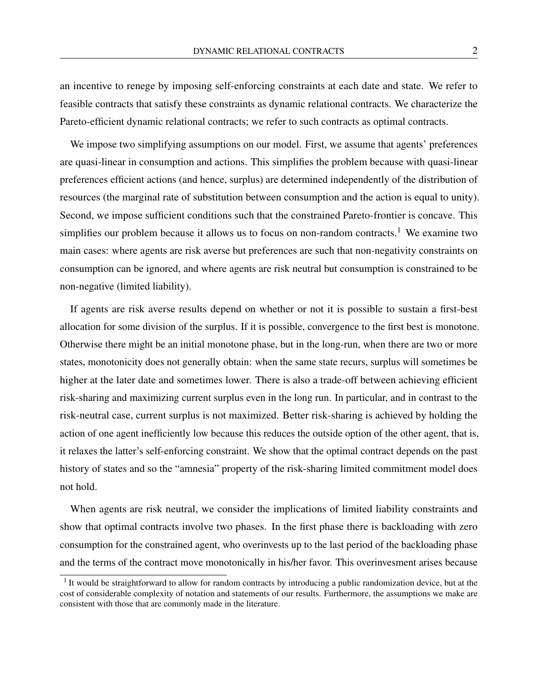an incentive to renege by imposing self-enforcing constraints at each date and state. We refer to feasible contracts that satisfy these constraints as dynamic relational contracts. We characterize the Pareto-efficient dynamic relational contracts; we refer to such contracts as optimal contracts.

We impose two simplifying assumptions on our model. First, we assume that agents' preferences are quasi-linear in consumption and actions. This simplifies the problem because with quasi-linear preferences efficient actions (and hence, surplus) are determined independently of the distribution of resources (the marginal rate of substitution between consumption and the action is equal to unity). Second, we impose sufficient conditions such that the constrained Pareto-frontier is concave. This simplifies our problem because it allows us to focus on non-random contracts.<sup>1</sup> We examine two main cases: where agents are risk averse but preferences are such that non-negativity constraints on consumption can be ignored, and where agents are risk neutral but consumption is constrained to be non-negative (limited liability).

If agents are risk averse results depend on whether or not it is possible to sustain a first-best allocation for some division of the surplus. If it is possible, convergence to the first best is monotone. Otherwise there might be an initial monotone phase, but in the long-run, when there are two or more states, monotonicity does not generally obtain: when the same state recurs, surplus will sometimes be higher at the later date and sometimes lower. There is also a trade-off between achieving efficient risk-sharing and maximizing current surplus even in the long run. In particular, and in contrast to the risk-neutral case, current surplus is not maximized. Better risk-sharing is achieved by holding the action of one agent inefficiently low because this reduces the outside option of the other agent, that is, it relaxes the latter's self-enforcing constraint. We show that the optimal contract depends on the past history of states and so the "amnesia" property of the risk-sharing limited commitment model does not hold.

When agents are risk neutral, we consider the implications of limited liability constraints and show that optimal contracts involve two phases. In the first phase there is backloading with zero consumption for the constrained agent, who overinvests up to the last period of the backloading phase and the terms of the contract move monotonically in his/her favor. This overinvesment arises because

<sup>&</sup>lt;sup>1</sup> It would be straightforward to allow for random contracts by introducing a public randomization device, but at the cost of considerable complexity of notation and statements of our results. Furthermore, the assumptions we make are consistent with those that are commonly made in the literature.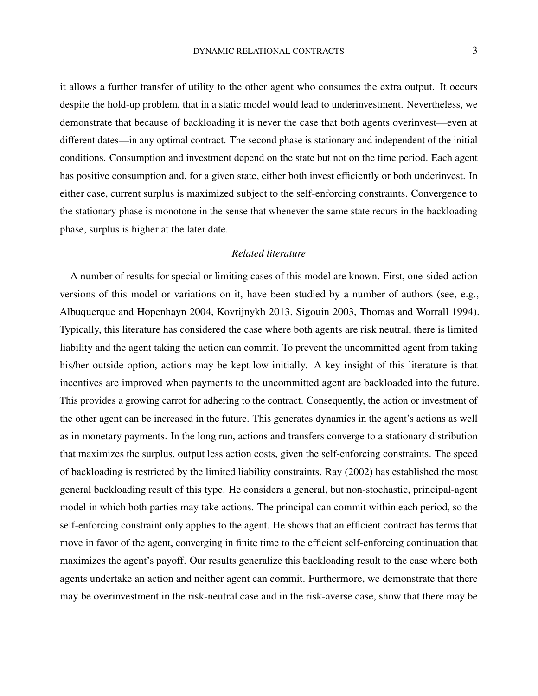it allows a further transfer of utility to the other agent who consumes the extra output. It occurs despite the hold-up problem, that in a static model would lead to underinvestment. Nevertheless, we demonstrate that because of backloading it is never the case that both agents overinvest—even at different dates—in any optimal contract. The second phase is stationary and independent of the initial conditions. Consumption and investment depend on the state but not on the time period. Each agent has positive consumption and, for a given state, either both invest efficiently or both underinvest. In either case, current surplus is maximized subject to the self-enforcing constraints. Convergence to the stationary phase is monotone in the sense that whenever the same state recurs in the backloading phase, surplus is higher at the later date.

## *Related literature*

A number of results for special or limiting cases of this model are known. First, one-sided-action versions of this model or variations on it, have been studied by a number of authors (see, e.g., [Albuquerque and Hopenhayn](#page-35-0) [2004,](#page-35-0) [Kovrijnykh](#page-36-0) [2013,](#page-36-0) [Sigouin](#page-37-0) [2003,](#page-37-0) [Thomas and Worrall](#page-37-1) [1994\)](#page-37-1). Typically, this literature has considered the case where both agents are risk neutral, there is limited liability and the agent taking the action can commit. To prevent the uncommitted agent from taking his/her outside option, actions may be kept low initially. A key insight of this literature is that incentives are improved when payments to the uncommitted agent are backloaded into the future. This provides a growing carrot for adhering to the contract. Consequently, the action or investment of the other agent can be increased in the future. This generates dynamics in the agent's actions as well as in monetary payments. In the long run, actions and transfers converge to a stationary distribution that maximizes the surplus, output less action costs, given the self-enforcing constraints. The speed of backloading is restricted by the limited liability constraints. [Ray](#page-37-2) [\(2002\)](#page-37-2) has established the most general backloading result of this type. He considers a general, but non-stochastic, principal-agent model in which both parties may take actions. The principal can commit within each period, so the self-enforcing constraint only applies to the agent. He shows that an efficient contract has terms that move in favor of the agent, converging in finite time to the efficient self-enforcing continuation that maximizes the agent's payoff. Our results generalize this backloading result to the case where both agents undertake an action and neither agent can commit. Furthermore, we demonstrate that there may be overinvestment in the risk-neutral case and in the risk-averse case, show that there may be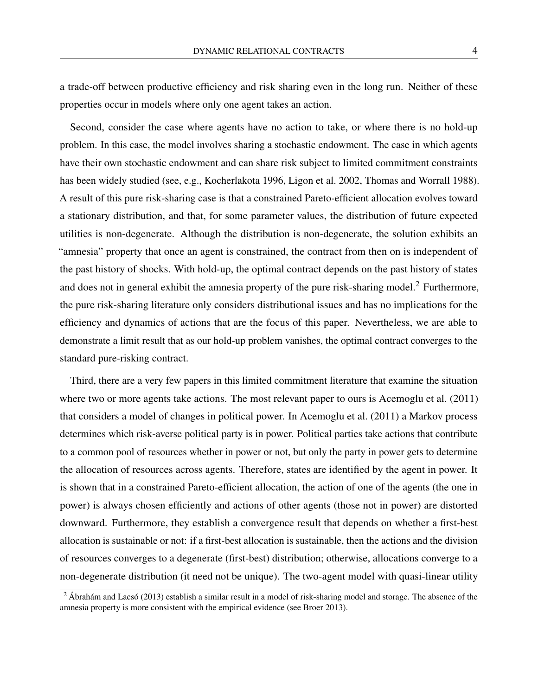a trade-off between productive efficiency and risk sharing even in the long run. Neither of these properties occur in models where only one agent takes an action.

Second, consider the case where agents have no action to take, or where there is no hold-up problem. In this case, the model involves sharing a stochastic endowment. The case in which agents have their own stochastic endowment and can share risk subject to limited commitment constraints has been widely studied (see, e.g., [Kocherlakota](#page-36-1) [1996,](#page-36-1) [Ligon et al.](#page-36-2) [2002,](#page-36-2) [Thomas and Worrall](#page-37-3) [1988\)](#page-37-3). A result of this pure risk-sharing case is that a constrained Pareto-efficient allocation evolves toward a stationary distribution, and that, for some parameter values, the distribution of future expected utilities is non-degenerate. Although the distribution is non-degenerate, the solution exhibits an "amnesia" property that once an agent is constrained, the contract from then on is independent of the past history of shocks. With hold-up, the optimal contract depends on the past history of states and does not in general exhibit the amnesia property of the pure risk-sharing model.<sup>2</sup> Furthermore, the pure risk-sharing literature only considers distributional issues and has no implications for the efficiency and dynamics of actions that are the focus of this paper. Nevertheless, we are able to demonstrate a limit result that as our hold-up problem vanishes, the optimal contract converges to the standard pure-risking contract.

Third, there are a very few papers in this limited commitment literature that examine the situation where two or more agents take actions. The most relevant paper to ours is [Acemoglu et al.](#page-35-1) [\(2011\)](#page-35-1) that considers a model of changes in political power. In [Acemoglu et al.](#page-35-1) [\(2011\)](#page-35-1) a Markov process determines which risk-averse political party is in power. Political parties take actions that contribute to a common pool of resources whether in power or not, but only the party in power gets to determine the allocation of resources across agents. Therefore, states are identified by the agent in power. It is shown that in a constrained Pareto-efficient allocation, the action of one of the agents (the one in power) is always chosen efficiently and actions of other agents (those not in power) are distorted downward. Furthermore, they establish a convergence result that depends on whether a first-best allocation is sustainable or not: if a first-best allocation is sustainable, then the actions and the division of resources converges to a degenerate (first-best) distribution; otherwise, allocations converge to a non-degenerate distribution (it need not be unique). The two-agent model with quasi-linear utility

 $2$  [Ábrahám and Lacsó](#page-35-2) [\(2013\)](#page-35-2) establish a similar result in a model of risk-sharing model and storage. The absence of the amnesia property is more consistent with the empirical evidence (see [Broer](#page-36-3) [2013\)](#page-36-3).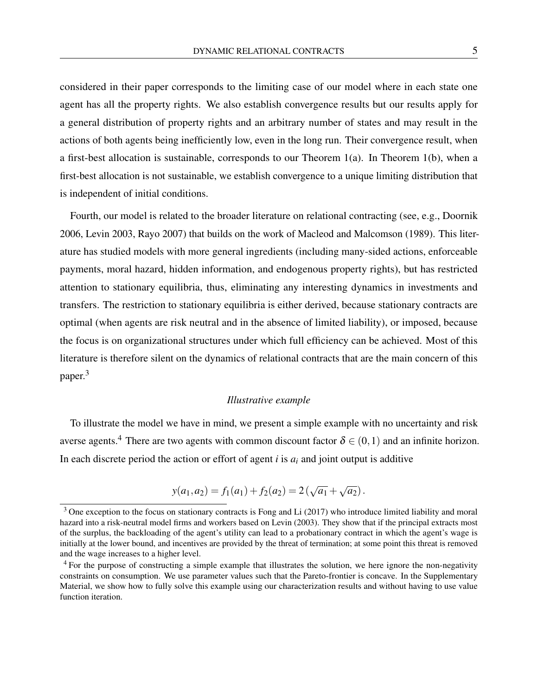considered in their paper corresponds to the limiting case of our model where in each state one agent has all the property rights. We also establish convergence results but our results apply for a general distribution of property rights and an arbitrary number of states and may result in the actions of both agents being inefficiently low, even in the long run. Their convergence result, when a first-best allocation is sustainable, corresponds to our Theorem [1\(](#page-20-0)a). In Theorem [1\(](#page-20-0)b), when a first-best allocation is not sustainable, we establish convergence to a unique limiting distribution that is independent of initial conditions.

Fourth, our model is related to the broader literature on relational contracting (see, e.g., [Doornik](#page-36-4) [2006,](#page-36-4) [Levin](#page-36-5) [2003,](#page-36-5) [Rayo](#page-37-4) [2007\)](#page-37-4) that builds on the work of [Macleod and Malcomson](#page-36-6) [\(1989\)](#page-36-6). This literature has studied models with more general ingredients (including many-sided actions, enforceable payments, moral hazard, hidden information, and endogenous property rights), but has restricted attention to stationary equilibria, thus, eliminating any interesting dynamics in investments and transfers. The restriction to stationary equilibria is either derived, because stationary contracts are optimal (when agents are risk neutral and in the absence of limited liability), or imposed, because the focus is on organizational structures under which full efficiency can be achieved. Most of this literature is therefore silent on the dynamics of relational contracts that are the main concern of this paper.<sup>3</sup>

#### *Illustrative example*

To illustrate the model we have in mind, we present a simple example with no uncertainty and risk averse agents.<sup>4</sup> There are two agents with common discount factor  $\delta \in (0,1)$  and an infinite horizon. In each discrete period the action or effort of agent  $i$  is  $a_i$  and joint output is additive

$$
y(a_1, a_2) = f_1(a_1) + f_2(a_2) = 2(\sqrt{a_1} + \sqrt{a_2}).
$$

<sup>&</sup>lt;sup>3</sup> One exception to the focus on stationary contracts is [Fong and Li](#page-36-7) [\(2017\)](#page-36-7) who introduce limited liability and moral hazard into a risk-neutral model firms and workers based on [Levin](#page-36-5) [\(2003\)](#page-36-5). They show that if the principal extracts most of the surplus, the backloading of the agent's utility can lead to a probationary contract in which the agent's wage is initially at the lower bound, and incentives are provided by the threat of termination; at some point this threat is removed and the wage increases to a higher level.

<sup>&</sup>lt;sup>4</sup> For the purpose of constructing a simple example that illustrates the solution, we here ignore the non-negativity constraints on consumption. We use parameter values such that the Pareto-frontier is concave. In the Supplementary Material, we show how to fully solve this example using our characterization results and without having to use value function iteration.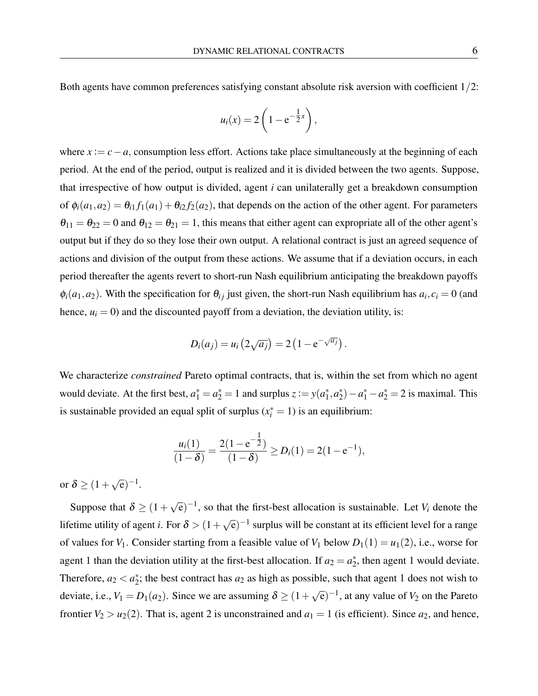Both agents have common preferences satisfying constant absolute risk aversion with coefficient 1/2:

$$
u_i(x) = 2\left(1 - e^{-\frac{1}{2}x}\right),
$$

where  $x := c - a$ , consumption less effort. Actions take place simultaneously at the beginning of each period. At the end of the period, output is realized and it is divided between the two agents. Suppose, that irrespective of how output is divided, agent *i* can unilaterally get a breakdown consumption of  $\phi_i(a_1, a_2) = \theta_{i1} f_1(a_1) + \theta_{i2} f_2(a_2)$ , that depends on the action of the other agent. For parameters  $\theta_{11} = \theta_{22} = 0$  and  $\theta_{12} = \theta_{21} = 1$ , this means that either agent can expropriate all of the other agent's output but if they do so they lose their own output. A relational contract is just an agreed sequence of actions and division of the output from these actions. We assume that if a deviation occurs, in each period thereafter the agents revert to short-run Nash equilibrium anticipating the breakdown payoffs  $\phi_i(a_1, a_2)$ . With the specification for  $\theta_{ij}$  just given, the short-run Nash equilibrium has  $a_i, c_i = 0$  (and hence,  $u_i = 0$ ) and the discounted payoff from a deviation, the deviation utility, is:

$$
D_i(a_j) = u_i\left(2\sqrt{a_j}\right) = 2\left(1 - e^{-\sqrt{a_j}}\right).
$$

We characterize *constrained* Pareto optimal contracts, that is, within the set from which no agent would deviate. At the first best,  $a_1^* = a_2^* = 1$  and surplus  $z := y(a_1^*)$  $i_1^*, a_2^*$  $x_2^*$ ) –  $a_1^*$  –  $a_2^*$  = 2 is maximal. This is sustainable provided an equal split of surplus  $(x_i^* = 1)$  is an equilibrium:

$$
\frac{u_i(1)}{(1-\delta)}=\frac{2(1-e^{-\frac{1}{2}})}{(1-\delta)}\ge D_i(1)=2(1-e^{-1}),
$$

or  $\delta \geq (1 +$ √  $\overline{e})^{-1}.$ 

Suppose that  $\delta \geq (1 +$ √  $\overline{e})^{-1}$ , so that the first-best allocation is sustainable. Let  $V_i$  denote the lifetime utility of agent *i*. For  $\delta > (1 +$ √  $\epsilon$ )<sup>-1</sup> surplus will be constant at its efficient level for a range of values for  $V_1$ . Consider starting from a feasible value of  $V_1$  below  $D_1(1) = u_1(2)$ , i.e., worse for agent 1 than the deviation utility at the first-best allocation. If  $a_2 = a_2^*$  $_{2}^{*}$ , then agent 1 would deviate. Therefore,  $a_2 < a_2^*$  $\frac{1}{2}$ ; the best contract has  $a_2$  as high as possible, such that agent 1 does not wish to deviate, i.e.,  $V_1 = D_1(a_2)$ . Since we are assuming  $\delta \ge (1 +$ √  $\bar{e})^{-1}$ , at any value of  $V_2$  on the Pareto frontier  $V_2 > u_2(2)$ . That is, agent 2 is unconstrained and  $a_1 = 1$  (is efficient). Since  $a_2$ , and hence,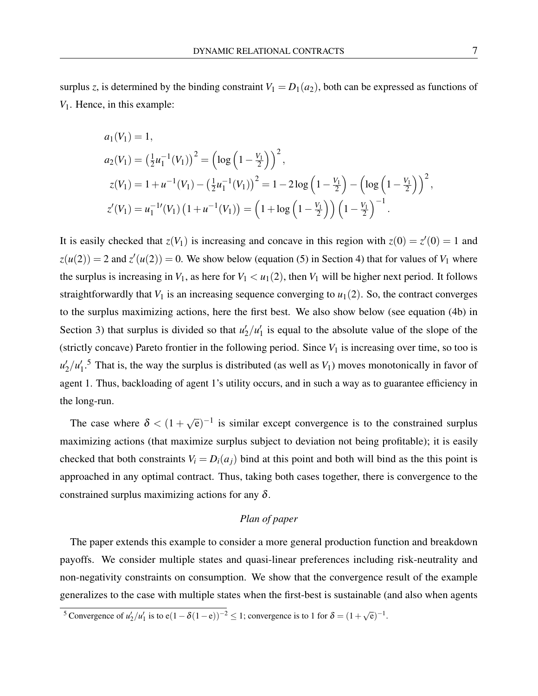surplus *z*, is determined by the binding constraint  $V_1 = D_1(a_2)$ , both can be expressed as functions of *V*1. Hence, in this example:

$$
a_1(V_1) = 1,
$$
  
\n
$$
a_2(V_1) = \left(\frac{1}{2}u_1^{-1}(V_1)\right)^2 = \left(\log\left(1 - \frac{V_1}{2}\right)\right)^2,
$$
  
\n
$$
z(V_1) = 1 + u^{-1}(V_1) - \left(\frac{1}{2}u_1^{-1}(V_1)\right)^2 = 1 - 2\log\left(1 - \frac{V_1}{2}\right) - \left(\log\left(1 - \frac{V_1}{2}\right)\right)^2,
$$
  
\n
$$
z'(V_1) = u_1^{-1}(V_1)\left(1 + u^{-1}(V_1)\right) = \left(1 + \log\left(1 - \frac{V_1}{2}\right)\right)\left(1 - \frac{V_1}{2}\right)^{-1}.
$$

It is easily checked that  $z(V_1)$  is increasing and concave in this region with  $z(0) = z'(0) = 1$  and  $z(u(2)) = 2$  and  $z'(u(2)) = 0$ . We show below (equation [\(5\)](#page-18-0) in Section [4\)](#page-17-0) that for values of *V*<sub>1</sub> where the surplus is increasing in  $V_1$ , as here for  $V_1 < u_1(2)$ , then  $V_1$  will be higher next period. It follows straightforwardly that  $V_1$  is an increasing sequence converging to  $u_1(2)$ . So, the contract converges to the surplus maximizing actions, here the first best. We also show below (see equation [\(4b\)](#page-16-0) in Section [3\)](#page-13-0) that surplus is divided so that  $u_2$  $\frac{1}{2}/u_1^{\prime}$  $\frac{1}{1}$  is equal to the absolute value of the slope of the (strictly concave) Pareto frontier in the following period. Since  $V_1$  is increasing over time, so too is  $u'$  $2/u_1'$  $1<sup>5</sup>$ . That is, the way the surplus is distributed (as well as  $V_1$ ) moves monotonically in favor of agent 1. Thus, backloading of agent 1's utility occurs, and in such a way as to guarantee efficiency in the long-run.

The case where  $\delta < (1 +$ √  $\bar{e}$ )<sup>-1</sup> is similar except convergence is to the constrained surplus maximizing actions (that maximize surplus subject to deviation not being profitable); it is easily checked that both constraints  $V_i = D_i(a_i)$  bind at this point and both will bind as the this point is approached in any optimal contract. Thus, taking both cases together, there is convergence to the constrained surplus maximizing actions for any  $\delta$ .

## *Plan of paper*

The paper extends this example to consider a more general production function and breakdown payoffs. We consider multiple states and quasi-linear preferences including risk-neutrality and non-negativity constraints on consumption. We show that the convergence result of the example generalizes to the case with multiple states when the first-best is sustainable (and also when agents

<sup>&</sup>lt;sup>5</sup> Convergence of  $u'_2/u'_1$  is to  $e(1-\delta(1-e))^{-2} \le 1$ ; convergence is to 1 for  $\delta = (1+\sqrt{e})^{-1}$ .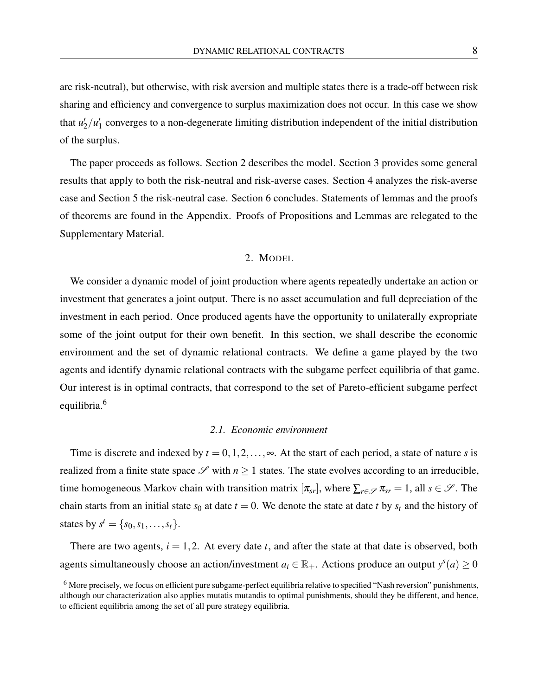are risk-neutral), but otherwise, with risk aversion and multiple states there is a trade-off between risk sharing and efficiency and convergence to surplus maximization does not occur. In this case we show that  $u'_2$  $2/u_1'$  $\frac{1}{1}$  converges to a non-degenerate limiting distribution independent of the initial distribution of the surplus.

The paper proceeds as follows. Section [2](#page-7-0) describes the model. Section [3](#page-13-0) provides some general results that apply to both the risk-neutral and risk-averse cases. Section [4](#page-17-0) analyzes the risk-averse case and Section [5](#page-24-0) the risk-neutral case. Section [6](#page-28-0) concludes. Statements of lemmas and the proofs of theorems are found in the Appendix. Proofs of Propositions and Lemmas are relegated to the Supplementary Material.

## 2. MODEL

<span id="page-7-0"></span>We consider a dynamic model of joint production where agents repeatedly undertake an action or investment that generates a joint output. There is no asset accumulation and full depreciation of the investment in each period. Once produced agents have the opportunity to unilaterally expropriate some of the joint output for their own benefit. In this section, we shall describe the economic environment and the set of dynamic relational contracts. We define a game played by the two agents and identify dynamic relational contracts with the subgame perfect equilibria of that game. Our interest is in optimal contracts, that correspond to the set of Pareto-efficient subgame perfect equilibria.<sup>6</sup>

## *2.1. Economic environment*

Time is discrete and indexed by  $t = 0, 1, 2, \dots, \infty$ . At the start of each period, a state of nature *s* is realized from a finite state space  $\mathscr S$  with  $n \geq 1$  states. The state evolves according to an irreducible, time homogeneous Markov chain with transition matrix  $[\pi_{sr}]$ , where  $\sum_{r \in \mathcal{S}} \pi_{sr} = 1$ , all  $s \in \mathcal{S}$ . The chain starts from an initial state  $s_0$  at date  $t = 0$ . We denote the state at date *t* by  $s_t$  and the history of states by  $s^t = \{s_0, s_1, \ldots, s_t\}.$ 

There are two agents,  $i = 1, 2$ . At every date  $t$ , and after the state at that date is observed, both agents simultaneously choose an action/investment  $a_i \in \mathbb{R}_+$ . Actions produce an output  $y<sup>s</sup>(a) \ge 0$ 

<sup>&</sup>lt;sup>6</sup> More precisely, we focus on efficient pure subgame-perfect equilibria relative to specified "Nash reversion" punishments, although our characterization also applies mutatis mutandis to optimal punishments, should they be different, and hence, to efficient equilibria among the set of all pure strategy equilibria.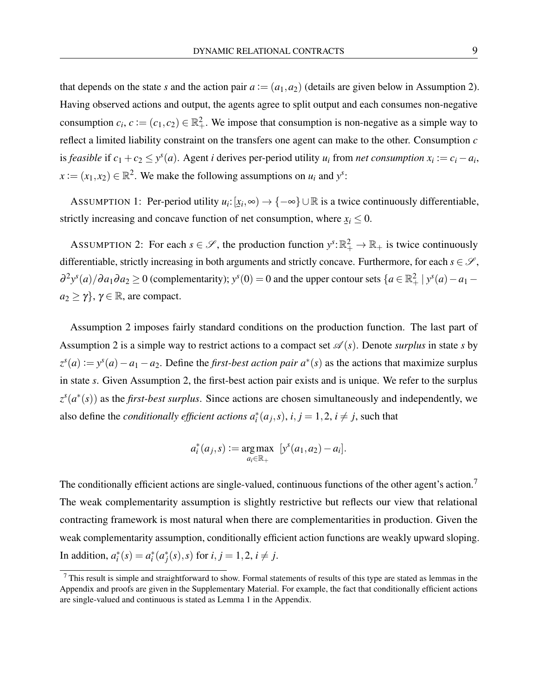that depends on the state *s* and the action pair  $a := (a_1, a_2)$  $a := (a_1, a_2)$  (details are given below in Assumption 2). Having observed actions and output, the agents agree to split output and each consumes non-negative consumption  $c_i$ ,  $c := (c_1, c_2) \in \mathbb{R}^2_+$ . We impose that consumption is non-negative as a simple way to reflect a limited liability constraint on the transfers one agent can make to the other. Consumption *c* is *feasible* if  $c_1 + c_2 \le y^s(a)$ . Agent *i* derives per-period utility  $u_i$  from *net consumption*  $x_i := c_i - a_i$ ,  $x := (x_1, x_2) \in \mathbb{R}^2$ . We make the following assumptions on  $u_i$  and  $y^s$ .

<span id="page-8-1"></span>ASSUMPTION 1: Per-period utility  $u_i: [\underline{x}_i, \infty) \to \{-\infty\} \cup \mathbb{R}$  is a twice continuously differentiable, ¯ strictly increasing and concave function of net consumption, where  $x_i \leq 0.$ 

<span id="page-8-0"></span>ASSUMPTION 2: For each  $s \in \mathscr{S}$ , the production function  $y^s : \mathbb{R}_+^2 \to \mathbb{R}_+$  is twice continuously differentiable, strictly increasing in both arguments and strictly concave. Furthermore, for each  $s \in \mathscr{S}$ ,  $\frac{\partial^2 y^s(a)}{\partial a_1 \partial a_2}$  ≥ 0 (complementarity);  $y^s(0) = 0$  and the upper contour sets  $\{a \in \mathbb{R}^2_+ | y^s(a) - a_1 - a_2\}$  $a_2 \ge \gamma$ ,  $\gamma \in \mathbb{R}$ , are compact.

Assumption [2](#page-8-0) imposes fairly standard conditions on the production function. The last part of Assumption [2](#page-8-0) is a simple way to restrict actions to a compact set  $\mathscr{A}(s)$ . Denote *surplus* in state *s* by  $z^s(a) := y^s(a) - a_1 - a_2$ . Define the *first-best action pair*  $a^s(s)$  as the actions that maximize surplus in state *s*. Given Assumption [2,](#page-8-0) the first-best action pair exists and is unique. We refer to the surplus  $z^s(a^*(s))$  as the *first-best surplus*. Since actions are chosen simultaneously and independently, we also define the *conditionally efficient actions*  $a_i^*(a_j, s)$ ,  $i, j = 1, 2, i \neq j$ , such that

$$
a_i^*(a_j, s) := \underset{a_i \in \mathbb{R}_+}{\arg \max} [y^s(a_1, a_2) - a_i].
$$

The conditionally efficient actions are single-valued, continuous functions of the other agent's action.<sup>7</sup> The weak complementarity assumption is slightly restrictive but reflects our view that relational contracting framework is most natural when there are complementarities in production. Given the weak complementarity assumption, conditionally efficient action functions are weakly upward sloping. In addition,  $a_i^*(s) = a_i^*(a_j^*(s), s)$  for  $i, j = 1, 2, i \neq j$ .

 $<sup>7</sup>$  This result is simple and straightforward to show. Formal statements of results of this type are stated as lemmas in the</sup> Appendix and proofs are given in the Supplementary Material. For example, the fact that conditionally efficient actions are single-valued and continuous is stated as Lemma [1](#page-28-1) in the Appendix.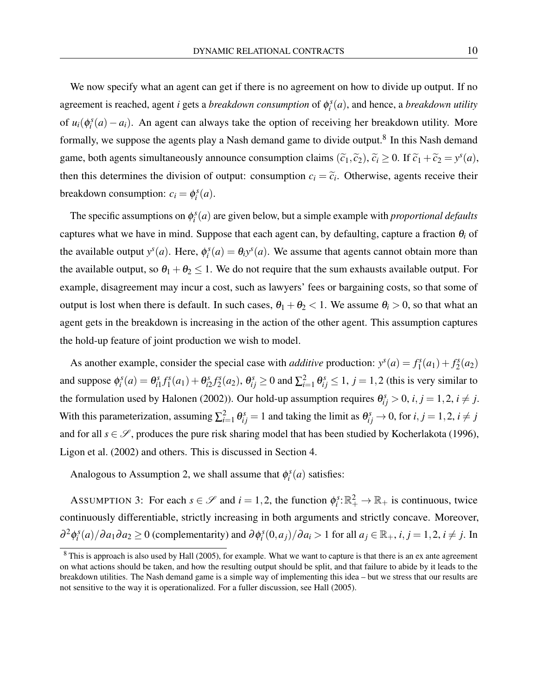We now specify what an agent can get if there is no agreement on how to divide up output. If no agreement is reached, agent *i* gets a *breakdown consumption* of  $\phi_i^s(a)$ , and hence, a *breakdown utility* of  $u_i(\phi_i^s(a) - a_i)$ . An agent can always take the option of receiving her breakdown utility. More formally, we suppose the agents play a Nash demand game to divide output.<sup>8</sup> In this Nash demand game, both agents simultaneously announce consumption claims  $(\tilde{c}_1, \tilde{c}_2)$ ,  $\tilde{c}_i \ge 0$ . If  $\tilde{c}_1 + \tilde{c}_2 = y^s(a)$ , then this determines the division of output: consumption  $c_i = \tilde{c}_i$ . Otherwise, agents receive their breakdown consumption:  $c_i = \phi_i^s(a)$ .

The specific assumptions on  $\phi_i^s(a)$  are given below, but a simple example with *proportional defaults* captures what we have in mind. Suppose that each agent can, by defaulting, capture a fraction θ*<sup>i</sup>* of the available output  $y^s(a)$ . Here,  $\phi_i^s(a) = \theta_i y^s(a)$ . We assume that agents cannot obtain more than the available output, so  $\theta_1 + \theta_2 \leq 1$ . We do not require that the sum exhausts available output. For example, disagreement may incur a cost, such as lawyers' fees or bargaining costs, so that some of output is lost when there is default. In such cases,  $\theta_1 + \theta_2 < 1$ . We assume  $\theta_i > 0$ , so that what an agent gets in the breakdown is increasing in the action of the other agent. This assumption captures the hold-up feature of joint production we wish to model.

As another example, consider the special case with *additive* production:  $y<sup>s</sup>(a) = f<sub>1</sub><sup>s</sup>$  $f_1^s(a_1) + f_2^s$  $2^s(a_2)$ and suppose  $\phi_i^s(a) = \theta_{i1}^s$  $\int_{i1}^{s} f_1^s$  $\theta_1^{ss}(a_1) + \theta_{i2}^{s}$  $\int_{i2}^{s} f_2^s$  $\mathcal{L}_{2}^{s}(a_2), \theta_{ij}^{s} \ge 0$  and  $\sum_{i=1}^{2} \theta_{ij}^{s} \le 1, j = 1,2$  (this is very similar to the formulation used by [Halonen](#page-36-8) [\(2002\)](#page-36-8)). Our hold-up assumption requires  $\theta_{ij}^s > 0$ ,  $i, j = 1, 2, i \neq j$ . With this parameterization, assuming  $\sum_{i=1}^{2} \theta_{ij}^{s} = 1$  and taking the limit as  $\theta_{ij}^{s} \to 0$ , for  $i, j = 1, 2, i \neq j$ and for all  $s \in \mathcal{S}$ , produces the pure risk sharing model that has been studied by [Kocherlakota](#page-36-1) [\(1996\)](#page-36-1), [Ligon et al.](#page-36-2) [\(2002\)](#page-36-2) and others. This is discussed in Section [4.](#page-17-0)

Analogous to Assumption [2,](#page-8-0) we shall assume that  $\phi_i^s(a)$  satisfies:

<span id="page-9-0"></span>ASSUMPTION 3: For each  $s \in \mathcal{S}$  and  $i = 1, 2$ , the function  $\phi_i^s : \mathbb{R}_+^2 \to \mathbb{R}_+$  is continuous, twice continuously differentiable, strictly increasing in both arguments and strictly concave. Moreover,  $\frac{\partial^2 \phi_i^s(a)}{\partial a_1 \partial a_2} \ge 0$  (complementarity) and  $\frac{\partial \phi_i^s(0, a_j)}{\partial a_i} > 1$  for all  $a_j \in \mathbb{R}_+, i, j = 1, 2, i \ne j$ . In

 $8$  This is approach is also used by [Hall](#page-36-9) [\(2005\)](#page-36-9), for example. What we want to capture is that there is an ex ante agreement on what actions should be taken, and how the resulting output should be split, and that failure to abide by it leads to the breakdown utilities. The Nash demand game is a simple way of implementing this idea – but we stress that our results are not sensitive to the way it is operationalized. For a fuller discussion, see [Hall](#page-36-9) [\(2005\)](#page-36-9).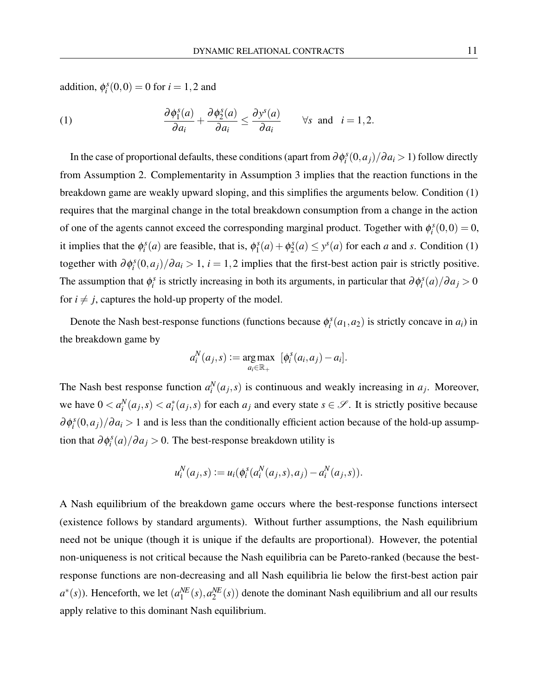addition,  $\phi_i^s(0,0) = 0$  for  $i = 1,2$  and

<span id="page-10-0"></span>(1) 
$$
\frac{\partial \phi_1^s(a)}{\partial a_i} + \frac{\partial \phi_2^s(a)}{\partial a_i} \le \frac{\partial y^s(a)}{\partial a_i} \qquad \forall s \text{ and } i = 1, 2.
$$

In the case of proportional defaults, these conditions (apart from  $\partial \phi_i^s(0, a_j)/\partial a_i > 1$ ) follow directly from Assumption [2.](#page-8-0) Complementarity in Assumption [3](#page-9-0) implies that the reaction functions in the breakdown game are weakly upward sloping, and this simplifies the arguments below. Condition [\(1\)](#page-10-0) requires that the marginal change in the total breakdown consumption from a change in the action of one of the agents cannot exceed the corresponding marginal product. Together with  $\phi_i^s(0,0) = 0$ , it implies that the  $\phi_i^s(a)$  are feasible, that is,  $\phi_i^s$  $\phi_1^s(a) + \phi_2^s$  $2^s_2(a) \leq y^s(a)$  for each *a* and *s*. Condition [\(1\)](#page-10-0) together with  $\partial \phi_i^s(0, a_j)/\partial a_i > 1$ , *i* = 1,2 implies that the first-best action pair is strictly positive. The assumption that  $\phi_i^s$  is strictly increasing in both its arguments, in particular that  $\partial \phi_i^s(a)/\partial a_j > 0$ for  $i \neq j$ , captures the hold-up property of the model.

Denote the Nash best-response functions (functions because  $\phi_i^s(a_1, a_2)$  is strictly concave in  $a_i$ ) in the breakdown game by

$$
a_i^N(a_j, s) := \underset{a_i \in \mathbb{R}_+}{\arg \max} \ \ [\phi_i^s(a_i, a_j) - a_i].
$$

The Nash best response function  $a_i^N(a_j, s)$  is continuous and weakly increasing in  $a_j$ . Moreover, we have  $0 < a_i^N(a_j, s) < a_i^*(a_j, s)$  for each  $a_j$  and every state  $s \in \mathscr{S}$ . It is strictly positive because  $\partial \phi_i^s(0, a_j)/\partial a_i > 1$  and is less than the conditionally efficient action because of the hold-up assumption that  $\partial \phi_i^s(a)/\partial a_j > 0$ . The best-response breakdown utility is

$$
u_i^N(a_j, s) := u_i(\phi_i^s(a_i^N(a_j, s), a_j) - a_i^N(a_j, s)).
$$

A Nash equilibrium of the breakdown game occurs where the best-response functions intersect (existence follows by standard arguments). Without further assumptions, the Nash equilibrium need not be unique (though it is unique if the defaults are proportional). However, the potential non-uniqueness is not critical because the Nash equilibria can be Pareto-ranked (because the bestresponse functions are non-decreasing and all Nash equilibria lie below the first-best action pair  $a^*(s)$ ). Henceforth, we let  $(a_1^{NE})$  $_{1}^{NE}(s)$ ,  $a_{2}^{NE}$  $\frac{NE}{2}(s)$  denote the dominant Nash equilibrium and all our results apply relative to this dominant Nash equilibrium.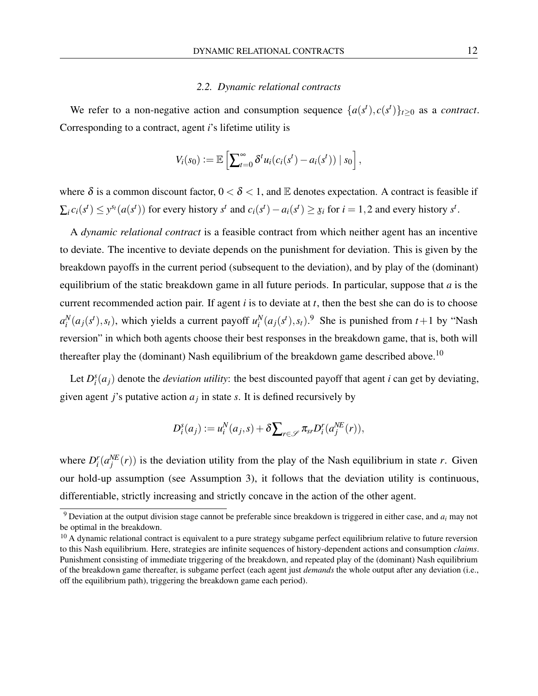#### *2.2. Dynamic relational contracts*

We refer to a non-negative action and consumption sequence  $\{a(s^t), c(s^t)\}_{t \geq 0}$  as a *contract*. Corresponding to a contract, agent *i*'s lifetime utility is

$$
V_i(s_0) := \mathbb{E}\left[\sum_{t=0}^{\infty} \delta^t u_i(c_i(s^t) - a_i(s^t)) \mid s_0\right],
$$

where  $\delta$  is a common discount factor,  $0 < \delta < 1$ , and  $\mathbb E$  denotes expectation. A contract is feasible if  $\sum_i c_i(s^t) \leq y^{s_t}(a(s^t))$  for every history  $s^t$  and  $c_i(s^t) - a_i(s^t) \geq$  $\underline{x}_i$  for  $i = 1, 2$  and every history  $s^t$ .

A *dynamic relational contract* is a feasible contract from which neither agent has an incentive to deviate. The incentive to deviate depends on the punishment for deviation. This is given by the breakdown payoffs in the current period (subsequent to the deviation), and by play of the (dominant) equilibrium of the static breakdown game in all future periods. In particular, suppose that *a* is the current recommended action pair. If agent *i* is to deviate at *t*, then the best she can do is to choose  $a_i^N(a_j(s^t), s_t)$ , which yields a current payoff  $u_i^N(a_j(s^t), s_t)$ . She is punished from  $t+1$  by "Nash reversion" in which both agents choose their best responses in the breakdown game, that is, both will thereafter play the (dominant) Nash equilibrium of the breakdown game described above.<sup>10</sup>

Let  $D_i^s(a_j)$  denote the *deviation utility*: the best discounted payoff that agent *i* can get by deviating, given agent *j*'s putative action  $a_j$  in state *s*. It is defined recursively by

$$
D_i^s(a_j) := u_i^N(a_j, s) + \delta \sum_{r \in \mathscr{S}} \pi_{sr} D_i^r(a_j^{NE}(r)),
$$

where  $D_i^r(a_j^{NE}(r))$  is the deviation utility from the play of the Nash equilibrium in state *r*. Given our hold-up assumption (see Assumption [3\)](#page-9-0), it follows that the deviation utility is continuous, differentiable, strictly increasing and strictly concave in the action of the other agent.

 $9$  Deviation at the output division stage cannot be preferable since breakdown is triggered in either case, and  $a_i$  may not be optimal in the breakdown.

 $10$  A dynamic relational contract is equivalent to a pure strategy subgame perfect equilibrium relative to future reversion to this Nash equilibrium. Here, strategies are infinite sequences of history-dependent actions and consumption *claims*. Punishment consisting of immediate triggering of the breakdown, and repeated play of the (dominant) Nash equilibrium of the breakdown game thereafter, is subgame perfect (each agent just *demands* the whole output after any deviation (i.e., off the equilibrium path), triggering the breakdown game each period).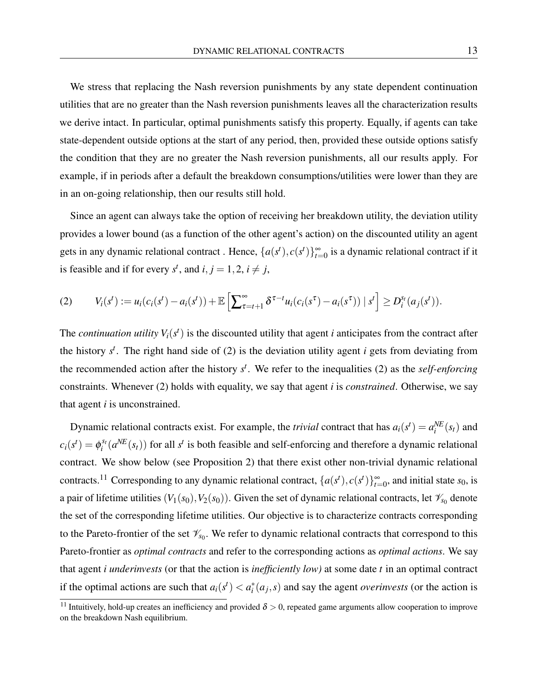We stress that replacing the Nash reversion punishments by any state dependent continuation utilities that are no greater than the Nash reversion punishments leaves all the characterization results we derive intact. In particular, optimal punishments satisfy this property. Equally, if agents can take state-dependent outside options at the start of any period, then, provided these outside options satisfy the condition that they are no greater the Nash reversion punishments, all our results apply. For example, if in periods after a default the breakdown consumptions/utilities were lower than they are in an on-going relationship, then our results still hold.

Since an agent can always take the option of receiving her breakdown utility, the deviation utility provides a lower bound (as a function of the other agent's action) on the discounted utility an agent gets in any dynamic relational contract. Hence,  $\{a(s^t), c(s^t)\}_{t=0}^{\infty}$  is a dynamic relational contract if it is feasible and if for every  $s^t$ , and  $i, j = 1, 2, i \neq j$ ,

<span id="page-12-0"></span>
$$
(2) \qquad V_i(s^t) := u_i(c_i(s^t) - a_i(s^t)) + \mathbb{E}\left[\sum_{\tau=t+1}^{\infty} \delta^{\tau-t} u_i(c_i(s^{\tau}) - a_i(s^{\tau})) \mid s^t\right] \geq D_i^{s_t}(a_j(s^t)).
$$

The *continuation utility*  $V_i(s^t)$  is the discounted utility that agent *i* anticipates from the contract after the history  $s^t$ . The right hand side of [\(2\)](#page-12-0) is the deviation utility agent *i* gets from deviating from the recommended action after the history  $s^t$ . We refer to the inequalities [\(2\)](#page-12-0) as the *self-enforcing* constraints. Whenever [\(2\)](#page-12-0) holds with equality, we say that agent *i* is *constrained*. Otherwise, we say that agent *i* is unconstrained.

Dynamic relational contracts exist. For example, the *trivial* contract that has  $a_i(s^t) = a_i^{NE}(s_t)$  and  $c_i(s^t) = \phi_i^{s_t}$  $i_j^{s_t}(a^{NE}(s_t))$  for all *s*<sup>*t*</sup> is both feasible and self-enforcing and therefore a dynamic relational contract. We show below (see Proposition [2\)](#page-14-0) that there exist other non-trivial dynamic relational contracts.<sup>11</sup> Corresponding to any dynamic relational contract,  $\{a(s^t), c(s^t)\}_{t=0}^{\infty}$ , and initial state  $s_0$ , is a pair of lifetime utilities  $(V_1(s_0), V_2(s_0))$ . Given the set of dynamic relational contracts, let  $\mathscr{V}_{s_0}$  denote the set of the corresponding lifetime utilities. Our objective is to characterize contracts corresponding to the Pareto-frontier of the set  $\mathcal{V}_{s_0}$ . We refer to dynamic relational contracts that correspond to this Pareto-frontier as *optimal contracts* and refer to the corresponding actions as *optimal actions*. We say that agent *i underinvests* (or that the action is *inefficiently low)* at some date *t* in an optimal contract if the optimal actions are such that  $a_i(s^i) < a_i^*(a_j, s)$  and say the agent *overinvests* (or the action is

<sup>&</sup>lt;sup>11</sup> Intuitively, hold-up creates an inefficiency and provided  $\delta > 0$ , repeated game arguments allow cooperation to improve on the breakdown Nash equilibrium.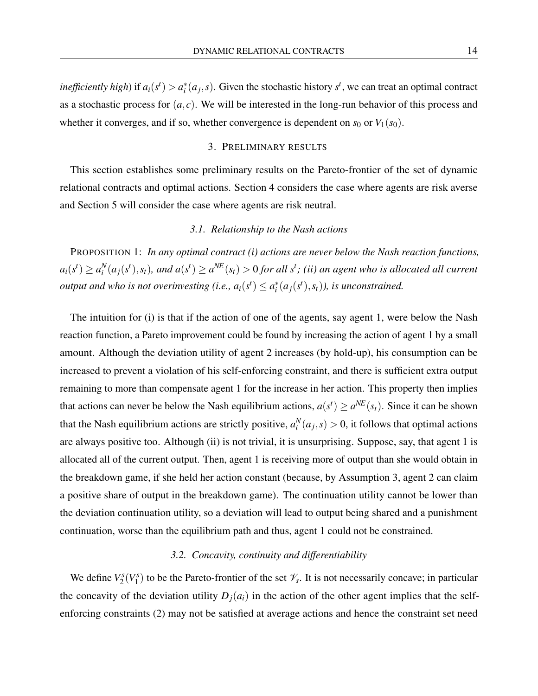*inefficiently high*) if  $a_i(s^t) > a_i^*(a_j, s)$ . Given the stochastic history  $s^t$ , we can treat an optimal contract as a stochastic process for  $(a, c)$ . We will be interested in the long-run behavior of this process and whether it converges, and if so, whether convergence is dependent on  $s_0$  or  $V_1(s_0)$ .

## 3. PRELIMINARY RESULTS

<span id="page-13-0"></span>This section establishes some preliminary results on the Pareto-frontier of the set of dynamic relational contracts and optimal actions. Section [4](#page-17-0) considers the case where agents are risk averse and Section [5](#page-24-0) will consider the case where agents are risk neutral.

#### *3.1. Relationship to the Nash actions*

<span id="page-13-1"></span>PROPOSITION 1: *In any optimal contract (i) actions are never below the Nash reaction functions,*  $a_i(s^t)\geq a_i^N(a_j(s^t),s_t),$  and  $a(s^t)\geq a^{N\!E}(s_t)>0$  for all  $s^t$ ; (ii) an agent who is allocated all current *output and who is not overinvesting (i.e.,*  $a_i(s^t) \leq a_i^*(a_j(s^t), s_t)$ *), is unconstrained.* 

The intuition for (i) is that if the action of one of the agents, say agent 1, were below the Nash reaction function, a Pareto improvement could be found by increasing the action of agent 1 by a small amount. Although the deviation utility of agent 2 increases (by hold-up), his consumption can be increased to prevent a violation of his self-enforcing constraint, and there is sufficient extra output remaining to more than compensate agent 1 for the increase in her action. This property then implies that actions can never be below the Nash equilibrium actions,  $a(s^t) \ge a^{NE}(s_t)$ . Since it can be shown that the Nash equilibrium actions are strictly positive,  $a_i^N(a_j, s) > 0$ , it follows that optimal actions are always positive too. Although (ii) is not trivial, it is unsurprising. Suppose, say, that agent 1 is allocated all of the current output. Then, agent 1 is receiving more of output than she would obtain in the breakdown game, if she held her action constant (because, by Assumption [3,](#page-9-0) agent 2 can claim a positive share of output in the breakdown game). The continuation utility cannot be lower than the deviation continuation utility, so a deviation will lead to output being shared and a punishment continuation, worse than the equilibrium path and thus, agent 1 could not be constrained.

#### *3.2. Concavity, continuity and differentiability*

We define  $V_2^s$  $C_2^s(V_1^s)$  $\binom{1}{1}$  to be the Pareto-frontier of the set  $\mathcal{V}_s$ . It is not necessarily concave; in particular the concavity of the deviation utility  $D_i(a_i)$  in the action of the other agent implies that the selfenforcing constraints [\(2\)](#page-12-0) may not be satisfied at average actions and hence the constraint set need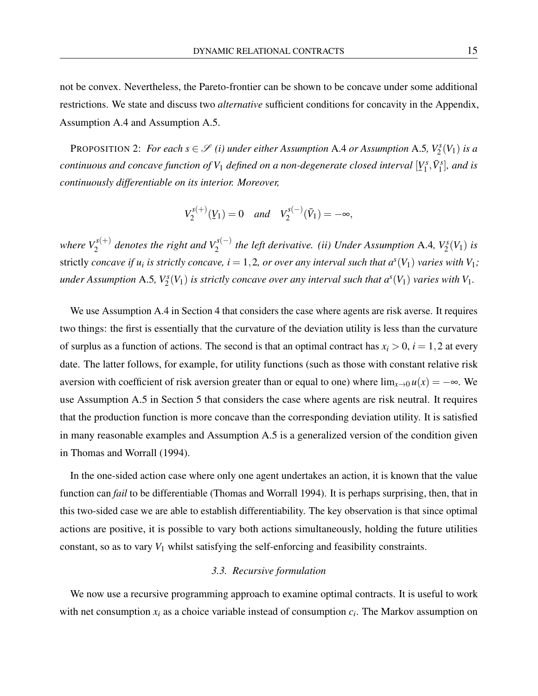not be convex. Nevertheless, the Pareto-frontier can be shown to be concave under some additional restrictions. We state and discuss two *alternative* sufficient conditions for concavity in the Appendix, Assumption [A.4](#page-29-0) and Assumption [A.5.](#page-29-1)

<span id="page-14-0"></span>PROPOSITION 2: *For each*  $s \in \mathscr{S}$  *(i) under either Assumption* [A.4](#page-29-0) *or Assumption* [A.5](#page-29-1),  $V_2^s$  $\binom{r}{2}(V_1)$  *is a continuous and concave function of*  $V_1$  *defined on a non-degenerate closed interval* [*V*] *V s*  $[V_1^s, \bar{V}_1^s]$ *, and is continuously differentiable on its interior. Moreover,*

$$
V_2^{s(+)}(V_1) = 0
$$
 and  $V_2^{s(-)}(\bar{V}_1) = -\infty$ ,

*where*  $V_2^{s(+)}$  $\chi_2^{(s(+))}$  denotes the right and  $V_2^{s(-)}$  $\chi_2^{(s(-))}$  the left derivative. (ii) Under Assumption [A.4](#page-29-0),  $V_2^s$  $i_2^{rs}(V_1)$  *is* strictly *concave* if  $u_i$  is strictly *concave*,  $i = 1, 2$ , *or over any interval such that*  $a<sup>s</sup>(V_1)$  *varies with*  $V_1$ ; under Assumption [A.5](#page-29-1),  $V_2^s(V_1)$  is strictly concave over any interval such that  $a^s(V_1)$  varies with  $V_1$ .

We use Assumption [A.4](#page-29-0) in Section [4](#page-17-0) that considers the case where agents are risk averse. It requires two things: the first is essentially that the curvature of the deviation utility is less than the curvature of surplus as a function of actions. The second is that an optimal contract has  $x_i > 0$ ,  $i = 1,2$  at every date. The latter follows, for example, for utility functions (such as those with constant relative risk aversion with coefficient of risk aversion greater than or equal to one) where  $\lim_{x\to 0} u(x) = -\infty$ . We use Assumption [A.5](#page-29-1) in Section [5](#page-24-0) that considers the case where agents are risk neutral. It requires that the production function is more concave than the corresponding deviation utility. It is satisfied in many reasonable examples and Assumption [A.5](#page-29-1) is a generalized version of the condition given in [Thomas and Worrall](#page-37-1) [\(1994\)](#page-37-1).

In the one-sided action case where only one agent undertakes an action, it is known that the value function can *fail* to be differentiable [\(Thomas and Worrall](#page-37-1) [1994\)](#page-37-1). It is perhaps surprising, then, that in this two-sided case we are able to establish differentiability. The key observation is that since optimal actions are positive, it is possible to vary both actions simultaneously, holding the future utilities constant, so as to vary  $V_1$  whilst satisfying the self-enforcing and feasibility constraints.

## *3.3. Recursive formulation*

We now use a recursive programming approach to examine optimal contracts. It is useful to work with net consumption  $x_i$  as a choice variable instead of consumption  $c_i$ . The Markov assumption on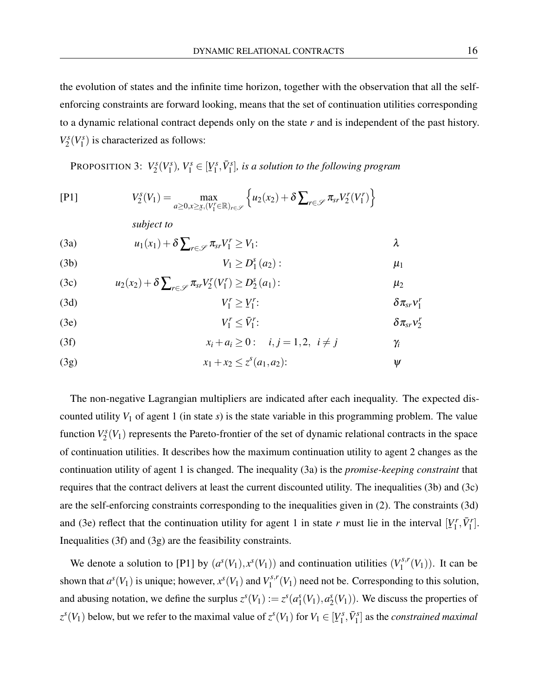the evolution of states and the infinite time horizon, together with the observation that all the selfenforcing constraints are forward looking, means that the set of continuation utilities corresponding to a dynamic relational contract depends only on the state *r* and is independent of the past history. *V s*  ${}_{2}^{s}(V_{1}^{s})$  $\binom{1}{1}$  is characterized as follows:

PROPOSITION 3: *V s*  $\binom{s}{2}(V_1^s)$  $\binom{rs}{1}, V_1^s \in [1]$ *V s*  $\sqrt{\frac{N}{2}}$ ,  $\sqrt{N}$ <sub>3</sub>, *is a solution to the following program* 

$$
[P1] \tV_2^s(V_1) = \max_{a \ge 0, x \ge x, (V_1^r \in \mathbb{R})_{r \in \mathscr{S}}} \left\{ u_2(x_2) + \delta \sum_{r \in \mathscr{S}} \pi_{sr} V_2^r(V_1^r) \right\}
$$

*subject to*

<span id="page-15-1"></span><span id="page-15-0"></span>(3a) 
$$
u_1(x_1) + \delta \sum_{r \in \mathscr{S}} \pi_{sr} V_1^r \geq V_1:
$$

<span id="page-15-2"></span>
$$
V_1 \ge D_1^s (a_2): \qquad \qquad \mu_1
$$

<span id="page-15-3"></span>(3c) 
$$
u_2(x_2) + \delta \sum_{r \in \mathscr{S}} \pi_{sr} V_2^r(V_1^r) \geq D_2^s(a_1)
$$
:  $\mu_2$ 

<span id="page-15-4"></span> $V_1^r \geq \underline{V}$ *V r* 1 :  $\delta \pi_{sr} v_1^r$ (3d)

<span id="page-15-5"></span>(3e) 
$$
V_1^r \leq \bar{V}_1^r: \qquad \delta \pi_{sr} V_2^r
$$

<span id="page-15-6"></span>(3f) 
$$
x_i + a_i \ge 0
$$
:  $i, j = 1, 2, i \ne j$   $\gamma_i$ 

(3g) 
$$
x_1 + x_2 \le z^s(a_1, a_2)
$$
:  $\psi$ 

The non-negative Lagrangian multipliers are indicated after each inequality. The expected discounted utility  $V_1$  of agent 1 (in state  $s$ ) is the state variable in this programming problem. The value function  $V_2^s$  $2<sup>s</sup>(V<sub>1</sub>)$  represents the Pareto-frontier of the set of dynamic relational contracts in the space of continuation utilities. It describes how the maximum continuation utility to agent 2 changes as the continuation utility of agent 1 is changed. The inequality [\(3a\)](#page-15-0) is the *promise-keeping constraint* that requires that the contract delivers at least the current discounted utility. The inequalities [\(3b\)](#page-15-1) and [\(3c\)](#page-15-2) are the self-enforcing constraints corresponding to the inequalities given in [\(2\)](#page-12-0). The constraints [\(3d\)](#page-15-3) and [\(3e\)](#page-15-4) reflect that the continuation utility for agent 1 in state *r* must lie in the interval [ ¯ *V r*  $T_1^r, \bar{V}_1^r$ . Inequalities [\(3f\)](#page-15-5) and [\(3g\)](#page-15-6) are the feasibility constraints.

We denote a solution to [P1] by  $(a^s(V_1), x^s(V_1))$  and continuation utilities  $(V_1^{s,r})$  $\binom{r}{1}$ . It can be shown that  $a^s(V_1)$  is unique; however,  $x^s(V_1)$  and  $V_1^{s,r}$  $\int_1^{s,r}(V_1)$  need not be. Corresponding to this solution, and abusing notation, we define the surplus  $z^{s}(V_1) := z^{s}(a_1^{s})$  $a_1^s(V_1), a_2^s$  $2<sup>s</sup>(V<sub>1</sub>)$ ). We discuss the properties of  $z^{s}(V_1)$  below, but we refer to the maximal value of  $z^{s}(V_1)$  for  $V_1 \in [\underline{V_1}]$ *V s*  $[V_1^s, \bar{V}_1^s]$  as the *constrained maximal* 

1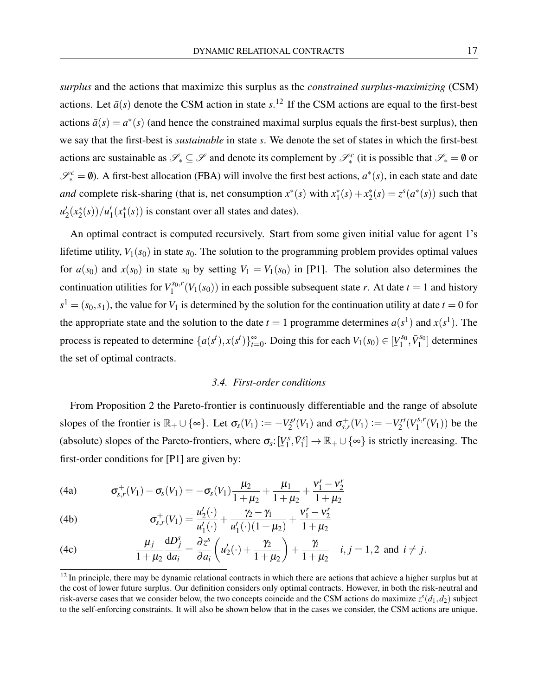*surplus* and the actions that maximize this surplus as the *constrained surplus-maximizing* (CSM) actions. Let  $\bar{a}(s)$  denote the CSM action in state  $s$ .<sup>12</sup> If the CSM actions are equal to the first-best actions  $\bar{a}(s) = a^*(s)$  (and hence the constrained maximal surplus equals the first-best surplus), then we say that the first-best is *sustainable* in state *s*. We denote the set of states in which the first-best actions are sustainable as  $\mathscr{S}_* \subseteq \mathscr{S}$  and denote its complement by  $\mathscr{S}_*^c$  (it is possible that  $\mathscr{S}_* = \emptyset$  or  $\mathcal{S}_{*}^{c} = \emptyset$ ). A first-best allocation (FBA) will involve the first best actions,  $a^{*}(s)$ , in each state and date *and* complete risk-sharing (that is, net consumption  $x^*(s)$  with  $x_1^*$  $x_1^*(s) + x_2^*$  $z^*_{2}(s) = z^s(a^*(s))$  such that  $u'$  $\frac{1}{2}(x_2^*)$  $\binom{x}{2}(s)/u'_1$  $\frac{1}{1}(x_1^*)$  $j<sub>1</sub>(s)$  is constant over all states and dates).

An optimal contract is computed recursively. Start from some given initial value for agent 1's lifetime utility,  $V_1(s_0)$  in state  $s_0$ . The solution to the programming problem provides optimal values for  $a(s_0)$  and  $x(s_0)$  in state  $s_0$  by setting  $V_1 = V_1(s_0)$  in [P1]. The solution also determines the continuation utilities for  $V_1^{s_0,r}$  $\int_1^{s_0,r}(V_1(s_0))$  in each possible subsequent state *r*. At date  $t = 1$  and history  $s<sup>1</sup> = (s<sub>0</sub>, s<sub>1</sub>)$ , the value for  $V<sub>1</sub>$  is determined by the solution for the continuation utility at date  $t = 0$  for the appropriate state and the solution to the date  $t = 1$  programme determines  $a(s^1)$  and  $x(s^1)$ . The process is repeated to determine  $\{a(s^t), x(s^t)\}_{t=0}^{\infty}$ . Doing this for each  $V_1(s_0) \in [\underline{V}]$  $V_1^{s_0}$  $\bar{V}_1^{s_0}, \bar{V}_1^{s_0}$  $\binom{180}{1}$  determines the set of optimal contracts.

### *3.4. First-order conditions*

<span id="page-16-3"></span>From Proposition [2](#page-14-0) the Pareto-frontier is continuously differentiable and the range of absolute slopes of the frontier is  $\mathbb{R}_+ \cup \{\infty\}$ . Let  $\sigma_s(V_1) := -V_2^{s}$  $\sigma_{s,r}^{r}$  $(V_1)$  and  $\sigma_{s,r}^{+}$  $(V_1) := -V_2^{r}$  $C_2^{r'}(V_1^{s,r})$  $\binom{r}{1}$  be the (absolute) slopes of the Pareto-frontiers, where σ*<sup>s</sup>* :[ ¯ *V s*  $\{Y_1^s, \overline{V}_1^s\} \rightarrow \mathbb{R}_+ \cup \{\infty\}$  is strictly increasing. The first-order conditions for [P1] are given by:

<span id="page-16-1"></span>(4a) 
$$
\sigma_{s,r}^+(V_1) - \sigma_s(V_1) = -\sigma_s(V_1)\frac{\mu_2}{1+\mu_2} + \frac{\mu_1}{1+\mu_2} + \frac{v_1^r - v_2^r}{1+\mu_2}
$$

<span id="page-16-0"></span>(4b) 
$$
\sigma_{s,r}^+(V_1) = \frac{u_2'(\cdot)}{u_1'(\cdot)} + \frac{\gamma_2 - \gamma_1}{u_1'(\cdot)(1 + \mu_2)} + \frac{v_1^r - v_2^r}{1 + \mu_2}
$$

<span id="page-16-2"></span>(4c) 
$$
\frac{\mu_j}{1+\mu_2}\frac{\mathrm{d}D_j^s}{\mathrm{d}a_i} = \frac{\partial z^s}{\partial a_i}\left(u'_2(\cdot) + \frac{\gamma_2}{1+\mu_2}\right) + \frac{\gamma_i}{1+\mu_2} \quad i,j = 1,2 \text{ and } i \neq j.
$$

 $12$  In principle, there may be dynamic relational contracts in which there are actions that achieve a higher surplus but at the cost of lower future surplus. Our definition considers only optimal contracts. However, in both the risk-neutral and risk-averse cases that we consider below, the two concepts coincide and the CSM actions do maximize  $z^s(d_1, d_2)$  subject to the self-enforcing constraints. It will also be shown below that in the cases we consider, the CSM actions are unique.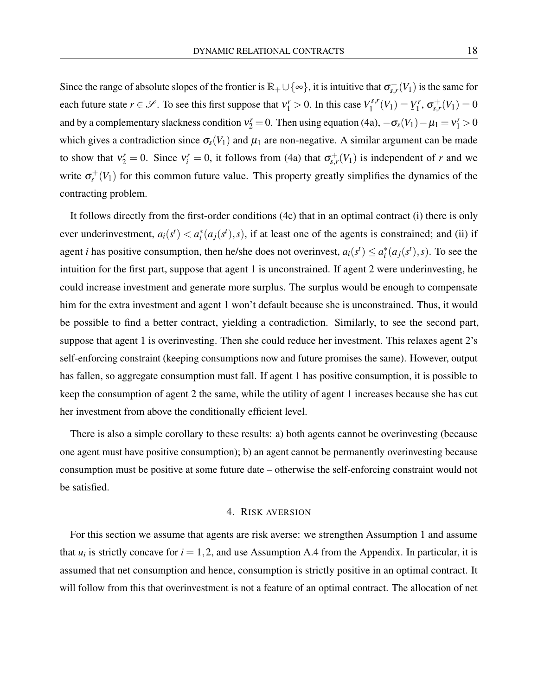Since the range of absolute slopes of the frontier is  $\mathbb{R}_+ \cup \{\infty\}$ , it is intuitive that  $\sigma_{s,r}^+(V_1)$  is the same for each future state  $r \in \mathcal{S}$ . To see this first suppose that  $v_1^r > 0$ . In this case  $V_1^{s,r}$  $I_1^{s,r}(V_1) = \underline{V}$ *V r*  $\sigma_{s,r}^{+}(V_1) = 0$ and by a complementary slackness condition  $v_2^r = 0$ . Then using equation [\(4a\)](#page-16-1),  $-\sigma_s(V_1) - \mu_1 = v_1^r > 0$ which gives a contradiction since  $\sigma_s(V_1)$  and  $\mu_1$  are non-negative. A similar argument can be made to show that  $v_2^r = 0$ . Since  $v_i^r = 0$ , it follows from [\(4a\)](#page-16-1) that  $\sigma_{s,r}^+(V_1)$  is independent of *r* and we write  $\sigma_s^+(V_1)$  for this common future value. This property greatly simplifies the dynamics of the contracting problem.

It follows directly from the first-order conditions [\(4c\)](#page-16-2) that in an optimal contract (i) there is only ever underinvestment,  $a_i(s^t) < a_i^*(a_j(s^t), s)$ , if at least one of the agents is constrained; and (ii) if agent *i* has positive consumption, then he/she does not overinvest,  $a_i(s^t) \le a_i^*(a_j(s^t), s)$ . To see the intuition for the first part, suppose that agent 1 is unconstrained. If agent 2 were underinvesting, he could increase investment and generate more surplus. The surplus would be enough to compensate him for the extra investment and agent 1 won't default because she is unconstrained. Thus, it would be possible to find a better contract, yielding a contradiction. Similarly, to see the second part, suppose that agent 1 is overinvesting. Then she could reduce her investment. This relaxes agent 2's self-enforcing constraint (keeping consumptions now and future promises the same). However, output has fallen, so aggregate consumption must fall. If agent 1 has positive consumption, it is possible to keep the consumption of agent 2 the same, while the utility of agent 1 increases because she has cut her investment from above the conditionally efficient level.

There is also a simple corollary to these results: a) both agents cannot be overinvesting (because one agent must have positive consumption); b) an agent cannot be permanently overinvesting because consumption must be positive at some future date – otherwise the self-enforcing constraint would not be satisfied.

#### 4. RISK AVERSION

<span id="page-17-0"></span>For this section we assume that agents are risk averse: we strengthen Assumption [1](#page-8-1) and assume that  $u_i$  is strictly concave for  $i = 1, 2$ , and use Assumption [A.4](#page-29-0) from the Appendix. In particular, it is assumed that net consumption and hence, consumption is strictly positive in an optimal contract. It will follow from this that overinvestment is not a feature of an optimal contract. The allocation of net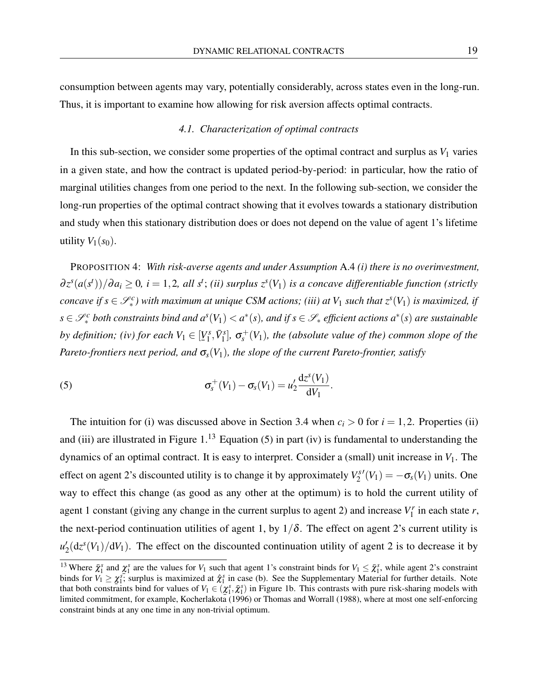consumption between agents may vary, potentially considerably, across states even in the long-run. Thus, it is important to examine how allowing for risk aversion affects optimal contracts.

#### *4.1. Characterization of optimal contracts*

In this sub-section, we consider some properties of the optimal contract and surplus as  $V_1$  varies in a given state, and how the contract is updated period-by-period: in particular, how the ratio of marginal utilities changes from one period to the next. In the following sub-section, we consider the long-run properties of the optimal contract showing that it evolves towards a stationary distribution and study when this stationary distribution does or does not depend on the value of agent 1's lifetime utility  $V_1(s_0)$ .

PROPOSITION 4: *With risk-averse agents and under Assumption* [A.4](#page-29-0) *(i) there is no overinvestment,*  $\partial z^s(a(s^t)) / \partial a_i \geq 0$ ,  $i = 1, 2$ , all  $s^t$ ; (ii) surplus  $z^s(V_1)$  is a concave differentiable function (strictly *concave if*  $s \in \mathscr{S}_*^c$ ) with maximum at unique CSM actions; (iii) at  $V_1$  such that  $z^s(V_1)$  is maximized, if  $s \in \mathscr{S}_*^c$  *both constraints bind and*  $a^s(V_1) < a^*(s)$ *, and if*  $s \in \mathscr{S}_*$  *efficient actions*  $a^*(s)$  *are sustainable by definition; (iv) for each*  $V_1 \in [\underline{V}]$ *V s*  $\int_1^s \bar{V}_1^s$ ,  $\sigma_s^+(V_1)$ , the (absolute value of the) common slope of the *Pareto-frontiers next period, and*  $\sigma_s(V_1)$ *, the slope of the current Pareto-frontier, satisfy* 

<span id="page-18-0"></span>(5) 
$$
\sigma_s^+(V_1) - \sigma_s(V_1) = u'_2 \frac{dz^s(V_1)}{dV_1}.
$$

The intuition for (i) was discussed above in Section [3.4](#page-16-3) when  $c_i > 0$  for  $i = 1, 2$ . Properties (ii) and (iii) are illustrated in Figure [1.](#page-19-0)<sup>13</sup> Equation [\(5\)](#page-18-0) in part (iv) is fundamental to understanding the dynamics of an optimal contract. It is easy to interpret. Consider a (small) unit increase in  $V_1$ . The effect on agent 2's discounted utility is to change it by approximately  $V_2^s$  $\sigma_2^{ss'}(V_1) = -\sigma_s(V_1)$  units. One way to effect this change (as good as any other at the optimum) is to hold the current utility of agent 1 constant (giving any change in the current surplus to agent 2) and increase *V r*  $T_1^r$  in each state *r*, the next-period continuation utilities of agent 1, by  $1/\delta$ . The effect on agent 2's current utility is  $u'$  $\frac{1}{2}$ ( $dz^s(V_1)/dV_1$ ). The effect on the discounted continuation utility of agent 2 is to decrease it by

<sup>&</sup>lt;sup>13</sup> Where  $\bar{\chi}_1^s$  and ¯  $\chi_1^s$  are the values for *V*<sub>1</sub> such that agent 1's constraint binds for  $V_1 \leq \bar{\chi}_1^s$ , while agent 2's constraint binds for  $V_1 \ge \chi_1^s$ ; surplus is maximized at  $\hat{\chi}_1^s$  in case (b). See the Supplementary Material for further details. Note that both constraints bind for values of  $V_1 \in (\chi_1^s, \bar{\chi}_1^s)$  in Figure [1b.](#page-19-1) This contrasts with pure risk-sharing models with limited commitment, for example, [Kocherlakota](#page-36-1) [\(1996\)](#page-36-1) or [Thomas and Worrall](#page-37-3) [\(1988\)](#page-37-3), where at most one self-enforcing constraint binds at any one time in any non-trivial optimum.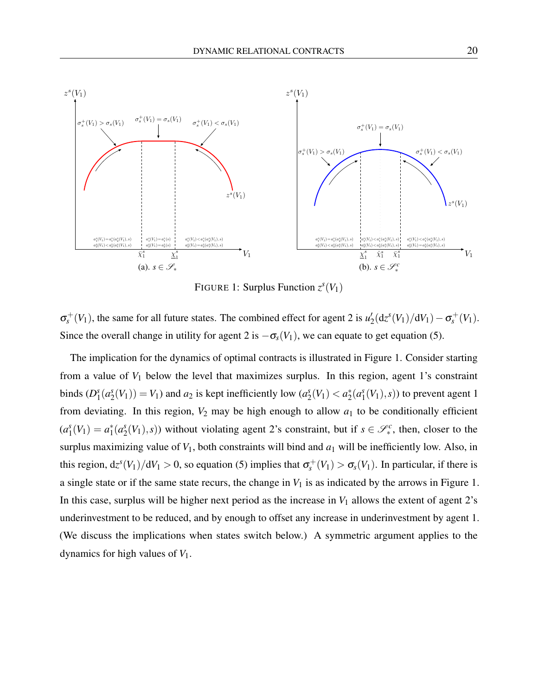

<span id="page-19-1"></span><span id="page-19-0"></span>FIGURE 1: Surplus Function  $z^{s}(V_1)$ 

 $\sigma_s^+(V_1)$ , the same for all future states. The combined effect for agent 2 is  $u_2$  $\sigma_s^2(\text{d}z^s(V_1)/\text{d}V_1)-\sigma_s^+(V_1).$ Since the overall change in utility for agent 2 is  $-\sigma_s(V_1)$ , we can equate to get equation [\(5\)](#page-18-0).

The implication for the dynamics of optimal contracts is illustrated in Figure [1.](#page-19-0) Consider starting from a value of  $V_1$  below the level that maximizes surplus. In this region, agent 1's constraint binds  $(D_1^s)$  $\int_1^s (a_2^s)$  $\binom{s}{2}(V_1) = V_1$ ) and  $a_2$  is kept inefficiently low  $(a_2^s)$  $a_2^s(V_1) < a_2^*$  $2^*(a_1^s)$  $f_1^s(V_1), s)$  to prevent agent 1 from deviating. In this region,  $V_2$  may be high enough to allow  $a_1$  to be conditionally efficient (*a s*  $a_1^s(V_1) = a_1^*$  $i_1^*(a_2^s)$  $(2^s(Y_1), s)$ ) without violating agent 2's constraint, but if  $s \in \mathscr{S}_*^c$ , then, closer to the surplus maximizing value of  $V_1$ , both constraints will bind and  $a_1$  will be inefficiently low. Also, in this region,  $dz^{s}(V_1)/dV_1 > 0$ , so equation [\(5\)](#page-18-0) implies that  $\sigma_s^+(V_1) > \sigma_s(V_1)$ . In particular, if there is a single state or if the same state recurs, the change in  $V_1$  is as indicated by the arrows in Figure [1.](#page-19-0) In this case, surplus will be higher next period as the increase in  $V_1$  allows the extent of agent 2's underinvestment to be reduced, and by enough to offset any increase in underinvestment by agent 1. (We discuss the implications when states switch below.) A symmetric argument applies to the dynamics for high values of *V*1.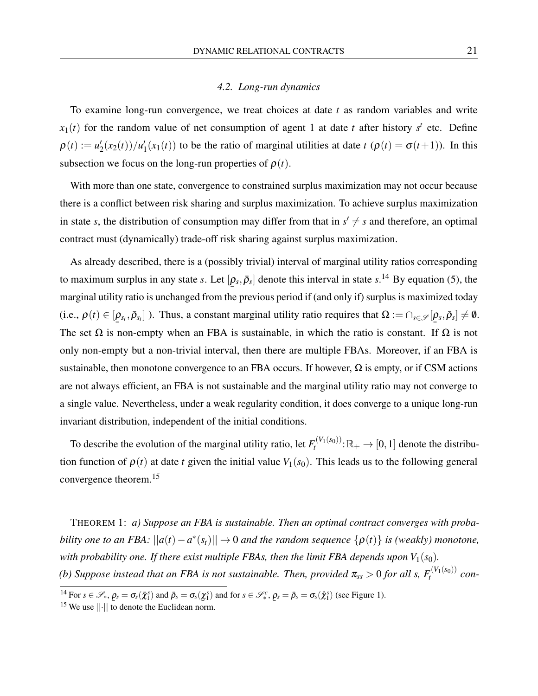## *4.2. Long-run dynamics*

To examine long-run convergence, we treat choices at date *t* as random variables and write  $x_1(t)$  for the random value of net consumption of agent 1 at date *t* after history  $s^t$  etc. Define  $\rho(t) \vcentcolon= u_2^l$  $\frac{1}{2}(x_2(t))/u_1^{\prime}$  $f_1(x_1(t))$  to be the ratio of marginal utilities at date  $t(\rho(t) = \sigma(t+1))$ . In this subsection we focus on the long-run properties of  $\rho(t)$ .

With more than one state, convergence to constrained surplus maximization may not occur because there is a conflict between risk sharing and surplus maximization. To achieve surplus maximization in state *s*, the distribution of consumption may differ from that in  $s' \neq s$  and therefore, an optimal contract must (dynamically) trade-off risk sharing against surplus maximization.

As already described, there is a (possibly trivial) interval of marginal utility ratios corresponding to maximum surplus in any state *s*. Let  $[\rho_s, \bar{\rho}_s]$  denote this interval in state *s*.<sup>14</sup> By equation [\(5\)](#page-18-0), the ¯ marginal utility ratio is unchanged from the previous period if (and only if) surplus is maximized today (i.e.,  $\rho(t) \in [$ **−**  $[\rho_{s_t}, \bar{\rho}_{s_t}]$ ). Thus, a constant marginal utility ratio requires that  $\Omega := \cap_{s \in \mathscr{S}}$ :<br>.  $[\rho_s,\bar{\rho}_s]\neq\emptyset.$ The set  $\Omega$  is non-empty when an FBA is sustainable, in which the ratio is constant. If  $\Omega$  is not only non-empty but a non-trivial interval, then there are multiple FBAs. Moreover, if an FBA is sustainable, then monotone convergence to an FBA occurs. If however,  $\Omega$  is empty, or if CSM actions are not always efficient, an FBA is not sustainable and the marginal utility ratio may not converge to a single value. Nevertheless, under a weak regularity condition, it does converge to a unique long-run invariant distribution, independent of the initial conditions.

To describe the evolution of the marginal utility ratio, let  $F_t^{(V_1(s_0))}$ :  $\mathbb{R}_+ \to [0,1]$  denote the distribution function of  $\rho(t)$  at date *t* given the initial value  $V_1(s_0)$ . This leads us to the following general convergence theorem.<sup>15</sup>

<span id="page-20-0"></span>THEOREM 1: *a) Suppose an FBA is sustainable. Then an optimal contract converges with probability one to an FBA:*  $||a(t) - a^*(s_t)|| \rightarrow 0$  *and the random sequence*  $\{\rho(t)\}\$ *is (weakly) monotone, with probability one. If there exist multiple FBAs, then the limit FBA depends upon*  $V_1(s_0)$ *. (b)* Suppose instead that an FBA is not sustainable. Then, provided  $\pi_{ss} > 0$  for all s,  $F_t^{(V_1(s_0))}$  con-

<sup>&</sup>lt;sup>14</sup> For  $s \in \mathscr{S}_*,$  $\rho_s = \sigma_s(\bar{\chi}_1^s)$  and  $\bar{\rho}_s = \sigma_s($  $\underline{\chi}_1^s$  and for  $s \in \mathscr{S}_*^c$ , ¯  $\rho_s = \bar{\rho}_s = \sigma_s(\hat{\chi}_1^s)$  (see Figure [1\)](#page-19-0).

<sup>–&</sup>lt;br>∂ ≃<br>آ∖ <sup>15</sup> We use  $\left\Vert \cdot\right\Vert$  to denote the Euclidean norm.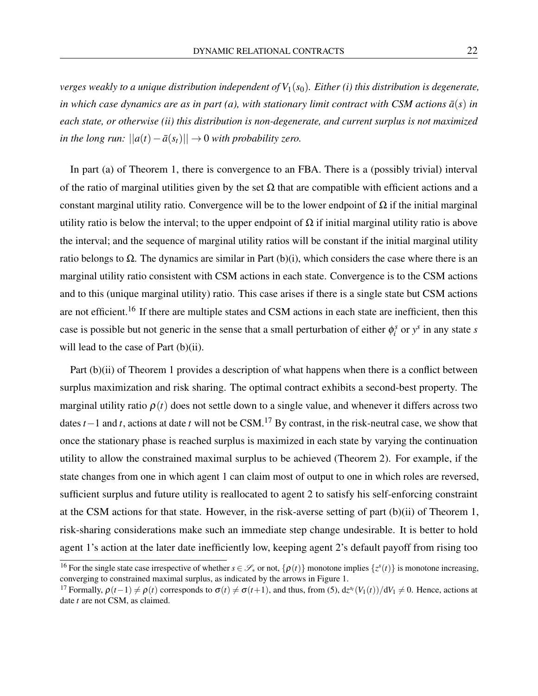*verges weakly to a unique distribution independent of*  $V_1(s_0)$ *. Either (i) this distribution is degenerate, in which case dynamics are as in part (a), with stationary limit contract with CSM actions*  $\bar{a}(s)$  *in each state, or otherwise (ii) this distribution is non-degenerate, and current surplus is not maximized in the long run:*  $||a(t) – \bar{a}(s_t)|| → 0$  *with probability zero.* 

In part (a) of Theorem [1,](#page-20-0) there is convergence to an FBA. There is a (possibly trivial) interval of the ratio of marginal utilities given by the set  $\Omega$  that are compatible with efficient actions and a constant marginal utility ratio. Convergence will be to the lower endpoint of  $\Omega$  if the initial marginal utility ratio is below the interval; to the upper endpoint of  $\Omega$  if initial marginal utility ratio is above the interval; and the sequence of marginal utility ratios will be constant if the initial marginal utility ratio belongs to Ω. The dynamics are similar in Part  $(b)(i)$ , which considers the case where there is an marginal utility ratio consistent with CSM actions in each state. Convergence is to the CSM actions and to this (unique marginal utility) ratio. This case arises if there is a single state but CSM actions are not efficient.<sup>16</sup> If there are multiple states and CSM actions in each state are inefficient, then this case is possible but not generic in the sense that a small perturbation of either  $\phi_i^s$  or  $y^s$  in any state *s* will lead to the case of Part (b)(ii).

Part (b)(ii) of Theorem [1](#page-20-0) provides a description of what happens when there is a conflict between surplus maximization and risk sharing. The optimal contract exhibits a second-best property. The marginal utility ratio  $\rho(t)$  does not settle down to a single value, and whenever it differs across two dates *t*−1 and *t*, actions at date *t* will not be CSM.<sup>17</sup> By contrast, in the risk-neutral case, we show that once the stationary phase is reached surplus is maximized in each state by varying the continuation utility to allow the constrained maximal surplus to be achieved (Theorem [2\)](#page-26-0). For example, if the state changes from one in which agent 1 can claim most of output to one in which roles are reversed, sufficient surplus and future utility is reallocated to agent 2 to satisfy his self-enforcing constraint at the CSM actions for that state. However, in the risk-averse setting of part (b)(ii) of Theorem [1,](#page-20-0) risk-sharing considerations make such an immediate step change undesirable. It is better to hold agent 1's action at the later date inefficiently low, keeping agent 2's default payoff from rising too

<sup>&</sup>lt;sup>16</sup> For the single state case irrespective of whether  $s \in \mathcal{S}_*$  or not,  $\{\rho(t)\}\$  monotone implies  $\{z^s(t)\}\$ is monotone increasing, converging to constrained maximal surplus, as indicated by the arrows in Figure [1.](#page-19-0)

<sup>&</sup>lt;sup>17</sup> Formally,  $\rho(t-1) \neq \rho(t)$  corresponds to  $\sigma(t) \neq \sigma(t+1)$ , and thus, from [\(5\)](#page-18-0),  $dz^{s}(\frac{V_1(t)}{dV_1}) = 0$ . Hence, actions at date *t* are not CSM, as claimed.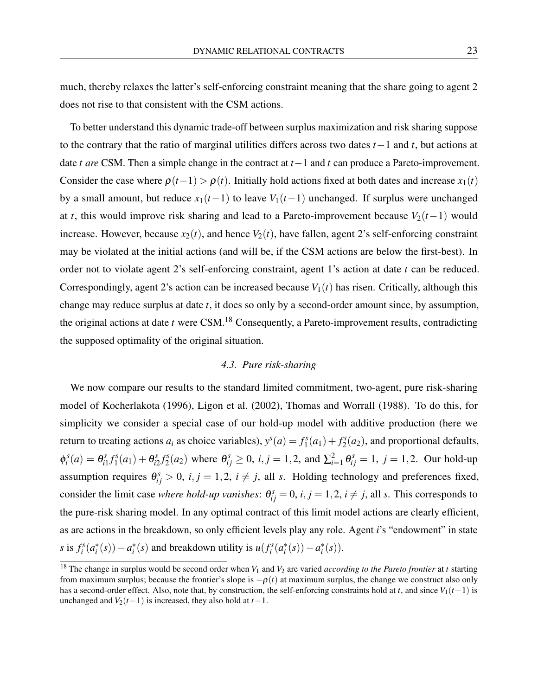much, thereby relaxes the latter's self-enforcing constraint meaning that the share going to agent 2 does not rise to that consistent with the CSM actions.

To better understand this dynamic trade-off between surplus maximization and risk sharing suppose to the contrary that the ratio of marginal utilities differs across two dates *t*−1 and *t*, but actions at date *t are* CSM. Then a simple change in the contract at *t*−1 and *t* can produce a Pareto-improvement. Consider the case where  $\rho(t-1) > \rho(t)$ . Initially hold actions fixed at both dates and increase  $x_1(t)$ by a small amount, but reduce  $x_1(t-1)$  to leave  $V_1(t-1)$  unchanged. If surplus were unchanged at *t*, this would improve risk sharing and lead to a Pareto-improvement because  $V_2(t-1)$  would increase. However, because  $x_2(t)$ , and hence  $V_2(t)$ , have fallen, agent 2's self-enforcing constraint may be violated at the initial actions (and will be, if the CSM actions are below the first-best). In order not to violate agent 2's self-enforcing constraint, agent 1's action at date *t* can be reduced. Correspondingly, agent 2's action can be increased because  $V_1(t)$  has risen. Critically, although this change may reduce surplus at date *t*, it does so only by a second-order amount since, by assumption, the original actions at date *t* were CSM.<sup>18</sup> Consequently, a Pareto-improvement results, contradicting the supposed optimality of the original situation.

## *4.3. Pure risk-sharing*

We now compare our results to the standard limited commitment, two-agent, pure risk-sharing model of [Kocherlakota](#page-36-1) [\(1996\)](#page-36-1), [Ligon et al.](#page-36-2) [\(2002\)](#page-36-2), [Thomas and Worrall](#page-37-3) [\(1988\)](#page-37-3). To do this, for simplicity we consider a special case of our hold-up model with additive production (here we return to treating actions  $a_i$  as choice variables),  $y^s(a) = f_1^s$  $f_1^s(a_1) + f_2^s$  $2^s(2)$ , and proportional defaults,  $\phi_i^s(a) = \theta_{i1}^s$ *i*1 *f s*  $\theta_1^s(a_1) + \theta_{i2}^s$ *i*2 *f s*  $2^{s}(a_2)$  where  $\theta_{ij}^s \ge 0$ ,  $i, j = 1, 2$ , and  $\sum_{i=1}^{2} \theta_{ij}^s = 1$ ,  $j = 1, 2$ . Our hold-up assumption requires  $\theta_{ij}^s > 0$ ,  $i, j = 1, 2$ ,  $i \neq j$ , all *s*. Holding technology and preferences fixed, consider the limit case *where hold-up vanishes*:  $\theta_{ij}^s = 0$ ,  $i, j = 1, 2, i \neq j$ , all *s*. This corresponds to the pure-risk sharing model. In any optimal contract of this limit model actions are clearly efficient, as are actions in the breakdown, so only efficient levels play any role. Agent *i*'s "endowment" in state s is  $f_i^s(a_i^*(s)) - a_i^*(s)$  and breakdown utility is  $u(f_i^s(a_i^*(s)) - a_i^*(s))$ .

<sup>&</sup>lt;sup>18</sup> The change in surplus would be second order when  $V_1$  and  $V_2$  are varied *according to the Pareto frontier* at *t* starting from maximum surplus; because the frontier's slope is  $-\rho(t)$  at maximum surplus, the change we construct also only has a second-order effect. Also, note that, by construction, the self-enforcing constraints hold at *t*, and since  $V_1(t-1)$  is unchanged and  $V_2(t-1)$  is increased, they also hold at  $t-1$ .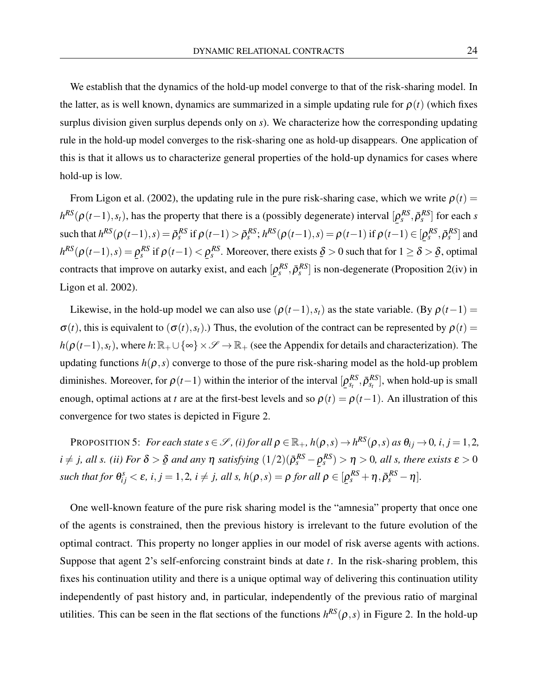We establish that the dynamics of the hold-up model converge to that of the risk-sharing model. In the latter, as is well known, dynamics are summarized in a simple updating rule for  $\rho(t)$  (which fixes surplus division given surplus depends only on *s*). We characterize how the corresponding updating rule in the hold-up model converges to the risk-sharing one as hold-up disappears. One application of this is that it allows us to characterize general properties of the hold-up dynamics for cases where hold-up is low.

From [Ligon et al.](#page-36-2) [\(2002\)](#page-36-2), the updating rule in the pure risk-sharing case, which we write  $\rho(t)$  =  $h^{RS}(\rho(t-1), s_t)$ , has the property that there is a (possibly degenerate) interval  $[\rho_s^{RS}, \bar{\rho}_s^{RS}]$  for each *s* **−** such that  $h^{RS}(\rho(t-1),s) = \bar{\rho}_s^{RS}$  if  $\rho(t-1) > \bar{\rho}_s^{RS}$ ;  $h^{RS}(\rho(t-1),s) = \rho(t-1)$  if  $\rho(t-1) \in [\rho_s^{RS}, \bar{\rho}_s^{RS}]$  and ¯  $h^{RS}(\rho(t-1), s) = \rho_s^{RS}$  if  $\rho(t-1) < \rho_s^{RS}$ . Moreover, there exists  $\delta > 0$  such that for  $1 \ge \delta > \delta$ , optimal  $\sum_{i=1}^{n}$   $\sum_{j=1}^{n}$   $\sum_{i=1}^{n}$   $\sum_{j=1}^{n}$   $\sum_{i=1}^{n}$   $\sum_{j=1}^{n}$   $\sum_{i=1}^{n}$   $\sum_{j=1}^{n}$   $\sum_{i=1}^{n}$   $\sum_{j=1}^{n}$   $\sum_{i=1}^{n}$   $\sum_{i=1}^{n}$   $\sum_{i=1}^{n}$   $\sum_{i=1}^{n}$   $\sum_{i=1}^{n}$   $\sum_{i=1}^{n}$   $\sum_{i=1}^{n}$  contracts that improve on autarky exist, and each [ ¯  $\rho_s^{RS}, \bar{\rho}_s^{RS}$ ] is non-degenerate (Proposition 2(iv) in [Ligon et al.](#page-36-2) [2002\)](#page-36-2).

Likewise, in the hold-up model we can also use  $(\rho(t-1), s_t)$  as the state variable. (By  $\rho(t-1)$  =  $\sigma(t)$ , this is equivalent to  $(\sigma(t), s_t)$ .) Thus, the evolution of the contract can be represented by  $\rho(t)$  = *h*( $\rho$ (*t*−1),*s*<sup>*t*</sup>), where *h*: $\mathbb{R}_+ \cup \{\infty\} \times \mathcal{S} \to \mathbb{R}_+$  (see the Appendix for details and characterization). The updating functions  $h(\rho, s)$  converge to those of the pure risk-sharing model as the hold-up problem diminishes. Moreover, for  $\rho(t-1)$  within the interior of the interval  $[\rho^{RS}_{s_t}, \bar{\rho}^{RS}_{s_t}]$ , when hold-up is small ¯ enough, optimal actions at *t* are at the first-best levels and so  $\rho(t) = \rho(t-1)$ . An illustration of this convergence for two states is depicted in Figure [2.](#page-24-1)

<span id="page-23-0"></span>**PROPOSITION 5:** For each state  $s \in \mathcal{S}$ , (i) for all  $\rho \in \mathbb{R}_+$ ,  $h(\rho, s) \to h^{RS}(\rho, s)$  as  $\theta_{ij} \to 0$ , i,  $j = 1, 2$ ,  $i \neq j$ , all *s. (ii)* For  $\delta > \delta$  and any  $\eta$  satisfying  $(1/2)(\bar{\rho}_s^{RS} - \rho_s^{RS}) > \eta > 0$ , all *s, there exists*  $\varepsilon > 0$  $\frac{1}{2}$  and any pairing  $\frac{1}{2}$  (-)  $\frac{1}{2}$  (-) *such that for*  $\theta_{ij}^s < \varepsilon$ ,  $i, j = 1, 2$ ,  $i \neq j$ , all s,  $h(\rho, s) = \rho$  for all  $\rho \in [$ ¯  $\rho_s^{RS} + \eta, \bar{\rho}_s^{RS} - \eta$  ].

One well-known feature of the pure risk sharing model is the "amnesia" property that once one of the agents is constrained, then the previous history is irrelevant to the future evolution of the optimal contract. This property no longer applies in our model of risk averse agents with actions. Suppose that agent 2's self-enforcing constraint binds at date *t*. In the risk-sharing problem, this fixes his continuation utility and there is a unique optimal way of delivering this continuation utility independently of past history and, in particular, independently of the previous ratio of marginal utilities. This can be seen in the flat sections of the functions  $h^{RS}(\rho, s)$  in Figure [2.](#page-24-1) In the hold-up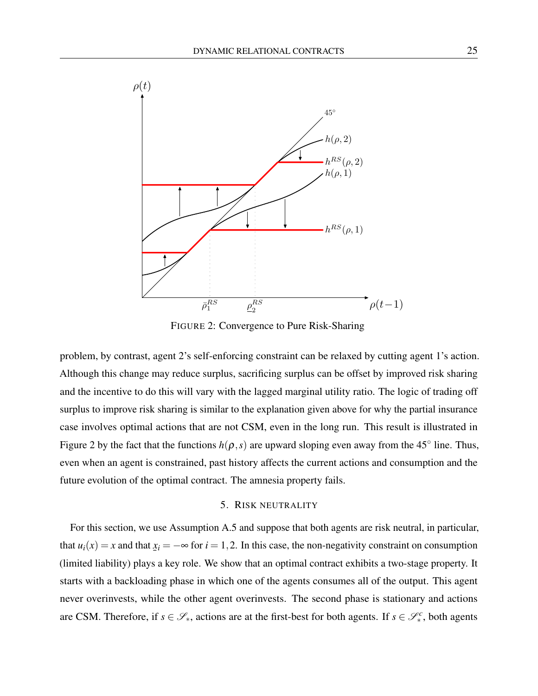

<span id="page-24-1"></span>FIGURE 2: Convergence to Pure Risk-Sharing

problem, by contrast, agent 2's self-enforcing constraint can be relaxed by cutting agent 1's action. Although this change may reduce surplus, sacrificing surplus can be offset by improved risk sharing and the incentive to do this will vary with the lagged marginal utility ratio. The logic of trading off surplus to improve risk sharing is similar to the explanation given above for why the partial insurance case involves optimal actions that are not CSM, even in the long run. This result is illustrated in Figure [2](#page-24-1) by the fact that the functions  $h(\rho, s)$  are upward sloping even away from the 45<sup>°</sup> line. Thus, even when an agent is constrained, past history affects the current actions and consumption and the future evolution of the optimal contract. The amnesia property fails.

## 5. RISK NEUTRALITY

<span id="page-24-0"></span>For this section, we use Assumption [A.5](#page-29-1) and suppose that both agents are risk neutral, in particular, that  $u_i(x) = x$  and that  $x_i = -\infty$  for  $i = 1, 2$ . In this case, the non-negativity constraint on consumption (limited liability) plays a key role. We show that an optimal contract exhibits a two-stage property. It starts with a backloading phase in which one of the agents consumes all of the output. This agent never overinvests, while the other agent overinvests. The second phase is stationary and actions are CSM. Therefore, if  $s \in \mathscr{S}_*$ , actions are at the first-best for both agents. If  $s \in \mathscr{S}_*^c$ , both agents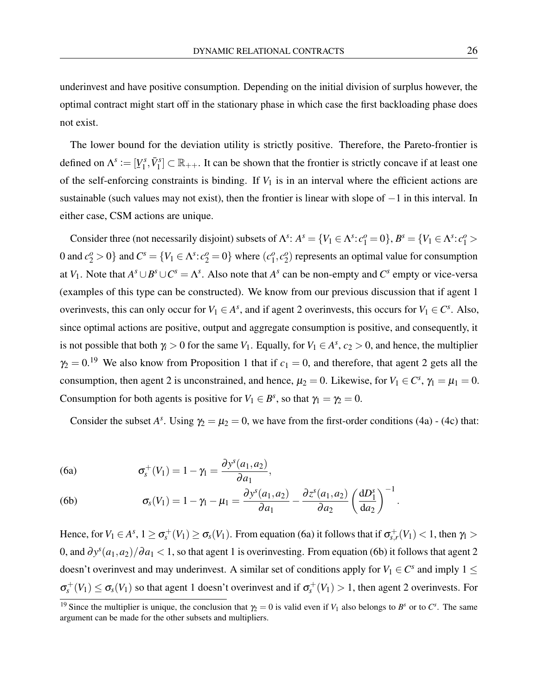underinvest and have positive consumption. Depending on the initial division of surplus however, the optimal contract might start off in the stationary phase in which case the first backloading phase does not exist.

The lower bound for the deviation utility is strictly positive. Therefore, the Pareto-frontier is defined on  $\Lambda^s := [$ ¯ *V s*  $[u_1^s, \bar{V}_1^s] \subset \mathbb{R}_{++}$ . It can be shown that the frontier is strictly concave if at least one of the self-enforcing constraints is binding. If  $V_1$  is in an interval where the efficient actions are sustainable (such values may not exist), then the frontier is linear with slope of −1 in this interval. In either case, CSM actions are unique.

Consider three (not necessarily disjoint) subsets of  $\Lambda^s$ :  $A^s = \{V_1 \in \Lambda^s : c_1^o = 0\}$ ,  $B^s = \{V_1 \in \Lambda^s : c_1^o > 0\}$ 0 and  $c_2^o > 0$ } and  $C^s = \{V_1 \in \Lambda^s : c_2^o = 0\}$  where  $(c_1^o)$  $_1^o, c_2^o$  $_2^o$ ) represents an optimal value for consumption at *V*<sub>1</sub>. Note that  $A^s \cup B^s \cup C^s = \Lambda^s$ . Also note that  $A^s$  can be non-empty and  $C^s$  empty or vice-versa (examples of this type can be constructed). We know from our previous discussion that if agent 1 overinvests, this can only occur for  $V_1 \in A^s$ , and if agent 2 overinvests, this occurs for  $V_1 \in C^s$ . Also, since optimal actions are positive, output and aggregate consumption is positive, and consequently, it is not possible that both  $\gamma_i > 0$  for the same  $V_1$ . Equally, for  $V_1 \in A^s$ ,  $c_2 > 0$ , and hence, the multiplier  $\gamma_2 = 0$ <sup>[1](#page-13-1)9</sup> We also know from Proposition 1 that if  $c_1 = 0$ , and therefore, that agent 2 gets all the consumption, then agent 2 is unconstrained, and hence,  $\mu_2 = 0$ . Likewise, for  $V_1 \in C^s$ ,  $\gamma_1 = \mu_1 = 0$ . Consumption for both agents is positive for  $V_1 \in B^s$ , so that  $\gamma_1 = \gamma_2 = 0$ .

Consider the subset  $A^s$ . Using  $\gamma_2 = \mu_2 = 0$ , we have from the first-order conditions [\(4a\)](#page-16-1) - [\(4c\)](#page-16-2) that:

<span id="page-25-0"></span>(6a) 
$$
\sigma_s^+(V_1) = 1 - \gamma_1 = \frac{\partial y^s(a_1, a_2)}{\partial a_1},
$$

<span id="page-25-1"></span>(6b) 
$$
\sigma_s(V_1)=1-\gamma_1-\mu_1=\frac{\partial y^s(a_1,a_2)}{\partial a_1}-\frac{\partial z^s(a_1,a_2)}{\partial a_2}\left(\frac{dD_1^s}{da_2}\right)^{-1}.
$$

Hence, for  $V_1 \in A^s$ ,  $1 \ge \sigma_s^+(V_1) \ge \sigma_s(V_1)$ . From equation [\(6a\)](#page-25-0) it follows that if  $\sigma_{s,r}^+(V_1) < 1$ , then  $\gamma_1 >$ 0, and  $\partial y^{s}(a_1,a_2)/\partial a_1 < 1$ , so that agent 1 is overinvesting. From equation [\(6b\)](#page-25-1) it follows that agent 2 doesn't overinvest and may underinvest. A similar set of conditions apply for  $V_1 \in C^s$  and imply  $1 \leq$  $\sigma_s^+(V_1) \leq \sigma_s(V_1)$  so that agent 1 doesn't overinvest and if  $\sigma_s^+(V_1) > 1$ , then agent 2 overinvests. For

<sup>&</sup>lt;sup>19</sup> Since the multiplier is unique, the conclusion that  $\gamma_2 = 0$  is valid even if  $V_1$  also belongs to  $B^s$  or to  $C^s$ . The same argument can be made for the other subsets and multipliers.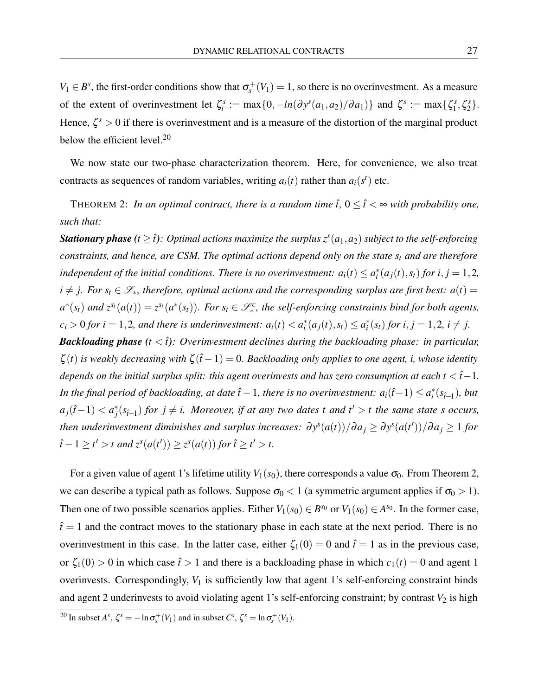$V_1 \in B^s$ , the first-order conditions show that  $\sigma_s^+(V_1) = 1$ , so there is no overinvestment. As a measure of the extent of overinvestment let  $\zeta_i^s := \max\{0, -\ln(\partial y^s(a_1, a_2)/\partial a_1)\}\$  and  $\zeta_s^s := \max\{\zeta_i^s\}$  $\zeta_1^s, \zeta_2^s$  $\begin{matrix} \mathcal{S} \\ 2 \end{matrix}$ . Hence,  $\zeta^s > 0$  if there is overinvestment and is a measure of the distortion of the marginal product below the efficient level. $^{20}$ 

We now state our two-phase characterization theorem. Here, for convenience, we also treat contracts as sequences of random variables, writing  $a_i(t)$  rather than  $a_i(s^t)$  etc.

<span id="page-26-0"></span>THEOREM 2: *In an optimal contract, there is a random time*  $\hat{t}$ ,  $0 \leq \hat{t} < \infty$  with probability one, *such that:*

 $\bm{Stationary\ phase\ (t \geq \hat{t}) : \bm{Optimal\ actions\ maximize} \ maximize\ the\ surplus\ z^s(a_1,a_2) \ subject\ to\ the\ self-enforcing$ *constraints, and hence, are CSM. The optimal actions depend only on the state s<sup>t</sup> and are therefore independent of the initial conditions. There is no overinvestment:*  $a_i(t) \leq a_i^*(a_j(t), s_t)$  for  $i, j = 1, 2$ ,  $i \neq j$ . For  $s_t \in \mathscr{S}_*$ , therefore, optimal actions and the corresponding surplus are first best:  $a(t)$  =  $a^*(s_t)$  and  $z^{s_t}(a(t)) = z^{s_t}(a^*(s_t))$ . For  $s_t \in \mathcal{S}_*^c$ , the self-enforcing constraints bind for both agents,  $c_i > 0$  for  $i = 1, 2$ , and there is underinvestment:  $a_i(t) < a_i^*(a_j(t), s_t) \le a_i^*(s_t)$  for  $i, j = 1, 2, i \ne j$ . *Backloading phase (* $t < \hat{t}$ *): Overinvestment declines during the backloading phase: in particular,*  $\zeta(t)$  *is weakly decreasing with*  $\zeta(\hat{t}-1) = 0$ . Backloading only applies to one agent, *i*, whose identity *depends on the initial surplus split: this agent overinvests and has zero consumption at each*  $t < \hat{t} - 1$ *. In the final period of backloading, at date t*ˆ−1*, there is no overinvestment: ai*(*t*ˆ−1) ≤ *a* ∗ *i* (*st*ˆ−<sup>1</sup> )*, but*  $a_j(\hat{t}-1) < a_j^*(s_{\hat{t}-1})$  for  $j \neq i$ . Moreover, if at any two dates t and  $t' > t$  the same state s occurs, *then underinvestment diminishes and surplus increases:*  $\partial y^s(a(t))/\partial a_j \ge \partial y^s(a(t'))/\partial a_j \ge 1$  for  $\hat{t} - 1 \ge t' > t$  and  $z^s(a(t')) \ge z^s(a(t))$  for  $\hat{t} \ge t' > t$ .

For a given value of agent 1's lifetime utility  $V_1(s_0)$ , there corresponds a value  $\sigma_0$ . From Theorem [2,](#page-26-0) we can describe a typical path as follows. Suppose  $\sigma_0 < 1$  (a symmetric argument applies if  $\sigma_0 > 1$ ). Then one of two possible scenarios applies. Either  $V_1(s_0) \in B^{s_0}$  or  $V_1(s_0) \in A^{s_0}$ . In the former case,  $\hat{t}$  = 1 and the contract moves to the stationary phase in each state at the next period. There is no overinvestment in this case. In the latter case, either  $\zeta_1(0) = 0$  and  $\hat{t} = 1$  as in the previous case, or  $\zeta_1(0) > 0$  in which case  $\hat{t} > 1$  and there is a backloading phase in which  $c_1(t) = 0$  and agent 1 overinvests. Correspondingly,  $V_1$  is sufficiently low that agent 1's self-enforcing constraint binds and agent 2 underinvests to avoid violating agent 1's self-enforcing constraint; by contrast  $V_2$  is high

<sup>&</sup>lt;sup>20</sup> In subset  $A^s$ ,  $\zeta^s = -\ln \sigma_s^+(V_1)$  and in subset  $C^s$ ,  $\zeta^s = \ln \sigma_s^+(V_1)$ .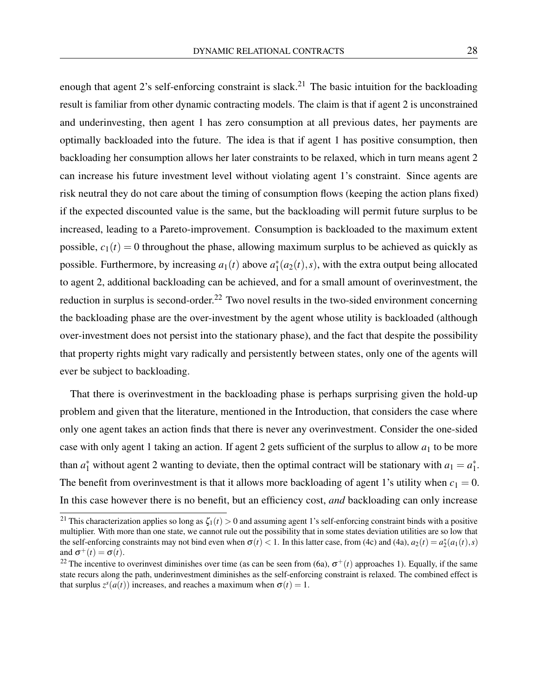enough that agent 2's self-enforcing constraint is slack.<sup>21</sup> The basic intuition for the backloading result is familiar from other dynamic contracting models. The claim is that if agent 2 is unconstrained and underinvesting, then agent 1 has zero consumption at all previous dates, her payments are optimally backloaded into the future. The idea is that if agent 1 has positive consumption, then backloading her consumption allows her later constraints to be relaxed, which in turn means agent 2 can increase his future investment level without violating agent 1's constraint. Since agents are risk neutral they do not care about the timing of consumption flows (keeping the action plans fixed) if the expected discounted value is the same, but the backloading will permit future surplus to be increased, leading to a Pareto-improvement. Consumption is backloaded to the maximum extent possible,  $c_1(t) = 0$  throughout the phase, allowing maximum surplus to be achieved as quickly as possible. Furthermore, by increasing  $a_1(t)$  above  $a_1^*$  $i_1^*(a_2(t), s)$ , with the extra output being allocated to agent 2, additional backloading can be achieved, and for a small amount of overinvestment, the reduction in surplus is second-order.<sup>22</sup> Two novel results in the two-sided environment concerning the backloading phase are the over-investment by the agent whose utility is backloaded (although over-investment does not persist into the stationary phase), and the fact that despite the possibility that property rights might vary radically and persistently between states, only one of the agents will ever be subject to backloading.

That there is overinvestment in the backloading phase is perhaps surprising given the hold-up problem and given that the literature, mentioned in the Introduction, that considers the case where only one agent takes an action finds that there is never any overinvestment. Consider the one-sided case with only agent 1 taking an action. If agent 2 gets sufficient of the surplus to allow  $a_1$  to be more than  $a_1^*$  without agent 2 wanting to deviate, then the optimal contract will be stationary with  $a_1 = a_1^*$  $\frac{*}{1}$ . The benefit from overinvestment is that it allows more backloading of agent 1's utility when  $c_1 = 0$ . In this case however there is no benefit, but an efficiency cost, *and* backloading can only increase

<sup>&</sup>lt;sup>21</sup> This characterization applies so long as  $\zeta_1(t) > 0$  and assuming agent 1's self-enforcing constraint binds with a positive multiplier. With more than one state, we cannot rule out the possibility that in some states deviation utilities are so low that the self-enforcing constraints may not bind even when  $\sigma(t) < 1$ . In this latter case, from [\(4c\)](#page-16-2) and [\(4a\)](#page-16-1),  $a_2(t) = a_2^*(a_1(t), s)$ and  $\sigma^+(t) = \sigma(t)$ .

<sup>&</sup>lt;sup>22</sup> The incentive to overinvest diminishes over time (as can be seen from [\(6a\)](#page-25-0),  $\sigma^+(t)$  approaches 1). Equally, if the same state recurs along the path, underinvestment diminishes as the self-enforcing constraint is relaxed. The combined effect is that surplus  $z^s(a(t))$  increases, and reaches a maximum when  $\sigma(t) = 1$ .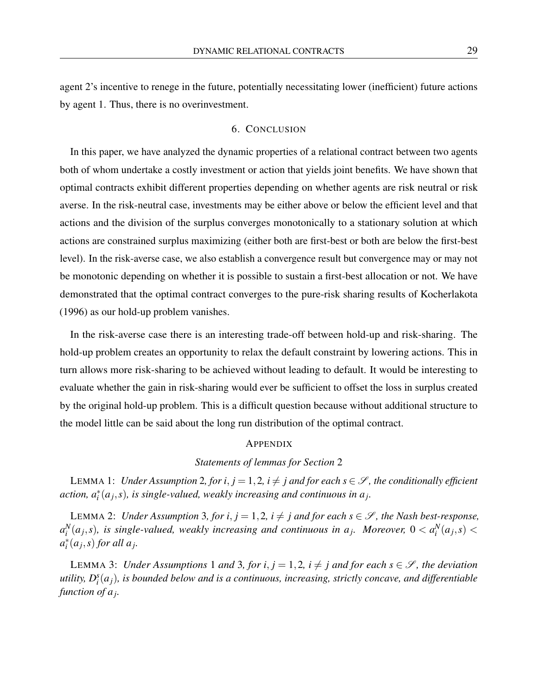<span id="page-28-0"></span>agent 2's incentive to renege in the future, potentially necessitating lower (inefficient) future actions by agent 1. Thus, there is no overinvestment.

#### 6. CONCLUSION

In this paper, we have analyzed the dynamic properties of a relational contract between two agents both of whom undertake a costly investment or action that yields joint benefits. We have shown that optimal contracts exhibit different properties depending on whether agents are risk neutral or risk averse. In the risk-neutral case, investments may be either above or below the efficient level and that actions and the division of the surplus converges monotonically to a stationary solution at which actions are constrained surplus maximizing (either both are first-best or both are below the first-best level). In the risk-averse case, we also establish a convergence result but convergence may or may not be monotonic depending on whether it is possible to sustain a first-best allocation or not. We have demonstrated that the optimal contract converges to the pure-risk sharing results of [Kocherlakota](#page-36-1) [\(1996\)](#page-36-1) as our hold-up problem vanishes.

In the risk-averse case there is an interesting trade-off between hold-up and risk-sharing. The hold-up problem creates an opportunity to relax the default constraint by lowering actions. This in turn allows more risk-sharing to be achieved without leading to default. It would be interesting to evaluate whether the gain in risk-sharing would ever be sufficient to offset the loss in surplus created by the original hold-up problem. This is a difficult question because without additional structure to the model little can be said about the long run distribution of the optimal contract.

#### APPENDIX

#### *Statements of lemmas for Section* [2](#page-7-0)

<span id="page-28-1"></span>LEMMA 1: *Under Assumption [2](#page-8-0), for*  $i, j = 1, 2, i \neq j$  *and for each*  $s \in \mathcal{S}$ , the conditionally efficient action,  $a_i^*(a_j, s)$ , is single-valued, weakly increasing and continuous in  $a_j$ .

<span id="page-28-3"></span>LEMMA 2: *Under Assumption* [3](#page-9-0), for *i*,  $j = 1, 2$ ,  $i \neq j$  and for each  $s \in \mathcal{S}$ , the Nash best-response,  $a_i^N(a_j, s)$ , is single-valued, weakly increasing and continuous in  $a_j$ . Moreover,  $0 < a_i^N(a_j, s) <$  $a_i^*(a_j, s)$  *for all a<sub>j</sub>*.

<span id="page-28-2"></span>LEMMA [3](#page-9-0): *Under Assumptions* [1](#page-8-1) *and* 3, *for*  $i, j = 1, 2, i \neq j$  *and for each*  $s \in \mathcal{S}$ , *the deviation* utility,  $D_i^s(a_j)$ , is bounded below and is a continuous, increasing, strictly concave, and differentiable *function of a<sup>j</sup> .*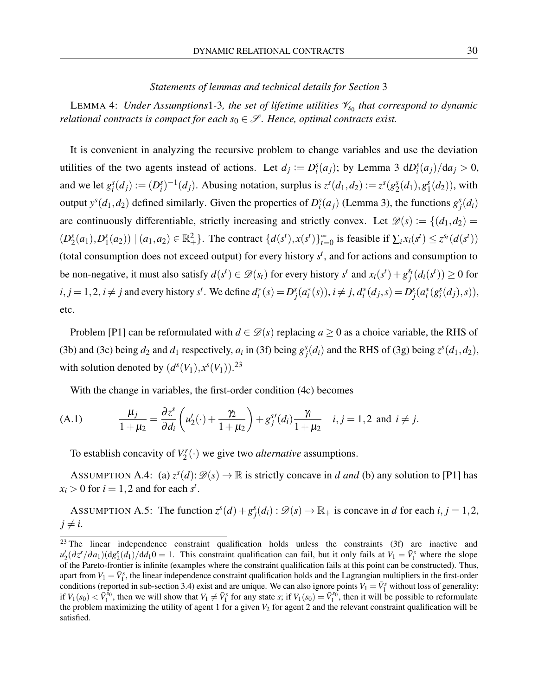#### *Statements of lemmas and technical details for Section* [3](#page-13-0)

<span id="page-29-3"></span>LEMMA 4: Under Assumptions[1](#page-8-1)-[3](#page-9-0), the set of lifetime utilities  $\mathscr{V}_{s_0}$  that correspond to dynamic *relational contracts is compact for each*  $s_0 \in \mathcal{S}$ *. Hence, optimal contracts exist.* 

It is convenient in analyzing the recursive problem to change variables and use the deviation utilities of the two agents instead of actions. Let  $d_j := D_i^s(a_j)$ ; by Lemma [3](#page-28-2)  $dD_i^s(a_j)/da_j > 0$ , and we let  $g_i^s(d_j) := (D_i^s)^{-1}(d_j)$ . Abusing notation, surplus is  $z^s(d_1, d_2) := z^s(g_2^s)$  $^{s}_{2}(d_{1}),$ g $^{s}_{1}$  $_1^s(d_2)$ ), with output  $y^{s}(d_1, d_2)$  defined similarly. Given the properties of  $D_i^{s}(a_j)$  (Lemma [3\)](#page-28-2), the functions  $g_j^{s}(d_i)$ are continuously differentiable, strictly increasing and strictly convex. Let  $\mathscr{D}(s) := \{(d_1, d_2) =$ (*D s*  $^{s}_{2}(a_{1}), D^{s}_{1}$  $\{f_1^s(a_2)\}\ (a_1, a_2) \in \mathbb{R}^2_+\}.$  The contract  $\{d(s^t), x(s^t)\}_{t=0}^{\infty}$  is feasible if  $\sum_i x_i(s^t) \leq z^{s_t}(d(s^t))$ (total consumption does not exceed output) for every history  $s<sup>t</sup>$ , and for actions and consumption to be non-negative, it must also satisfy  $d(s^t) \in \mathcal{D}(s_t)$  for every history  $s^t$  and  $x_i(s^t) + g_i^{s_t}$  $\int\limits_{j}^{\mathsf{S}_{t}}(d_{i}(s^{t}))\geq0$  for  $i, j = 1, 2, i \neq j$  and every history  $s^t$ . We define  $d_i^*(s) = D_j^s(a_i^*(s)), i \neq j, d_i^*(d_j, s) = D_j^s(a_i^*(g_i^s(d_j), s)),$ etc.

Problem [P1] can be reformulated with  $d \in \mathcal{D}(s)$  replacing  $a \ge 0$  as a choice variable, the RHS of [\(3b\)](#page-15-1) and [\(3c\)](#page-15-2) being  $d_2$  and  $d_1$  respectively,  $a_i$  in [\(3f\)](#page-15-5) being  $g_j^s(d_i)$  and the RHS of [\(3g\)](#page-15-6) being  $z^s(d_1, d_2)$ , with solution denoted by  $(d^{s}(V_1), x^{s}(V_1)).^{23}$ 

With the change in variables, the first-order condition [\(4c\)](#page-16-2) becomes

<span id="page-29-2"></span>(A.1) 
$$
\frac{\mu_j}{1+\mu_2} = \frac{\partial z^s}{\partial d_i} \left( u'_2(\cdot) + \frac{\gamma_2}{1+\mu_2} \right) + g_j^{s'}(d_i) \frac{\gamma_i}{1+\mu_2} \quad i, j = 1, 2 \text{ and } i \neq j.
$$

To establish concavity of  $V_2^r$  $Z_2^r(\cdot)$  we give two *alternative* assumptions.

<span id="page-29-0"></span>ASSUMPTION A.4: (a)  $z^{s}(d)$ :  $\mathcal{D}(s) \to \mathbb{R}$  is strictly concave in *d and* (b) any solution to [P1] has  $x_i > 0$  for  $i = 1, 2$  and for each  $s^t$ .

<span id="page-29-1"></span>ASSUMPTION A.5: The function  $z^{s}(d) + g^{s}(d_i)$ :  $\mathcal{D}(s) \rightarrow \mathbb{R}_+$  is concave in *d* for each *i*, *j* = 1, 2,  $j \neq i$ .

 $23$  The linear independence constraint qualification holds unless the constraints [\(3f\)](#page-15-5) are inactive and  $u'_2(\partial z^s/\partial a_1)(dg_2^s(d_1)/dd_10 = 1$ . This constraint qualification can fail, but it only fails at  $V_1 = \bar{V}_1^s$  where the slope of the Pareto-frontier is infinite (examples where the constraint qualification fails at this point can be constructed). Thus, apart from  $V_1 = \bar{V}_1^s$ , the linear independence constraint qualification holds and the Lagrangian multipliers in the first-order conditions (reported in sub-section [3.4\)](#page-16-3) exist and are unique. We can also ignore points  $V_1 = \bar{V}_1^s$  without loss of generality: if  $V_1(s_0) < \overline{V}_1^{s_0}$ , then we will show that  $V_1 \neq \overline{V}_1^s$  for any state *s*; if  $V_1(s_0) = \overline{V}_1^{s_0}$ , then it will be possible to reformulate the problem maximizing the utility of agent 1 for a given  $V_2$  for agent 2 and the relevant constraint qualification will be satisfied.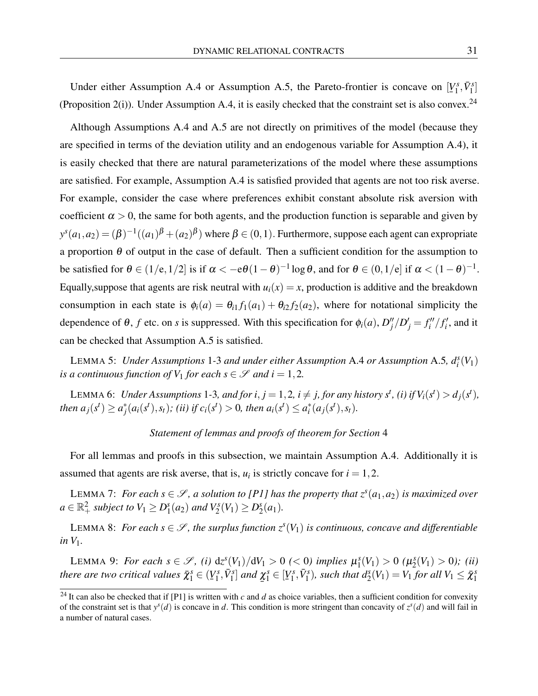Under either Assumption [A.4](#page-29-0) or Assumption [A.5,](#page-29-1) the Pareto-frontier is concave on [ ¯ *V s*  $\left[ \frac{s}{1}, \bar{V}_1^s \right]$ (Proposition [2\(](#page-14-0)i)). Under Assumption [A.4,](#page-29-0) it is easily checked that the constraint set is also convex.<sup>24</sup>

Although Assumptions [A.4](#page-29-0) and [A.5](#page-29-1) are not directly on primitives of the model (because they are specified in terms of the deviation utility and an endogenous variable for Assumption [A.4\)](#page-29-0), it is easily checked that there are natural parameterizations of the model where these assumptions are satisfied. For example, Assumption [A.4](#page-29-0) is satisfied provided that agents are not too risk averse. For example, consider the case where preferences exhibit constant absolute risk aversion with coefficient  $\alpha > 0$ , the same for both agents, and the production function is separable and given by  $y^s(a_1,a_2)=(\beta)^{-1}((a_1)^\beta+(a_2)^\beta)$  where  $\beta\in(0,1).$  Furthermore, suppose each agent can expropriate a proportion  $\theta$  of output in the case of default. Then a sufficient condition for the assumption to be satisfied for  $\theta \in (1/e, 1/2]$  is if  $\alpha < -e\theta(1-\theta)^{-1}\log\theta$ , and for  $\theta \in (0, 1/e]$  if  $\alpha < (1-\theta)^{-1}$ . Equally, suppose that agents are risk neutral with  $u_i(x) = x$ , production is additive and the breakdown consumption in each state is  $\phi_i(a) = \theta_{i1} f_1(a_1) + \theta_{i2} f_2(a_2)$ , where for notational simplicity the dependence of  $\theta$ ,  $f$  etc. on *s* is suppressed. With this specification for  $\phi_i(a)$ ,  $D''_j/D'_j = f''_i/f'_i$ , and it can be checked that Assumption [A.5](#page-29-1) is satisfied.

<span id="page-30-3"></span>LEMMA 5: *Under Assumptions* [1](#page-8-1)*-*[3](#page-9-0) *and under either Assumption* [A.4](#page-29-0) *or Assumption* [A.5](#page-29-1)*, d s i* (*V*1) *is a continuous function of*  $V_1$  *for each s*  $\in \mathcal{S}$  *and i* = 1,2*.* 

LEMMA 6: Under Assumptions [1](#page-8-1)-[3](#page-9-0), and for  $i, j = 1, 2, i \neq j$ , for any history  $s^t$ , (i) if  $V_i(s^t) > d_j(s^t)$ , then  $a_j(s^t) \ge a_j^*(a_i(s^t), s_t)$ ; (ii) if  $c_i(s^t) > 0$ , then  $a_i(s^t) \le a_i^*(a_j(s^t), s_t)$ .

## *Statement of lemmas and proofs of theorem for Section* [4](#page-17-0)

For all lemmas and proofs in this subsection, we maintain Assumption [A.4.](#page-29-0) Additionally it is assumed that agents are risk averse, that is,  $u_i$  is strictly concave for  $i = 1, 2$ .

<span id="page-30-2"></span>LEMMA 7: For each  $s \in \mathcal{S}$ , a solution to [P1] has the property that  $z^{s}(a_1, a_2)$  is maximized over  $a \in \mathbb{R}_+^2$  *subject to*  $V_1 \ge D_1^s$  $I_1^s(a_2)$  and  $V_2^s(V_1) \ge D_2^s$  $_{2}^{s}(a_1).$ 

<span id="page-30-1"></span>LEMMA 8: For each  $s \in \mathscr{S}$ , the surplus function  $z^s(V_1)$  is continuous, concave and differentiable *in V*1*.*

<span id="page-30-0"></span>LEMMA 9: *For each*  $s \in \mathscr{S}$ , *(i)*  $dz^{s}(V_1)/dV_1 > 0$  *(*< 0*) implies*  $\mu_1^{s}$  $\frac{s}{1}(V_1) > 0$  ( $\mu_2^s$  $2^s(Y_1) > 0$ ); (ii) *there are two critical values*  $\bar{\chi}_1^s \in (\underline{V})$ *V s*  $Y_1^s, \bar{V}_1^s$  and  $\chi_1^s \in [\underline{V}]$ ¯ *V s*  $y_1^s, \bar{V}_1^s$ ), such that  $d_2^s$  $Z_2^s(V_1) = V_1$  *for all*  $V_1 \leq \bar{\chi}_1^s$ 1

<sup>&</sup>lt;sup>24</sup> It can also be checked that if  $[P1]$  is written with *c* and *d* as choice variables, then a sufficient condition for convexity of the constraint set is that  $y<sup>s</sup>(d)$  is concave in *d*. This condition is more stringent than concavity of  $z<sup>s</sup>(d)$  and will fail in a number of natural cases.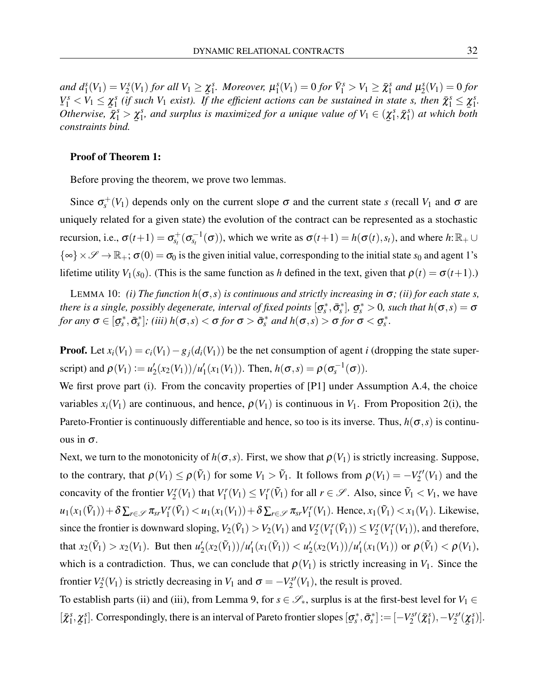and  $d_1^s$  $Y_1^s(V_1) = V_2^s$  $\chi_2^s(V_1)$  *for all*  $V_1 \ge \underline{\chi}_1^s$  $V_1^s < V_1 \le \underline{\chi}_1^s$  (if such  $V_1$  exist). If  $\int_1^s$ *. Moreover,*  $\mu_1^s$  $S_1^s(V_1) = 0$  for  $\bar{V}_1^s > V_1 \geq \bar{\chi}_1^s$  $\int_1^s$  and  $\mu_2^s$  $2^{s}(V_1) = 0$  *for*  $\overline{\chi}_1^s - \overline{\chi}_1^s$ ,  $\overline{\chi}_2^s - \overline{\chi}_1^s$ , and surplus is maximized for a unique value of  $V_1 \in (\underline{\chi}_1^s, \overline{\chi}_1^s)$  at which both  $\frac{s}{1}$  (if such  $V_1$  *exist*). If the efficient actions can be sustained in state s, then  $\bar{\chi}_1^s \leq \underline{\chi}_1^s$ 1 *.* ¯  $\chi_1^{\rm s}$  $_1^s$ , and surplus is maximized for a unique value of  $V_1 \in ($ ¯  $\chi_1^{\rm s}$  $\bar{x}_1^s, \bar{\chi}_1^s$ 1 ) *at which both constraints bind.*

#### Proof of Theorem [1:](#page-20-0)

Before proving the theorem, we prove two lemmas.

Since  $\sigma_s^+(V_1)$  depends only on the current slope  $\sigma$  and the current state *s* (recall  $V_1$  and  $\sigma$  are uniquely related for a given state) the evolution of the contract can be represented as a stochastic recursion, i.e.,  $\sigma(t+1) = \sigma_{s_t}^+(\sigma_{s_t}^{-1}(\sigma))$ , which we write as  $\sigma(t+1) = h(\sigma(t), s_t)$ , and where  $h: \mathbb{R}_+ \cup$  $\{\infty\}\times\mathscr{S}\to\mathbb{R}_+$ ;  $\sigma(0) = \sigma_0$  is the given initial value, corresponding to the initial state  $s_0$  and agent 1's lifetime utility *V*<sub>1</sub>(*s*<sub>0</sub>). (This is the same function as *h* defined in the text, given that  $\rho(t) = \sigma(t+1)$ .)

<span id="page-31-0"></span>LEMMA 10: *(i)* The function  $h(\sigma, s)$  is continuous and strictly increasing in  $\sigma$ ; *(ii)* for each state *s*, *there is a single, possibly degenerate, interval of fixed points*  $[\sigma_s^*,\bar{\sigma}_s^*]$ ,  $\sigma_s^*$  > 0, such that  $h(\sigma,s) = \sigma$ *for any*  $\sigma \in [\sigma_s^*, \bar{\sigma}_s^*]$ ; (*iii)*  $h(\sigma, s) < \sigma$  *for*  $\sigma > \bar{\sigma}_s^*$  *and*  $h(\sigma, s) > \sigma$  *for*  $\sigma < \sigma_s^*$ .

**Proof.** Let  $x_i(V_1) = c_i(V_1) - g_i(d_i(V_1))$  be the net consumption of agent *i* (dropping the state superscript) and  $\rho(V_1) := u'_2$  $\frac{1}{2}(x_2(V_1))/u'_1$  $J_1'(x_1(V_1))$ . Then,  $h(\sigma, s) = \rho(\sigma_s^{-1}(\sigma))$ .

We first prove part (i). From the concavity properties of [P1] under Assumption [A.4,](#page-29-0) the choice variables  $x_i(V_1)$  are continuous, and hence,  $\rho(V_1)$  is continuous in  $V_1$ . From Proposition [2\(](#page-14-0)i), the Pareto-Frontier is continuously differentiable and hence, so too is its inverse. Thus,  $h(\sigma, s)$  is continuous in  $\sigma$ .

Next, we turn to the monotonicity of  $h(\sigma, s)$ . First, we show that  $\rho(V_1)$  is strictly increasing. Suppose, to the contrary, that  $\rho(V_1) \leq \rho(\tilde{V}_1)$  for some  $V_1 > \tilde{V}_1$ . It follows from  $\rho(V_1) = -V_2^{r'}$  $\binom{r'}{2}(V_1)$  and the concavity of the frontier  $V_2^r$  $V_2^r(V_1)$  that  $V_1^r$  $Y_1^r(V_1) \leq V_1^r$  $V_1^r(\tilde{V}_1)$  for all  $r \in \mathcal{S}$ . Also, since  $\tilde{V}_1 < V_1$ , we have  $u_1(x_1(\tilde{V}_1))+\delta \sum_{r \in \mathscr{S}} \pi_{sr} V_1^r$  $Y_1^r(\tilde{V}_1) < u_1(x_1(V_1)) + \delta \sum_{r \in \mathscr{S}} \pi_{sr} V_1^r$  $Y_1^r(V_1)$ . Hence,  $x_1(\tilde{V}_1) < x_1(V_1)$ . Likewise, since the frontier is downward sloping,  $V_2(\tilde{V}_1) > V_2(V_1)$  and  $V_2^r$  $T_2^r(V_1^r)$  $V_1^r(\tilde{V}_1)) \leq V_2^r$  $T_2^r(V_1^r)$  $T_1^r(V_1)$ , and therefore, that  $x_2(\tilde{V}_1) > x_2(V_1)$ . But then  $u'_2$  $\frac{1}{2}(x_2(\tilde{V}_1))/u'_1$  $u'_1(x_1(\tilde{V}_1)) < u'_2$  $\frac{1}{2}(x_2(V_1))/u'_1$  $\gamma'_1(x_1(V_1))$  or  $\rho(\tilde{V}_1) < \rho(V_1)$ , which is a contradiction. Thus, we can conclude that  $\rho(V_1)$  is strictly increasing in  $V_1$ . Since the frontier  $V_2^s$  $V_2^s(V_1)$  is strictly decreasing in  $V_1$  and  $\sigma = -V_2^{s}$  $2^{r}$ <sup> $\binom{r}{2}$ </sup> $(V_1)$ , the result is proved.

To establish parts (ii) and (iii), from Lemma [9,](#page-30-0) for  $s \in \mathcal{S}_*$ , surplus is at the first-best level for  $V_1 \in$  $\bar{\chi}_1^s$  $\frac{s}{1}, \underline{\chi}_1^s$ ¯  $_{1}^{s}$ ]. Correspondingly, there is an interval of Pareto frontier slopes [  $[\sigma_s^*, \bar{\sigma}_s^*] := [-V_2^{s}$  $\mathbf{z}^s \mathbf{z}'(\bar{\mathbf{x}}_1^s)$  $\binom{s}{1}, -V_2^{s}$  $\frac{a}{2}$ <sup>s</sup> $\left(\frac{\chi^s}{\chi^s_1}\right)$ ¯  $\binom{s}{1}$ .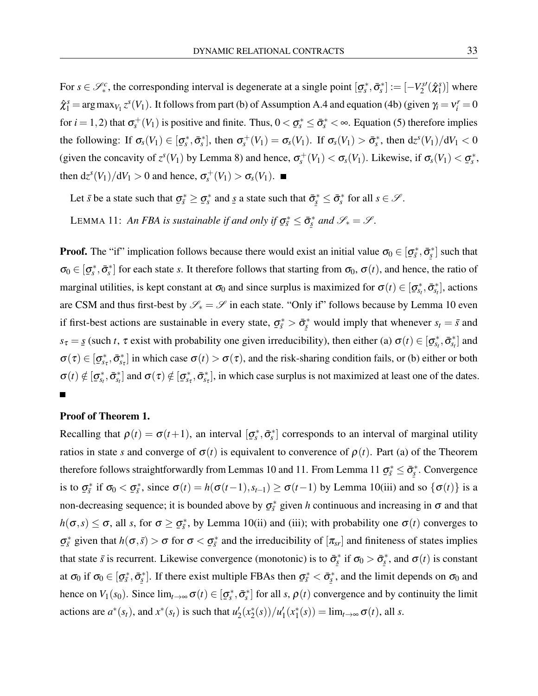For  $s \in \mathcal{S}_{*}^{c}$ , the corresponding interval is degenerate at a single point [  $[\sigma_s^*, \bar{\sigma}_s^*] := [-V_2^{s}$  $\hat{\mathbb{Z}}^{s}(\hat{\mathbf{\chi}}^{s}_1)$  $\binom{s}{1}$  where  $\hat{\chi}_1^s$  = arg max $_{V_1} z^s(V_1)$ . It follows from part (b) of Assumption [A.4](#page-29-0) and equation [\(4b\)](#page-16-0) (given  $\gamma_i = v_i^r = 0$ for  $i = 1, 2$ ) that  $\sigma_s^+(V_1)$  is positive and finite. Thus,  $0 < \sigma_s^* \le \bar{\sigma}_s^* < \infty$ . Equation [\(5\)](#page-18-0) therefore implies the following: If  $\sigma_s(V_1) \in [\sigma_s^*, \bar{\sigma}_s^*]$ , then  $\sigma_s^+(V_1) = \sigma_s(V_1)$ . If  $\sigma_s(V_1) > \bar{\sigma}_s^*$ , then  $dz^s(V_1)/dV_1 < 0$ (given the concavity of  $z^s(V_1)$  by Lemma [8\)](#page-30-1) and hence,  $\sigma_s^+(V_1) < \sigma_s(V_1)$ . Likewise, if  $\sigma_s(V_1) < \sigma_s^*$ , then  $dz^s(V_1)/dV_1 > 0$  and hence,  $\sigma_s^+(V_1) > \sigma_s(V_1)$ .

¯

Let  $\bar{s}$  be a state such that  $\sigma_{\bar{s}}^* \geq \sigma_{s}^*$  and  $\underline{s}$  a state such that  $\bar{\sigma}_{\underline{s}}^* \leq \bar{\sigma}_{\underline{s}}^*$  for all  $s \in \mathcal{S}$ .

<span id="page-32-0"></span>LEMMA 11: *An FBA is sustainable if and only if*  $\sigma_{\bar{s}}^* \leq \bar{\sigma}_{\bar{s}}^*$  $\int_{S}^{*}$  *and*  $\mathscr{S}_* = \mathscr{S}$ *.* 

**Proof.** The "if" implication follows because there would exist an initial value  $\sigma_0 \in [\sigma_s^*, \bar{\sigma}_s^*]$  $\mathbf{f}_s^*$  such that  $\sigma_0 \in [\sigma_s^*, \bar{\sigma}_s^*]$  for each state *s*. It therefore follows that starting from  $\sigma_0$ ,  $\sigma(t)$ , and hence, the ratio of marginal utilities, is kept constant at  $\sigma_0$  and since surplus is maximized for  $\sigma(t) \in [\sigma_{s_t}^*, \bar{\sigma}_{s_t}^*]$ , actions are CSM and thus first-best by  $\mathscr{S}_* = \mathscr{S}$  in each state. "Only if" follows because by Lemma [10](#page-31-0) even  $\sigma_{\bar{s}}^* > \bar{\sigma}_{\bar{s}}^*$  would imply that whenever  $s_t = \bar{s}$  and if first-best actions are sustainable in every state,  $s_{\tau} = s$  (such *t*,  $\tau$  exist with probability one given irreducibility), then either (a)  $\sigma(t) \in [\sigma_{s_t}^*, \bar{\sigma}_{s_t}^*]$  and  $\sigma(\tau) \in [\sigma_{s_{\tau}}^*, \bar{\sigma}_{s_{\tau}}^*]$  in which case  $\sigma(t) > \sigma(\tau)$ , and the risk-sharing condition fails, or (b) either or both  $\sigma(t) \notin [\sigma_{s_t}^*, \bar{\sigma}_{s_t}^*]$  and  $\sigma(\tau) \notin [\sigma_{s_{\tau}}^*, \bar{\sigma}_{s_{\tau}}^*]$ , in which case surplus is not maximized at least one of the dates. П

#### Proof of Theorem [1.](#page-20-0)

Recalling that  $\rho(t) = \sigma(t+1)$ , an interval  $[\sigma_s^*, \bar{\sigma}_s^*]$  corresponds to an interval of marginal utility ratios in state *s* and converge of  $\sigma(t)$  is equivalent to converence of  $\rho(t)$ . Part (a) of the Theorem therefore follows straightforwardly from Lemmas [10](#page-31-0) and [11.](#page-32-0) From Lemma [11](#page-32-0)  $\sigma_{\bar{s}}^* \leq \bar{\sigma}_{\bar{s}}^*$ ¯ *s* . Convergence is to  $\sigma_{\bar{s}}^*$  if  $\sigma_0 < \sigma_{\bar{s}}^*$ , since  $\sigma(t) = h(\sigma(t-1), s_{t-1}) \ge \sigma(t-1)$  by Lemma [10\(](#page-31-0)iii) and so  $\{\sigma(t)\}$  is a non-decreasing sequence; it is bounded above by  $\sigma_{\bar{s}}^*$  given *h* continuous and increasing in  $\sigma$  and that  $h(\sigma, s) \leq \sigma$ , all *s*, for  $\sigma \geq \sigma_s^*$ , by Lemma [10\(](#page-31-0)ii) and (iii); with probability one  $\sigma(t)$  converges to  $\sigma_{\bar{s}}^*$  given that  $h(\sigma, \bar{s}) > \sigma$  for  $\sigma < \sigma_{\bar{s}}^*$  and the irreducibility of  $[\pi_{sr}]$  and finiteness of states implies that state  $\bar{s}$  is recurrent. Likewise convergence (monotonic) is to  $\bar{\sigma}_{s}^{*}$  if  $\sigma_0 > \bar{\sigma}_{s}^{*}$ , and  $\sigma(t)$  is constant at  $\sigma_0$  if  $\sigma_0 \in [\sigma_s^*, \bar{\sigma}_s^*]$ . If there exist multiple FBAs then  $\sigma_s^* < \bar{\sigma}_s^*$ , and the line  $s^*$ . If there exist multiple FBAs then  $\sigma_{\bar{s}}^* < \bar{\sigma}_{\bar{s}}^*$  $\mathbf{s}^*$ , and the limit depends on  $\sigma_0$  and hence on  $V_1(s_0)$ . Since  $\lim_{t\to\infty} \sigma(t) \in [\sigma_s^*, \bar{\sigma}_s^*]$  for all *s*,  $\rho(t)$  convergence and by continuity the limit actions are  $a^*(s_t)$ , and  $x^*(s_t)$  is such that  $u'_2$  $\frac{1}{2}(x_2^*)$  $\binom{1}{2}(s)/u'_{1}$  $\int_1^{\prime} (x_1^*)$  $j_1^*(s)$ ) =  $\lim_{t\to\infty} \sigma(t)$ , all *s*.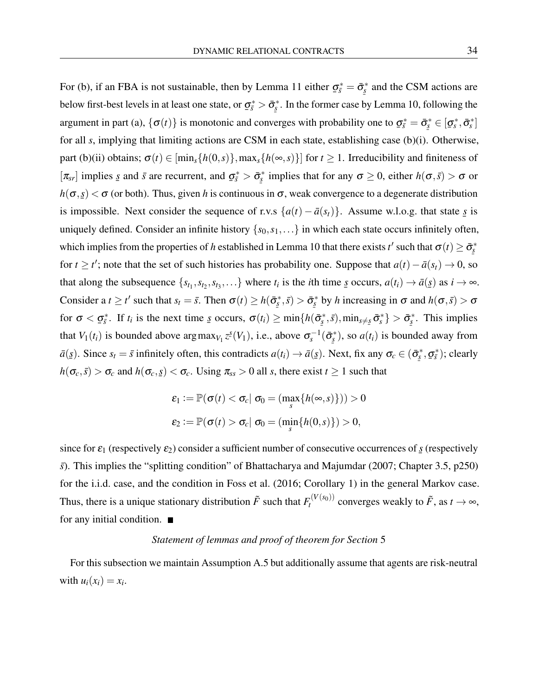For (b), if an FBA is not sustainable, then by Lemma [11](#page-32-0) either  $\sigma_{\bar{s}}^* = \bar{\sigma}_{\bar{s}}^*$  $s<sub>s</sub><sup>*</sup>$  and the CSM actions are below first-best levels in at least one state, or  $\sigma_s^* > \bar{\sigma}_s^*$ . In the former case by Lemma [10,](#page-31-0) following the argument in part (a),  $\{\sigma(t)\}\$ is monotonic and converges with probability one to  $\sigma_{\bar{s}}^* = \bar{\sigma}_{\bar{s}}^*$  $\mathbf{r}_{s}^{*} \in [\mathbf{\sigma}_{s}^{*}, \bar{\mathbf{\sigma}}_{s}^{*}]$ for all *s*, implying that limiting actions are CSM in each state, establishing case (b)(i). Otherwise, part (b)(ii) obtains;  $\sigma(t) \in [\min_s \{h(0,s)\}, \max_s \{h(\infty,s)\}]$  for  $t \geq 1$ . Irreducibility and finiteness of  $[\pi_{sr}]$  implies <u>s</u> *s* and *s*¯ are recurrent, and  $\sigma_{\bar{s}}^* > \bar{\sigma}_{\bar{s}}^*$  $\sigma_{\underline{s}}^*$  implies that for any  $\sigma \geq 0$ , either  $h(\sigma, \bar{s}) > \sigma$  or  $h(\sigma, s) < \sigma$  (or both). Thus, given *h* is continuous in  $\sigma$ , weak convergence to a degenerate distribution is impossible. Next consider the sequence of r.v.s  $\{a(t) - \bar{a}(s_t)\}\)$ . Assume w.l.o.g. that state <u>s</u> *s* is uniquely defined. Consider an infinite history  $\{s_0, s_1, \ldots\}$  in which each state occurs infinitely often, which implies from the properties of *h* established in Lemma [10](#page-31-0) that there exists *t'* such that  $\sigma(t) \ge \bar{\sigma}_s^*$ for *t* ≥ *t*'; note that the set of such histories has probability one. Suppose that  $a(t) - \bar{a}(s_t) \rightarrow 0$ , so that along the subsequence  $\{s_{t_1}, s_{t_2}, s_{t_3}, \ldots\}$  where  $t_i$  is the *i*th time  $\underline{s}$  occurs,  $a(t_i) \rightarrow \overline{a}(\underline{s})$  as  $i \rightarrow \infty$ . Consider a  $t \ge t'$  such that  $s_t = \bar{s}$ . Then  $\sigma(t) \ge h(\bar{\sigma}_s^*)$  $\left( \frac{\cdot}{\mathcal{S}}, \bar{s} \right) > \bar{\sigma}_{\mathcal{S}}^*$  $\frac{1}{s}$  by *h* increasing in  $\sigma$  and  $h(\sigma, \bar{s}) > \sigma$ for  $\sigma < \sigma_{\bar{s}}^*$ . If  $t_i$  is the next time  $\underline{s}$  occurs,  $\sigma(t_i) \ge \min\{h(\bar{\sigma}_s^*, \bar{s}), \min_{s \ne \bar{s}} \bar{\sigma}_s^*\} > \bar{\sigma}_s^*$ . This implies that  $V_1(t_i)$  is bounded above argmax $V_1 z^s(V_1)$ , i.e., above  $\sigma_s^{-1}(\bar{\sigma}_s^*)$ , so  $a(t_i)$  is bounded away from  $\bar{a}(\underline{s})$ . Since  $s_t = \bar{s}$  infinitely often, this contradicts  $a(t_i) \rightarrow \bar{a}(\underline{s})$ . N  $\overline{s}$ ). Since  $s_t = \overline{s}$  infinitely often, this contradicts  $a(t_i) \to \overline{a}(\underline{s})$ . Next, fix any  $\sigma_c \in (\overline{\sigma}_{\underline{s}}^*$ ¯ *s* ,  $\sigma_{\bar{s}}^{*}$ ); clearly  $h(\sigma_c, \bar{s}) > \sigma_c$  and  $h(\sigma_c, \bar{s}) < \sigma_c$ . Using  $\pi_{ss} > 0$  all *s*, there exist  $t \ge 1$  such that

$$
\varepsilon_1 := \mathbb{P}(\sigma(t) < \sigma_c | \sigma_0 = (\max_s \{h(\infty, s)\})) > 0
$$
\n
$$
\varepsilon_2 := \mathbb{P}(\sigma(t) > \sigma_c | \sigma_0 = (\min_s \{h(0, s)\}) > 0,
$$

since for  $\varepsilon_1$  (respectively  $\varepsilon_2$ ) consider a sufficient number of consecutive occurrences of  $\underline{s}$ *s* (respectively *s*). This implies the "splitting condition" of [Bhattacharya and Majumdar](#page-36-10) [\(2007;](#page-36-10) Chapter 3.5, p250) for the i.i.d. case, and the condition in [Foss et al.](#page-36-11) [\(2016;](#page-36-11) Corollary 1) in the general Markov case. Thus, there is a unique stationary distribution  $\tilde{F}$  such that  $F_t^{(V(s_0))}$  converges weakly to  $\tilde{F}$ , as  $t \to \infty$ , for any initial condition.  $\blacksquare$ 

#### *Statement of lemmas and proof of theorem for Section* [5](#page-24-0)

For this subsection we maintain Assumption [A.5](#page-29-1) but additionally assume that agents are risk-neutral with  $u_i(x_i) = x_i$ .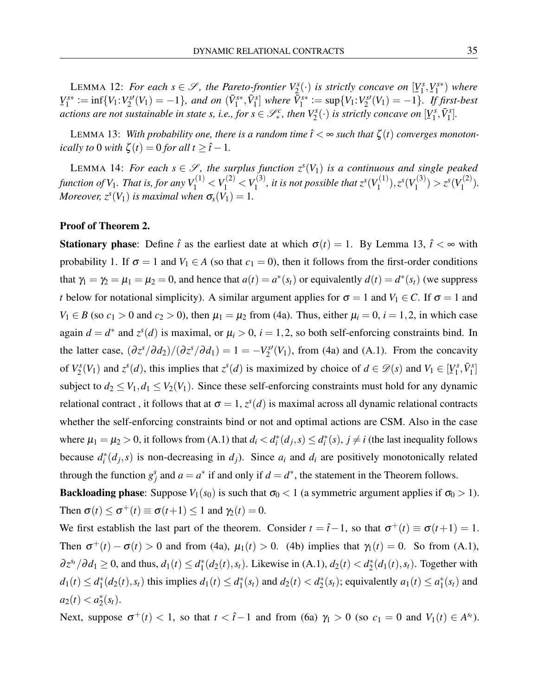<span id="page-34-1"></span>LEMMA 12: *For each*  $s \in \mathcal{S}$ , the Pareto-frontier  $V_2^s$  $\binom{r_S}{2}$  *is strictly concave on* [ ¯ *V s*  $\frac{r_s}{1},$ .<br>آ *V s*∗  $j_1^{s*}$ ) where  $\frac{1}{2}$  actions are not sustainable in state s, i.e., for  $s \in \mathcal{S}_*^c$ , then  $V_2^s(\cdot)$  is strictly concave on [ *V s*∗  $I_1^{ss*} := \inf\{V_1: V_2^{s}$  $V_2^{s\prime}(V_1) = -1\}$ *, and on*  $(\bar{V}_1^{s*}, \bar{V}_1^{s}]$  where  $\bar{V}_1^{s*} := \sup\{V_1 : V_2^{s\prime}\}$  $U_2^{sg}(V_1) = -1$ }. If first-best ¯ *V s*  $Y_{1}^{s}, \bar{V}_{1}^{s}$ .

<span id="page-34-0"></span>LEMMA 13: *With probability one, there is a random time*  $\hat{t} < \infty$  such that  $\zeta(t)$  converges monoton*ically to* 0 *with*  $\zeta(t) = 0$  *for all*  $t \geq \hat{t} - 1$ *.* 

<span id="page-34-2"></span>LEMMA 14: *For each*  $s \in \mathscr{S}$ , the surplus function  $z^s(V_1)$  is a continuous and single peaked *function of*  $V_1$ *. That is, for any*  $V_1^{(1)} < V_1^{(2)} < V_1^{(3)}$  $\sigma_1^{(3)}$ , *it is not possible that*  $z^s(V_1^{(1)})$  $(z_1^{(1)}), z^s(V_1^{(3)})$  $\left( \frac{1}{1}^{(3)} \right) > z^s(V_1^{(2)}$  $\binom{1}{1}$ . *Moreover,*  $z^{s}(V_1)$  *is maximal when*  $\sigma_{s}(V_1) = 1$ *.* 

#### Proof of Theorem [2.](#page-26-0)

**Stationary phase:** Define  $\hat{t}$  as the earliest date at which  $\sigma(t) = 1$ . By Lemma [13,](#page-34-0)  $\hat{t} < \infty$  with probability 1. If  $\sigma = 1$  and  $V_1 \in A$  (so that  $c_1 = 0$ ), then it follows from the first-order conditions that  $\gamma_1 = \gamma_2 = \mu_1 = \mu_2 = 0$ , and hence that  $a(t) = a^*(s_t)$  or equivalently  $d(t) = d^*(s_t)$  (we suppress *t* below for notational simplicity). A similar argument applies for  $\sigma = 1$  and  $V_1 \in C$ . If  $\sigma = 1$  and *V*<sub>1</sub> ∈ *B* (so  $c_1 > 0$  and  $c_2 > 0$ ), then  $\mu_1 = \mu_2$  from [\(4a\)](#page-16-1). Thus, either  $\mu_i = 0$ ,  $i = 1, 2$ , in which case again  $d = d^*$  and  $z^s(d)$  is maximal, or  $\mu_i > 0$ ,  $i = 1, 2$ , so both self-enforcing constraints bind. In the latter case,  $(\partial z^s / \partial d_2) / (\partial z^s / \partial d_1) = 1 = -V_2^{s}$  $2^{r_2'}(V_1)$ , from [\(4a\)](#page-16-1) and [\(A.1\)](#page-29-2). From the concavity of  $V_2^s$  $Z_2^s(V_1)$  and  $z^s(d)$ , this implies that  $z^s(d)$  is maximized by choice of  $d \in \mathcal{D}(s)$  and  $V_1 \in [0, 1]$ *V s*  $\left[ \frac{s}{1}, \bar{V}_1^s \right]$ subject to  $d_2 \le V_1, d_1 \le V_2(V_1)$ . Since these self-enforcing constraints must hold for any dynamic relational contract, it follows that at  $\sigma = 1$ ,  $z^s(d)$  is maximal across all dynamic relational contracts whether the self-enforcing constraints bind or not and optimal actions are CSM. Also in the case where  $\mu_1 = \mu_2 > 0$ , it follows from [\(A.1\)](#page-29-2) that  $d_i < d_i^*(d_j, s) \le d_i^*(s)$ ,  $j \ne i$  (the last inequality follows because  $d_i^*(d_j, s)$  is non-decreasing in  $d_j$ ). Since  $a_i$  and  $d_i$  are positively monotonically related through the function  $g_j^s$  and  $a = a^*$  if and only if  $d = d^*$ , the statement in the Theorem follows.

**Backloading phase:** Suppose  $V_1(s_0)$  is such that  $\sigma_0 < 1$  (a symmetric argument applies if  $\sigma_0 > 1$ ). Then  $\sigma(t) \leq \sigma^+(t) \equiv \sigma(t+1) \leq 1$  and  $\gamma_2(t) = 0$ .

We first establish the last part of the theorem. Consider  $t = \hat{t} - 1$ , so that  $\sigma^+(t) \equiv \sigma(t+1) = 1$ . Then  $\sigma^+(t) - \sigma(t) > 0$  and from [\(4a\)](#page-16-1),  $\mu_1(t) > 0$ . [\(4b\)](#page-16-0) implies that  $\gamma_1(t) = 0$ . So from [\(A.1\)](#page-29-2),  $\partial z^{s_t}/\partial d_1 \geq 0$ , and thus,  $d_1(t) \leq d_1^*$  $\int_1^*(d_2(t), s_t)$ . Likewise in [\(A.1\)](#page-29-2),  $d_2(t) < d_2^*$  $2^*(d_1(t), s_t)$ . Together with  $d_1(t) \leq d_1^*$  $d_1^*(d_2(t), s_t)$  this implies  $d_1(t) \leq d_1^*$  $d_1^*(s_t)$  and  $d_2(t) < d_2^*$  $2^*(s_t)$ ; equivalently  $a_1(t) \le a_1^*$  $j<sub>1</sub>(s<sub>t</sub>)$  and  $a_2(t) < a_2^*$  $_{2}^{*}(s_{t}).$ 

Next, suppose  $\sigma^+(t) < 1$ , so that  $t < \hat{t} - 1$  and from [\(6a\)](#page-25-0)  $\gamma_1 > 0$  (so  $c_1 = 0$  and  $V_1(t) \in A^{s_t}$ ).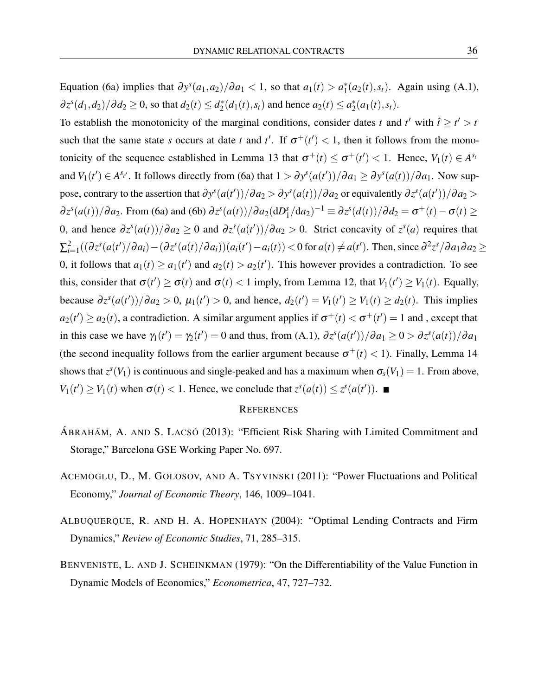Equation [\(6a\)](#page-25-0) implies that  $\frac{\partial y^s}{a_1, a_2}$   $\frac{\partial a_1}{\partial a_1}$  < 1, so that  $a_1(t) > a_1^*$  $i_1^*(a_2(t), s_t)$ . Again using [\(A.1\)](#page-29-2),  $\partial z^{s}$ (*d*<sub>1</sub>,*d*<sub>2</sub>)/ $\partial d_2$  ≥ 0, so that *d*<sub>2</sub>(*t*) ≤ *d*<sup> $*$ </sup><sub>2</sub>  $2^*(d_1(t), s_t)$  and hence  $a_2(t) \le a_2^*$  $_{2}^{*}(a_{1}(t),s_{t}).$ 

To establish the monotonicity of the marginal conditions, consider dates *t* and *t'* with  $\hat{t} \ge t' > t$ such that the same state *s* occurs at date *t* and *t'*. If  $\sigma^+(t') < 1$ , then it follows from the mono-tonicity of the sequence established in Lemma [13](#page-34-0) that  $\sigma^+(t) \leq \sigma^+(t') < 1$ . Hence,  $V_1(t) \in A^{s_t}$ and  $V_1(t') \in A^{s_{t'}}$ . It follows directly from [\(6a\)](#page-25-0) that  $1 > \partial y^s(a(t'))/\partial a_1 \ge \partial y^s(a(t))/\partial a_1$ . Now suppose, contrary to the assertion that  $\partial y^s(a(t'))/\partial a_2 > \partial y^s(a(t))/\partial a_2$  or equivalently  $\partial z^s(a(t'))/\partial a_2 >$  $\frac{\partial z^{s}(a(t))}{\partial a_{2}}$ . From [\(6a\)](#page-25-0) and [\(6b\)](#page-25-1)  $\frac{\partial z^{s}(a(t))}{\partial a_{2}}(dD_{1}^{s})$  $\int_1^s$  $(da_2)^{-1}$  ≡  $\partial z^s$  $(d(t))/\partial d_2$  = σ<sup>+</sup> $(t)$  − σ $(t)$  ≥ 0, and hence  $\partial z^s(a(t))/\partial a_2 \ge 0$  and  $\partial z^s(a(t'))/\partial a_2 > 0$ . Strict concavity of  $z^s(a)$  requires that  $\sum_{i=1}^2 ((\partial z^s (a(t')/\partial a_i) - (\partial z^s (a(t)/\partial a_i))(a_i(t') - a_i(t)) < 0 \text{ for } a(t) \neq a(t')$ . Then, since  $\partial^2 z^s / \partial a_1 \partial a_2 \geq$ 0, it follows that  $a_1(t) \ge a_1(t')$  and  $a_2(t) > a_2(t')$ . This however provides a contradiction. To see this, consider that  $\sigma(t') \ge \sigma(t)$  and  $\sigma(t) < 1$  imply, from Lemma [12,](#page-34-1) that  $V_1(t') \ge V_1(t)$ . Equally, because  $∂z<sup>s</sup>(a(t'))/∂a<sub>2</sub> > 0$ ,  $μ<sub>1</sub>(t') > 0$ , and hence,  $d<sub>2</sub>(t') = V<sub>1</sub>(t') ≥ V<sub>1</sub>(t) ≥ d<sub>2</sub>(t)$ . This implies  $a_2(t') \ge a_2(t)$ , a contradiction. A similar argument applies if  $\sigma^+(t) < \sigma^+(t') = 1$  and, except that in this case we have  $\gamma_1(t') = \gamma_2(t') = 0$  and thus, from [\(A.1\)](#page-29-2),  $\partial z^s(a(t'))/\partial a_1 \geq 0 > \partial z^s(a(t))/\partial a_1$ (the second inequality follows from the earlier argument because  $\sigma^+(t) < 1$ ). Finally, Lemma [14](#page-34-2) shows that  $z^{s}(V_1)$  is continuous and single-peaked and has a maximum when  $\sigma_s(V_1) = 1$ . From above,  $V_1(t') \geq V_1(t)$  when  $\sigma(t) < 1$ . Hence, we conclude that  $z^s(a(t)) \leq z^s(a(t'))$ .

## **REFERENCES**

- <span id="page-35-2"></span>ÁBRAHÁM, A. AND S. LACSÓ (2013): "Efficient Risk Sharing with Limited Commitment and Storage," Barcelona GSE Working Paper No. 697.
- <span id="page-35-1"></span>ACEMOGLU, D., M. GOLOSOV, AND A. TSYVINSKI (2011): "Power Fluctuations and Political Economy," *Journal of Economic Theory*, 146, 1009–1041.
- <span id="page-35-0"></span>ALBUQUERQUE, R. AND H. A. HOPENHAYN (2004): "Optimal Lending Contracts and Firm Dynamics," *Review of Economic Studies*, 71, 285–315.
- <span id="page-35-3"></span>BENVENISTE, L. AND J. SCHEINKMAN (1979): "On the Differentiability of the Value Function in Dynamic Models of Economics," *Econometrica*, 47, 727–732.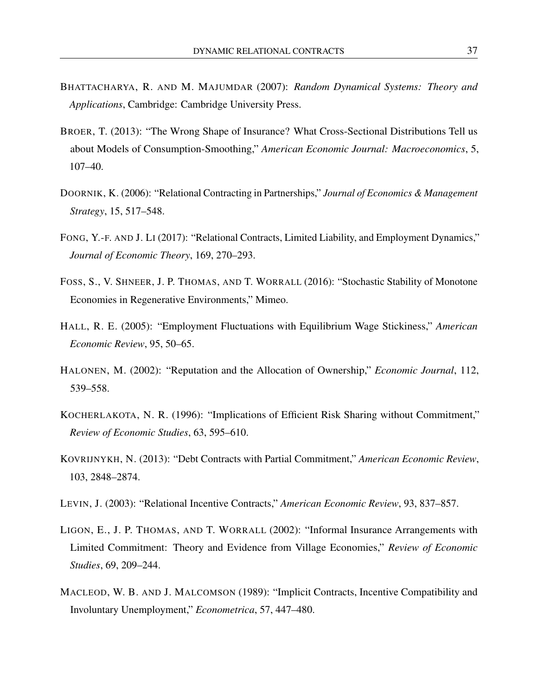- <span id="page-36-10"></span>BHATTACHARYA, R. AND M. MAJUMDAR (2007): *Random Dynamical Systems: Theory and Applications*, Cambridge: Cambridge University Press.
- <span id="page-36-3"></span>BROER, T. (2013): "The Wrong Shape of Insurance? What Cross-Sectional Distributions Tell us about Models of Consumption-Smoothing," *American Economic Journal: Macroeconomics*, 5, 107–40.
- <span id="page-36-4"></span>DOORNIK, K. (2006): "Relational Contracting in Partnerships," *Journal of Economics & Management Strategy*, 15, 517–548.
- <span id="page-36-7"></span>FONG, Y.-F. AND J. LI (2017): "Relational Contracts, Limited Liability, and Employment Dynamics," *Journal of Economic Theory*, 169, 270–293.
- <span id="page-36-11"></span>FOSS, S., V. SHNEER, J. P. THOMAS, AND T. WORRALL (2016): "Stochastic Stability of Monotone Economies in Regenerative Environments," Mimeo.
- <span id="page-36-9"></span>HALL, R. E. (2005): "Employment Fluctuations with Equilibrium Wage Stickiness," *American Economic Review*, 95, 50–65.
- <span id="page-36-8"></span>HALONEN, M. (2002): "Reputation and the Allocation of Ownership," *Economic Journal*, 112, 539–558.
- <span id="page-36-1"></span>KOCHERLAKOTA, N. R. (1996): "Implications of Efficient Risk Sharing without Commitment," *Review of Economic Studies*, 63, 595–610.
- <span id="page-36-0"></span>KOVRIJNYKH, N. (2013): "Debt Contracts with Partial Commitment," *American Economic Review*, 103, 2848–2874.
- <span id="page-36-5"></span>LEVIN, J. (2003): "Relational Incentive Contracts," *American Economic Review*, 93, 837–857.
- <span id="page-36-2"></span>LIGON, E., J. P. THOMAS, AND T. WORRALL (2002): "Informal Insurance Arrangements with Limited Commitment: Theory and Evidence from Village Economies," *Review of Economic Studies*, 69, 209–244.
- <span id="page-36-6"></span>MACLEOD, W. B. AND J. MALCOMSON (1989): "Implicit Contracts, Incentive Compatibility and Involuntary Unemployment," *Econometrica*, 57, 447–480.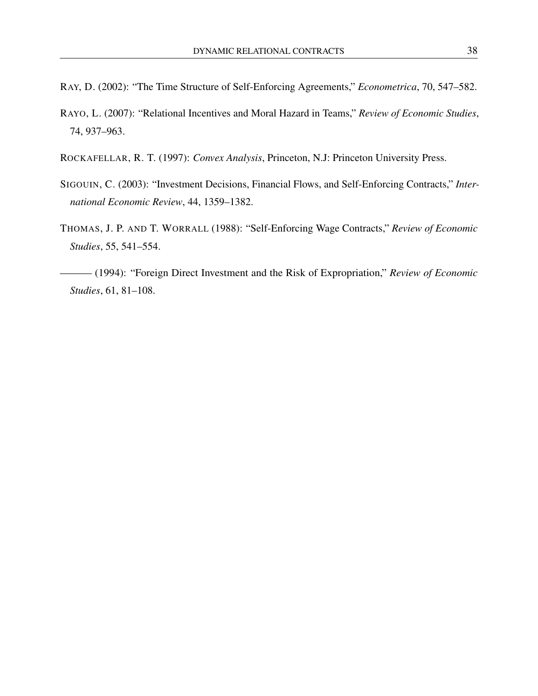- <span id="page-37-2"></span>RAY, D. (2002): "The Time Structure of Self-Enforcing Agreements," *Econometrica*, 70, 547–582.
- <span id="page-37-4"></span>RAYO, L. (2007): "Relational Incentives and Moral Hazard in Teams," *Review of Economic Studies*, 74, 937–963.
- <span id="page-37-5"></span>ROCKAFELLAR, R. T. (1997): *Convex Analysis*, Princeton, N.J: Princeton University Press.
- <span id="page-37-0"></span>SIGOUIN, C. (2003): "Investment Decisions, Financial Flows, and Self-Enforcing Contracts," *International Economic Review*, 44, 1359–1382.
- <span id="page-37-3"></span>THOMAS, J. P. AND T. WORRALL (1988): "Self-Enforcing Wage Contracts," *Review of Economic Studies*, 55, 541–554.
- <span id="page-37-1"></span>——— (1994): "Foreign Direct Investment and the Risk of Expropriation," *Review of Economic Studies*, 61, 81–108.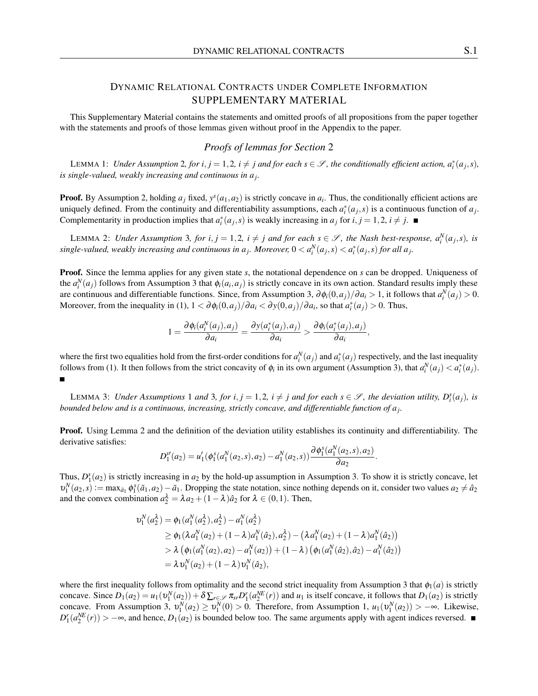## DYNAMIC RELATIONAL CONTRACTS UNDER COMPLETE INFORMATION SUPPLEMENTARY MATERIAL

This Supplementary Material contains the statements and omitted proofs of all propositions from the paper together with the statements and proofs of those lemmas given without proof in the Appendix to the paper.

*Proofs of lemmas for Section* [2](#page-7-0)

LEMMA 1: Under Assumption [2](#page-8-0), for  $i, j = 1, 2, i \neq j$  and for each  $s \in \mathscr{S}$ , the conditionally efficient action,  $a_i^*(a_j, s)$ , *is single-valued, weakly increasing and continuous in a<sup>j</sup> .*

**Proof.** By Assumption [2,](#page-8-0) holding  $a_j$  fixed,  $y^s(a_1, a_2)$  is strictly concave in  $a_i$ . Thus, the conditionally efficient actions are uniquely defined. From the continuity and differentiability assumptions, each  $a_i^*(a_j, s)$  is a continuous function of  $a_j$ . Complementarity in production implies that  $a_i^*(a_j, s)$  is weakly increasing in  $a_j$  for  $i, j = 1, 2, i \neq j$ .

LEMMA 2: Under Assumption [3](#page-9-0), for  $i, j = 1, 2, i \neq j$  and for each  $s \in \mathscr{S}$ , the Nash best-response,  $a_i^N(a_j, s)$ , is single-valued, weakly increasing and continuous in  $a_j$ . Moreover,  $0 < a_i^N(a_j,s) < a_i^*(a_j,s)$  for all  $a_j$ .

Proof. Since the lemma applies for any given state *s*, the notational dependence on *s* can be dropped. Uniqueness of the  $a_i^N(a_j)$  follows from Assumption [3](#page-9-0) that  $\phi_i(a_i, a_j)$  is strictly concave in its own action. Standard results imply these are continuous and differentiable functions. Since, from Assumption [3,](#page-9-0)  $\partial \phi_i(0, a_j)/\partial a_i > 1$ , it follows that  $a_i^N(a_j) > 0$ . Moreover, from the inequality in [\(1\)](#page-10-0),  $1 < \partial \phi_i(0, a_j)/\partial a_i < \partial y(0, a_j)/\partial a_i$ , so that  $a_i^*(a_j) > 0$ . Thus,

$$
1 = \frac{\partial \phi_i(a_i^N(a_j), a_j)}{\partial a_i} = \frac{\partial y(a_i^*(a_j), a_j)}{\partial a_i} > \frac{\partial \phi_i(a_i^*(a_j), a_j)}{\partial a_i}
$$

,

where the first two equalities hold from the first-order conditions for  $a_i^N(a_j)$  and  $a_i^*(a_j)$  respectively, and the last inequality follows from [\(1\)](#page-10-0). It then follows from the strict concavity of  $\phi_i$  in its own argument (Assumption [3\)](#page-9-0), that  $a_i^N(a_j) < a_i^*(a_j)$ .

LEMMA 3: Under Assumptions [1](#page-8-1) and [3](#page-9-0), for  $i, j = 1, 2, i \neq j$  and for each  $s \in \mathscr{S}$ , the deviation utility,  $D_i^s(a_j)$ , is *bounded below and is a continuous, increasing, strictly concave, and differentiable function of a<sup>j</sup> .*

Proof. Using Lemma [2](#page-28-3) and the definition of the deviation utility establishes its continuity and differentiability. The derivative satisfies:

$$
D_1^{s'}(a_2) = u'_1(\phi_1^{s}(a_1^{N}(a_2,s),a_2) - a_1^{N}(a_2,s))\frac{\partial \phi_1^{s}(a_1^{N}(a_2,s),a_2)}{\partial a_2}.
$$

Thus,  $D_1^s(a_2)$  is strictly increasing in  $a_2$  by the hold-up assumption in Assumption [3.](#page-9-0) To show it is strictly concave, let  $v_1^N(a_2,s) := \max_{\tilde{a}_1} \phi_1^s(\tilde{a}_1,a_2) - \tilde{a}_1$ . Dropping the state notation, since nothing depends on it, consider two values  $a_2 \neq \hat{a}_2$ and the convex combination  $a_2^{\lambda} = \lambda a_2 + (1 - \lambda) \hat{a}_2$  for  $\lambda \in (0, 1)$ . Then,

$$
v_1^N(a_2^{\lambda}) = \phi_1(a_1^N(a_2^{\lambda}), a_2^{\lambda}) - a_1^N(a_2^{\lambda})
$$
  
\n
$$
\geq \phi_1(\lambda a_1^N(a_2) + (1 - \lambda)a_1^N(\hat{a}_2), a_2^{\lambda}) - (\lambda a_1^N(a_2) + (1 - \lambda)a_1^N(\hat{a}_2))
$$
  
\n
$$
> \lambda (\phi_1(a_1^N(a_2), a_2) - a_1^N(a_2)) + (1 - \lambda) (\phi_1(a_1^N(\hat{a}_2), \hat{a}_2) - a_1^N(\hat{a}_2))
$$
  
\n
$$
= \lambda v_1^N(a_2) + (1 - \lambda)v_1^N(\hat{a}_2),
$$

where the first inequality follows from optimality and the second strict inequality from Assumption [3](#page-9-0) that  $\phi_1(a)$  is strictly concave. Since  $D_1(a_2) = u_1(v_1^N(a_2)) + \delta \sum_{r \in \mathcal{S}} \pi_{sr} D_1^r(a_2^{NE}(r))$  and  $u_1$  is itself concave, it follows that  $D_1(a_2)$  is strictly concave. From Assumption [3,](#page-9-0)  $v_1^N(a_2) \ge v_1^N(0) > 0$ . Therefore, from Assumption [1,](#page-8-1)  $u_1(v_1^N(a_2)) > -\infty$ . Likewise,  $D_1^r(a_2^{NE}(r)) > -\infty$ , and hence,  $D_1(a_2)$  is bounded below too. The same arguments apply with agent indices reversed.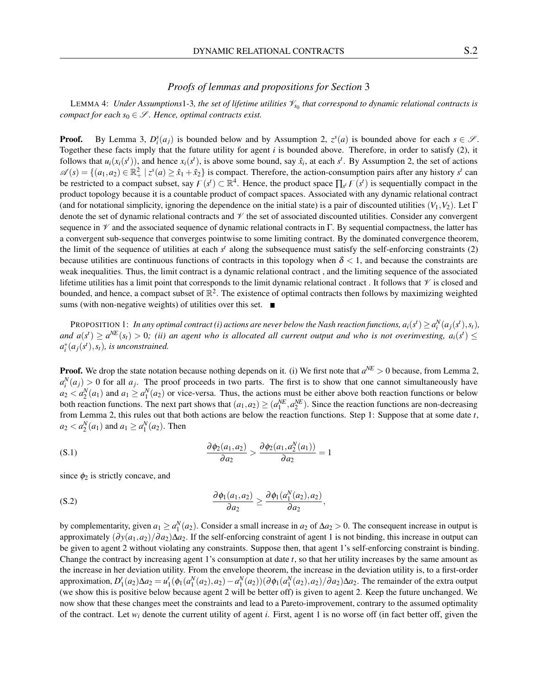#### *Proofs of lemmas and propositions for Section* [3](#page-13-0)

LEMMA 4: Under Assumptions[1](#page-8-1)-[3](#page-9-0), the set of lifetime utilities  $\mathscr{V}_{s_0}$  that correspond to dynamic relational contracts is *compact for each*  $s_0 \in \mathcal{S}$ *. Hence, optimal contracts exist.* 

**Proof.** By Lemma [3,](#page-28-2)  $D_i^s(a_j)$  is bounded below and by Assumption [2,](#page-8-0)  $z^s(a)$  is bounded above for each  $s \in \mathcal{S}$ . Together these facts imply that the future utility for agent *i* is bounded above. Therefore, in order to satisfy [\(2\)](#page-12-0), it follows that  $u_i(x_i(s^t))$ , and hence  $x_i(s^t)$ , is above some bound, say  $\hat{x}_i$ , at each  $s^t$ . By Assumption [2,](#page-8-0) the set of actions  $\mathscr{A}(s) = \{(a_1, a_2) \in \mathbb{R}_+^2 \mid z^s(a) \ge \hat{x}_1 + \hat{x}_2\}$  is compact. Therefore, the action-consumption pairs after any history  $s^t$  can be restricted to a compact subset, say  $F(s^t) \subset \mathbb{R}^4$ . Hence, the product space  $\prod_{s^t} F(s^t)$  is sequentially compact in the product topology because it is a countable product of compact spaces. Associated with any dynamic relational contract (and for notational simplicity, ignoring the dependence on the initial state) is a pair of discounted utilities  $(V_1, V_2)$ . Let  $\Gamma$ denote the set of dynamic relational contracts and  $\mathcal V$  the set of associated discounted utilities. Consider any convergent sequence in  $\mathcal V$  and the associated sequence of dynamic relational contracts in Γ. By sequential compactness, the latter has a convergent sub-sequence that converges pointwise to some limiting contract. By the dominated convergence theorem, the limit of the sequence of utilities at each  $s<sup>t</sup>$  along the subsequence must satisfy the self-enforcing constraints [\(2\)](#page-12-0) because utilities are continuous functions of contracts in this topology when  $\delta$  < 1, and because the constraints are weak inequalities. Thus, the limit contract is a dynamic relational contract , and the limiting sequence of the associated lifetime utilities has a limit point that corresponds to the limit dynamic relational contract. It follows that  $\mathcal V$  is closed and bounded, and hence, a compact subset of  $\mathbb{R}^2$ . The existence of optimal contracts then follows by maximizing weighted sums (with non-negative weights) of utilities over this set.

PROPOSITION 1: In any optimal contract (i) actions are never below the Nash reaction functions,  $a_i(s^t) \ge a_i^N(a_j(s^t), s_t)$ , *and*  $a(s^t) \ge a^{NE}(s_t) > 0$ ; (ii) an agent who is allocated all current output and who is not overinvesting,  $a_i(s^t) \le$  $a_i^*(a_j(s^t), s_t)$ *, is unconstrained.* 

**Proof.** We drop the state notation because nothing depends on it. (i) We first note that  $a^{NE} > 0$  because, from Lemma [2,](#page-28-3)  $a_i^N(a_j) > 0$  for all  $a_j$ . The proof proceeds in two parts. The first is to show that one cannot simultaneously have  $a_2 < a_2^N(a_1)$  and  $a_1 \ge a_1^N(a_2)$  or vice-versa. Thus, the actions must be either above both reaction functions or below both reaction functions. The next part shows that  $(a_1, a_2) \ge (a_1^{NE}, a_2^{NE})$ . Since the reaction functions are non-decreasing from Lemma [2,](#page-28-3) this rules out that both actions are below the reaction functions. Step 1: Suppose that at some date *t*,  $a_2 < a_2^N(a_1)$  and  $a_1 \ge a_1^N(a_2)$ . Then

<span id="page-39-1"></span>
$$
\frac{\partial \phi_2(a_1, a_2)}{\partial a_2} > \frac{\partial \phi_2(a_1, a_2^N(a_1))}{\partial a_2} = 1
$$

since  $\phi_2$  is strictly concave, and

<span id="page-39-0"></span>
$$
\frac{\partial \phi_1(a_1, a_2)}{\partial a_2} \ge \frac{\partial \phi_1(a_1^N(a_2), a_2)}{\partial a_2},
$$

by complementarity, given  $a_1 \ge a_1^N(a_2)$ . Consider a small increase in  $a_2$  of  $\Delta a_2 > 0$ . The consequent increase in output is approximately  $(\partial y(a_1, a_2)/\partial a_2) \Delta a_2$ . If the self-enforcing constraint of agent 1 is not binding, this increase in output can be given to agent 2 without violating any constraints. Suppose then, that agent 1's self-enforcing constraint is binding. Change the contract by increasing agent 1's consumption at date *t*, so that her utility increases by the same amount as the increase in her deviation utility. From the envelope theorem, the increase in the deviation utility is, to a first-order approximation,  $D'_1(a_2)\Delta a_2 = u'_1(\phi_1(a_1^N(a_2),a_2) - a_1^N(a_2))(\partial \phi_1(a_1^N(a_2),a_2)/\partial a_2)\Delta a_2$ . The remainder of the extra output (we show this is positive below because agent 2 will be better off) is given to agent 2. Keep the future unchanged. We now show that these changes meet the constraints and lead to a Pareto-improvement, contrary to the assumed optimality of the contract. Let  $w_i$  denote the current utility of agent *i*. First, agent 1 is no worse off (in fact better off, given the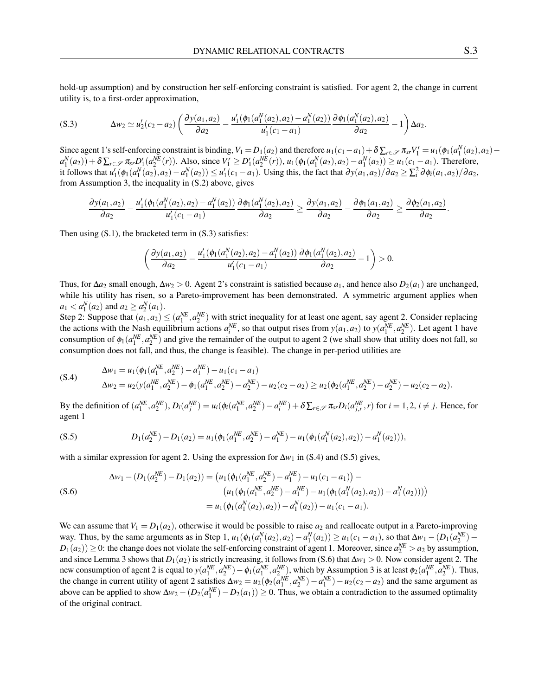hold-up assumption) and by construction her self-enforcing constraint is satisfied. For agent 2, the change in current utility is, to a first-order approximation,

<span id="page-40-0"></span>
$$
(S.3) \qquad \Delta w_2 \simeq u_2'(c_2 - a_2) \left( \frac{\partial y(a_1, a_2)}{\partial a_2} - \frac{u_1'(\phi_1(a_1^N(a_2), a_2) - a_1^N(a_2))}{u_1'(c_1 - a_1)} \frac{\partial \phi_1(a_1^N(a_2), a_2)}{\partial a_2} - 1 \right) \Delta a_2.
$$

Since agent 1's self-enforcing constraint is binding,  $V_1 = D_1(a_2)$  and therefore  $u_1(c_1 - a_1) + \delta \sum_{r \in \mathcal{S}} \pi_{sr} V_1^r = u_1(\phi_1(a_1^N(a_2), a_2)$  $a_1^N(a_2) + \delta \sum_{r \in \mathcal{S}} \pi_{sr} D_1^r(a_2^{NE}(r))$ . Also, since  $V_1^r \ge D_1^r(a_2^{NE}(r))$ ,  $u_1(\phi_1(a_1^N(a_2), a_2) - a_1^N(a_2)) \ge u_1(c_1 - a_1)$ . Therefore, it follows that  $u'_1(\phi_1(a_1^N(a_2), a_2) - a_1^N(a_2)) \le u'_1(c_1 - a_1)$ . Using this, the fact that  $\partial y(a_1, a_2)/\partial a_2 \ge \sum_i^2 \partial \phi_i(a_1, a_2)/\partial a_2$ , from Assumption [3,](#page-9-0) the inequality in [\(S.2\)](#page-39-0) above, gives

$$
\frac{\partial y(a_1, a_2)}{\partial a_2} - \frac{u'_1(\phi_1(a_1^N(a_2), a_2) - a_1^N(a_2))}{u'_1(c_1 - a_1)} \frac{\partial \phi_1(a_1^N(a_2), a_2)}{\partial a_2} \ge \frac{\partial y(a_1, a_2)}{\partial a_2} - \frac{\partial \phi_1(a_1, a_2)}{\partial a_2} \ge \frac{\partial \phi_2(a_1, a_2)}{\partial a_2}.
$$

Then using  $(S.1)$ , the bracketed term in  $(S.3)$  satisfies:

$$
\left(\frac{\partial y(a_1,a_2)}{\partial a_2} - \frac{u'_1(\phi_1(a_1^N(a_2),a_2) - a_1^N(a_2))}{u'_1(c_1 - a_1)} \frac{\partial \phi_1(a_1^N(a_2),a_2)}{\partial a_2} - 1\right) > 0.
$$

Thus, for  $\Delta a_2$  small enough,  $\Delta w_2 > 0$ . Agent 2's constraint is satisfied because  $a_1$ , and hence also  $D_2(a_1)$  are unchanged, while his utility has risen, so a Pareto-improvement has been demonstrated. A symmetric argument applies when  $a_1 < a_1^N(a_2)$  and  $a_2 \ge a_2^N(a_1)$ .

 $a_1 < a_1 (a_2)$  and  $a_2 \ge a_2 (a_1)$ .<br>Step 2: Suppose that  $(a_1, a_2) \le (a_1^{NE}, a_2^{NE})$  with strict inequality for at least one agent, say agent 2. Consider replacing the actions with the Nash equilibrium actions  $a_i^{NE}$ , so that output rises from  $y(a_1, a_2)$  to  $y(a_1^{NE}, a_2^{NE})$ . Let agent 1 have consumption of  $\phi_1(a_1^{NE}, a_2^{NE})$  and give the remainder of the output to agent 2 (we shall show that utility does not fall, so consumption does not fall, and thus, the change is feasible). The change in per-period utilities are

<span id="page-40-1"></span>
$$
\Delta w_1 = u_1(\phi_1(a_1^{NE}, a_2^{NE}) - a_1^{NE}) - u_1(c_1 - a_1)
$$
  
\n
$$
\Delta w_2 = u_2(y(a_1^{NE}, a_2^{NE}) - \phi_1(a_1^{NE}, a_2^{NE}) - a_2^{NE}) - u_2(c_2 - a_2) \ge u_2(\phi_2(a_1^{NE}, a_2^{NE}) - a_2^{NE}) - u_2(c_2 - a_2).
$$

By the definition of  $(a_1^{NE}, a_2^{NE})$ ,  $D_i(a_j^{NE}) = u_i(\phi_i(a_1^{NE}, a_2^{NE}) - a_i^{NE}) + \delta \sum_{r \in \mathcal{S}} \pi_{sr} D_i(a_{j,r}^{NE}, r)$  for  $i = 1, 2, i \neq j$ . Hence, for agent 1

<span id="page-40-2"></span>
$$
(S.5) \tD_1(a_2^{NE}) - D_1(a_2) = u_1(\phi_1(a_1^{NE}, a_2^{NE}) - a_1^{NE}) - u_1(\phi_1(a_1^{N}(a_2), a_2)) - a_1^{N}(a_2))),
$$

with a similar expression for agent 2. Using the expression for ∆*w*<sup>1</sup> in [\(S.4\)](#page-40-1) and [\(S.5\)](#page-40-2) gives,

<span id="page-40-3"></span>
$$
\Delta w_1 - (D_1(a_2^{NE}) - D_1(a_2)) = (u_1(\phi_1(a_1^{NE}, a_2^{NE}) - a_1^{NE}) - u_1(c_1 - a_1)) - (S.6)
$$
  

$$
(u_1(\phi_1(a_1^{NE}, a_2^{NE}) - a_1^{NE}) - u_1(\phi_1(a_1^{N}(a_2), a_2)) - a_1^{N}(a_2)))
$$
  

$$
= u_1(\phi_1(a_1^{N}(a_2), a_2)) - a_1^{N}(a_2)) - u_1(c_1 - a_1).
$$

We can assume that  $V_1 = D_1(a_2)$ , otherwise it would be possible to raise  $a_2$  and reallocate output in a Pareto-improving way. Thus, by the same arguments as in Step 1,  $u_1(\phi_1(a_1^N(a_2), a_2) - a_1^N(a_2)) \ge u_1(c_1 - a_1)$ , so that  $\Delta w_1 - (D_1(a_2^N) - D_1(a_2^N))$  $D_1(a_2)$   $\geq$  0: the change does not violate the self-enforcing constraint of agent 1. Moreover, since  $a_2^{NE} > a_2$  by assumption, and since Lemma [3](#page-28-2) shows that  $D_1(a_2)$  is strictly increasing, it follows from [\(S.6\)](#page-40-3) that  $\Delta w_1 > 0$ . Now consider agent 2. The new consumption of agent 2 is equal to  $y(a_1^{NE}, a_2^{NE}) - \phi_1(a_1^{NE}, a_2^{NE})$ , which by Assumption [3](#page-9-0) is at least  $\phi_2(a_1^{NE}, a_2^{NE})$ . Thus, the change in current utility of agent 2 satisfies  $\Delta w_2 = u_2(\phi_2(a_1^{NE}, a_2^{NE}) - a_1^{NE}) - u_2(c_2 - a_2)$  and the same argument as above can be applied to show  $\Delta w_2 - (D_2(a_1^N) - D_2(a_1)) \ge 0$ . Thus, we obtain a contradiction to the assumed optimality of the original contract.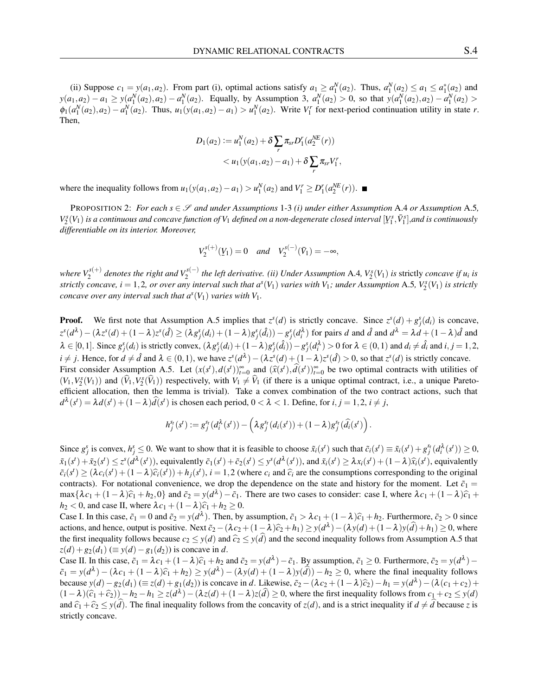(ii) Suppose  $c_1 = y(a_1, a_2)$ . From part (i), optimal actions satisfy  $a_1 \ge a_1^N(a_2)$ . Thus,  $a_1^N(a_2) \le a_1 \le a_1^*(a_2)$  and  $y(a_1, a_2) - a_1 \ge y(a_1^N(a_2), a_2) - a_1^N(a_2)$ . Equally, by Assumption [3,](#page-9-0)  $a_1^N(a_2) > 0$ , so that  $y(a_1^N(a_2), a_2) - a_1^N(a_2) > 0$  $\phi_1(a_1^N(a_2), a_2) - a_1^N(a_2)$ . Thus,  $u_1(y(a_1, a_2) - a_1) > u_1^N(a_2)$ . Write  $V_1^r$  for next-period continuation utility in state r. Then,

$$
D_1(a_2) := u_1^N(a_2) + \delta \sum_r \pi_{sr} D_1^r(a_2^{NE}(r))
$$
  
< 
$$
< u_1(y(a_1, a_2) - a_1) + \delta \sum_r \pi_{sr} V_1^r,
$$

where the inequality follows from  $u_1(y(a_1, a_2) - a_1) > u_1^N(a_2)$  and  $V_1^r \ge D_1^r(a_2^{NE}(r))$ .

PROPOSITION 2: *For each*  $s \in \mathscr{S}$  *and under Assumptions* [1](#page-8-1)-[3](#page-9-0) *(i) under either Assumption* [A.4](#page-29-0) *or Assumption* [A.5](#page-29-1)*,*  $V_2^s(V_1)$  *is a continuous and concave function of*  $V_1$  *defined on a non-degenerate closed interval*  $[Y_1^s, \bar{V}_1^s]$ *,and is continuously*<br>differentiable on its interior. Moreover *differentiable on its interior. Moreover,*

$$
V_2^{s(+)}(V_1) = 0
$$
 and  $V_2^{s(-)}(\bar{V}_1) = -\infty$ ,

*where*  $V_2^{s(+)}$  $\chi_2^{s(+)}$  denotes the right and  $V_2^{s(-)}$  $t_2^{(s(-))}$  the left derivative. (ii) Under Assumption [A.4](#page-29-0),  $V_2^s(V_1)$  is strictly *concave if*  $u_i$  is strictly concave,  $i = 1,2$ , or over any interval such that  $a^s(V_1)$  varies with  $V_1$ ; under Assumption [A.5](#page-29-1),  $V_2^s(V_1)$  is strictly *concave over any interval such that*  $a^{s}(V_1)$  *varies with*  $V_1$ *.* 

**Proof.** We first note that Assumption [A.5](#page-29-1) implies that  $z^s(d)$  is strictly concave. Since  $z^s(d) + g^s_j(d_i)$  is concave,  $z^s(d^\lambda) - (\lambda z^s(d) + (1-\lambda)z^s(\hat{d}) \ge (\lambda g^s_j(d_i) + (1-\lambda)g^s_j(\hat{d_i})) - g^s_j(d^\lambda_i)$  for pairs  $d$  and  $\hat{d}$  and  $d^\lambda = \lambda d + (1-\lambda)\hat{d}$  and  $\lambda \in [0,1]$ . Since  $g_j^s(d_i)$  is strictly convex,  $(\lambda g_j^s(d_i) + (1-\lambda)g_j^s(\hat{d_i})) - g_j^s(d_i^{\lambda}) > 0$  for  $\lambda \in (0,1)$  and  $d_i \neq \hat{d_i}$  and  $i, j = 1,2$ ,  $i \neq j$ . Hence, for  $d \neq \hat{d}$  and  $\lambda \in (0,1)$ , we have  $z^{s}(d^{\lambda}) - (\lambda z^{s}(d) + (1 - \lambda)z^{s}(\hat{d}) > 0$ , so that  $z^{s}(d)$  is strictly concave.

First consider Assumption [A.5.](#page-29-1) Let  $(x(s^t), d(s^t))_{t=0}^{\infty}$  and  $(\hat{x}(s^t), \hat{d}(s^t))_{t=0}^{\infty}$  be two optimal contracts with utilities of  $(V_1, V_2^s(V_1))$  and  $(\hat{V}_1, V_2^s(\hat{V}_1))$  respectively, with  $V_1 \neq \hat{V}_1$  (if there is a unique optimal contract, i.e., a unique Paretoefficient allocation, then the lemma is trivial). Take a convex combination of the two contract actions, such that  $d^{\lambda}(s^t) = \lambda d(s^t) + (1 - \lambda) \hat{d}(s^t)$  is chosen each period,  $0 < \lambda < 1$ . Define, for  $i, j = 1, 2, i \neq j$ ,

$$
h_j^{s_i}(s^t) := g_j^{s_i}(d_i^{\lambda}(s^t)) - \left(\lambda g_j^{s_i}(d_i(s^t)) + (1-\lambda)g_j^{s_i}(\widehat{d_i}(s^t)\right).
$$

Since  $g_j^s$  is convex,  $h_j^s \le 0$ . We want to show that it is feasible to choose  $\tilde{x}_i(s^t)$  such that  $\tilde{c}_i(s^t) \equiv \tilde{x}_i(s^t) + g_j^{s_i}(d_i^{\lambda}(s^t)) \ge 0$ ,  $\tilde{x}_1(s^t) + \tilde{x}_2(s^t) \leq z^s(d^{\lambda}(s^t))$ , equivalently  $\tilde{c}_1(s^t) + \tilde{c}_2(s^t) \leq y^s(d^{\lambda}(s^t))$ , and  $\tilde{x}_i(s^t) \geq \lambda x_i(s^t) + (1 - \lambda)\hat{x}_i(s^t)$ , equivalently  $\tilde{c}_i(s^i) \ge (\lambda c_i(s^i) + (1 - \lambda)\hat{c}_i(s^i)) + h_j(s^i), i = 1, 2$  (where  $c_i$  and  $\hat{c}_i$  are the consumptions corresponding to the original<br>contracts). For notational convenience, we drop the dependence on the state and history for contracts). For notational convenience, we drop the dependence on the state and history for the moment. Let  $\tilde{c}_1$  =  $\max{\{\lambda c_1 + (1 - \lambda)\hat{c}_1 + h_2, 0\}}$  and  $\tilde{c}_2 = y(d^{\lambda}) - \tilde{c}_1$ . There are two cases to consider: case I, where  $\lambda c_1 + (1 - \lambda)\hat{c}_1 +$  $h_2 < 0$ , and case II, where  $\lambda c_1 + (1 - \lambda)\hat{c}_1 + h_2 \geq 0$ .

Case I. In this case,  $\tilde{c}_1 = 0$  and  $\tilde{c}_2 = y(d^{\lambda})$ . Then, by assumption,  $\tilde{c}_1 > \lambda c_1 + (1 - \lambda)\tilde{c}_1 + h_2$ . Furthermore,  $\tilde{c}_2 > 0$  since extinge and hance output is positive. Note  $\tilde{c}_1 > (1 - \lambda)\tilde{c}_1 + h_1 > y(d^{\lambda}) - ($ actions, and hence, output is positive. Next  $\tilde{c}_2 - (\lambda c_2 + (1 - \lambda)\tilde{c}_2 + h_1) \ge y(d^{\lambda}) - (\lambda y(d) + (1 - \lambda)y(d) + h_1) \ge 0$ , where the first inequality follows because  $c_2 \leq y(d)$  and  $\hat{c}_2 \leq y(d)$  and the second inequality follows from Assumption [A.5](#page-29-1) that  $z(d) + g_2(d_1) \equiv y(d) - g_1(d_2)$  is concave in *d*.

Case II. In this case,  $\tilde{c}_1 = \lambda c_1 + (1 - \lambda)\hat{c}_1 + h_2$  and  $\tilde{c}_2 = y(d^{\lambda}) - \tilde{c}_1$ . By assumption,  $\tilde{c}_1 \ge 0$ . Furthermore,  $\tilde{c}_2 = y(d^{\lambda}) - \tilde{c}_2$ ,  $y(d^{\lambda}) - (d^{\lambda}) - (d^{\lambda}) - (d^{\lambda}) - (d^{\lambda}) - (d^{\lambda}) - (d^{\lambda}) - (d^{\lambda}) - (d^{\lambda}) - (d^$  $\tilde{c}_1 = y(d^{\lambda}) - (\lambda c_1 + (1 - \lambda)\hat{c}_1 + h_2) \ge y(d^{\lambda}) - (\lambda y(d) + (1 - \lambda)y(d)) - h_2 \ge 0$ , where the final inequality follows because  $y(d) - g_2(d_1) \equiv z(d) + g_1(d_2)$  is concave in d. Likewise,  $\tilde{c}_2 - (\lambda c_2 + (1 - \lambda)\tilde{c}_2) - h_1 = y(d^{\lambda}) - (\lambda (c_1 + c_2) +$  $(1 - \lambda)(\hat{c}_1 + \hat{c}_2) - h_2 - h_1 \ge z(d^{\lambda}) - (\lambda z(d) + (1 - \lambda)z(d) \ge 0$ , where the first inequality follows from  $c_1 + c_2 \le y(d)$ <br>and  $\hat{c}_1 + \hat{c}_2 \le y(d)$ . The final inequality follows from the conceptive of  $z(d)$  and is a strict inequa and  $\hat{c}_1 + \hat{c}_2 \leq y(\hat{d})$ . The final inequality follows from the concavity of  $z(d)$ , and is a strict inequality if  $d \neq \hat{d}$  because *z* is strictly concave.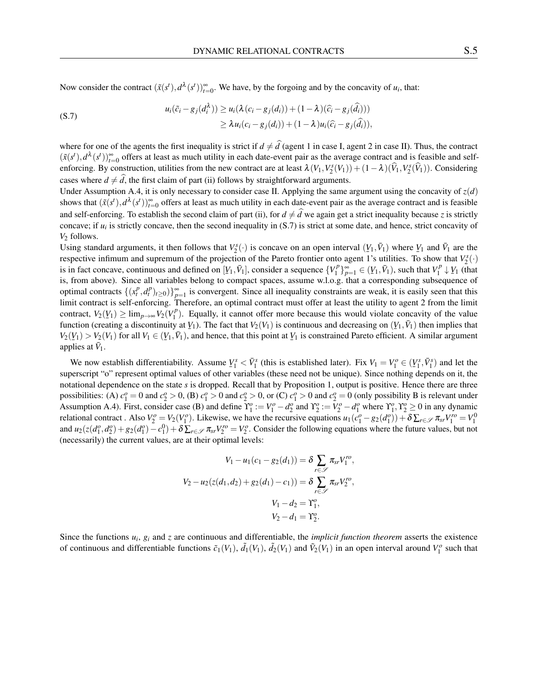Now consider the contract  $(\tilde{x}(s^t), d^{\lambda}(s^t))_{t=0}^{\infty}$ . We have, by the forgoing and by the concavity of *u<sub>i</sub>*, that:

<span id="page-42-0"></span>
$$
u_i(\tilde{c}_i - g_j(d_i^{\lambda})) \ge u_i(\lambda (c_i - g_j(d_i)) + (1 - \lambda)(\widehat{c}_i - g_j(\widehat{d}_i)))
$$
  
\n
$$
\ge \lambda u_i(c_i - g_j(d_i)) + (1 - \lambda)u_i(\widehat{c}_i - g_j(\widehat{d}_i)),
$$

where for one of the agents the first inequality is strict if  $d \neq \hat{d}$  (agent 1 in case I, agent 2 in case II). Thus, the contract  $(\tilde{x}(s^t), d^{\lambda}(s^t))_{t=0}^{\infty}$  offers at least as much utility in each date-event pair as the average contract and is feasible and selfenforcing. By construction, utilities from the new contract are at least  $\lambda(V_1, V_2^s(V_1)) + (1 - \lambda)(\hat{V}_1, V_2^s(\hat{V}_1))$ . Considering cases where  $d \neq d$ , the first claim of part (ii) follows by straightforward arguments.

Under Assumption [A.4,](#page-29-0) it is only necessary to consider case II. Applying the same argument using the concavity of  $z(d)$ shows that  $(\tilde{x}(s^t), d^{\lambda}(s^t))_{t=0}^{\infty}$  offers at least as much utility in each date-event pair as the average contract and is feasible and self-enforcing. To establish the second claim of part (ii), for  $d \neq \hat{d}$  we again get a strict inequality because *z* is strictly concave; if  $u_i$  is strictly concave, then the second inequality in  $(S.7)$  is strict at some date, and hence, strict concavity of *V*<sup>2</sup> follows.

Using standard arguments, it then follows that  $V_2^s(\cdot)$  is concave on an open interval  $(V_1, \bar{V}_1)$  where  $V_1$  and  $\bar{V}_1$  are the respective infimum and supremum of the projection of the Pareto frontier onto agent 1's utilities. To show that  $V_2^s(\cdot)$ is in fact concave, continuous and defined on  $[Y_1, \bar{V}_1]$ , consider a sequence  $\{V_1^p\}$  $\frac{1}{2}$  is, from above). Since all variables belong to compact spaces, assume w.l.o.g. that a corresponding subsequence of  $\{Y_1^p\}_{p=1}^{\infty} \in (\underline{V}_1, \overline{V}_1)$ , such that  $V_1^p$  $Y_1^p \downarrow Y_1$  (that optimal contracts  $\{(x_t^p, d_t^p)_{t\geq 0}\}_{p=1}^{\infty}$  is convergent. Since all inequality constraints are weak, it is easily seen that this limit contract is self-enforcing. Therefore, an optimal contract must offer at least the utility to agent 2 from the limit contract,  $V_2(Y_1) \ge \lim_{p \to \infty} V_2(V_1^p)$ function (creating a discontinuity at  $V_1$ ). The fact that  $V_2(V_1)$  is continuous and decreasing on  $(V_1, \bar{V}_1)$  then implies that  $\binom{p}{1}$ . Equally, it cannot offer more because this would violate concavity of the value  $V_2(V_1) > V_2(V_1)$  for all  $V_1 \in (Y_1, \bar{V}_1)$ , and hence, that this point at  $Y_1$  is constrained Pareto efficient. A similar argument applies at  $\bar{V}_1$ . applies at  $\bar{V}_1$ .

We now establish differentiability. Assume  $Y_1^s < \bar{V}_1^s$  (this is established later). Fix  $V_1 = V_1^o \in (\underline{V}_1^s, \bar{V}_1^s)$  and let the superscript "o" represent optimal values of other variables (these need not be unique). Since nothing depends on it, the notational dependence on the state *s* is dropped. Recall that by Proposition [1,](#page-13-1) output is positive. Hence there are three possibilities: (A)  $c_1^o = 0$  and  $c_2^o > 0$ , (B)  $c_1^o > 0$  and  $c_2^o > 0$ , or (C)  $c_1^o > 0$  and  $c_2^o = 0$  (only possibility B is relevant under Assumption [A.4\)](#page-29-0). First, consider case (B) and define  $Y_1^o := V_1^o - d_2^o$  and  $Y_2^o := V_2^o - d_1^o$  where  $Y_1^o, Y_2^o \ge 0$  in any dynamic relational contract. Also  $V_2^o = V_2(V_1^o)$ . Likewise, we have the recursive equations  $u_1(c_1^o - g_2(d_1^o)) + \delta \sum_{r \in \mathcal{S}} \pi_{sr} V_1^{ro} = V_1^0$ and  $u_2(z(d_1^o, d_2^o)+g_2(d_1^o)-c_1^0)+\delta\sum_{r\in\mathcal{S}}\pi_{sr}V_2^{ro}=V_2^o$ . Consider the following equations where the future values, but not (necessarily) the current values, are at their optimal levels:

$$
V_1 - u_1(c_1 - g_2(d_1)) = \delta \sum_{r \in \mathcal{S}} \pi_{sr} V_1^{ro},
$$
  

$$
V_2 - u_2(z(d_1, d_2) + g_2(d_1) - c_1)) = \delta \sum_{r \in \mathcal{S}} \pi_{sr} V_2^{ro},
$$
  

$$
V_1 - d_2 = \Upsilon_1^o,
$$
  

$$
V_2 - d_1 = \Upsilon_2^o.
$$

Since the functions  $u_i$ ,  $g_i$  and  $z$  are continuous and differentiable, the *implicit function theorem* asserts the existence of continuous and differentiable functions  $\tilde{c}_1(V_1)$ ,  $\tilde{d}_1(V_1)$ ,  $\tilde{d}_2(V_1)$  and  $\tilde{V}_2(V_1)$  in an open interval around  $V_1^o$  such that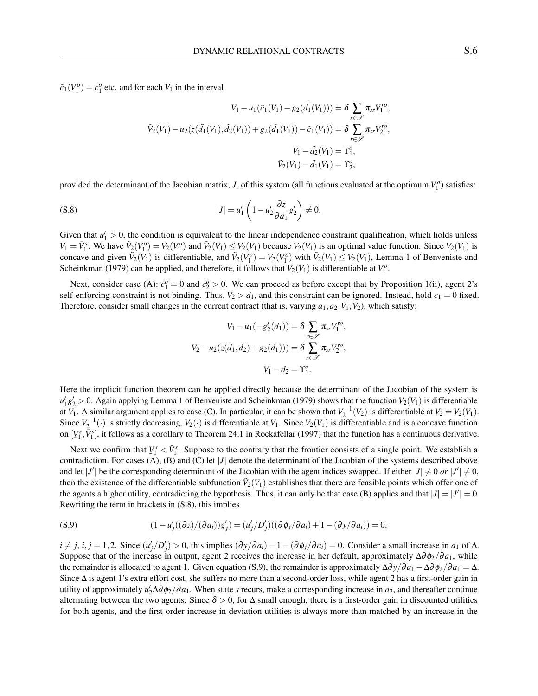$\tilde{c}_1(V_1^o) = c_1^o$  etc. and for each  $V_1$  in the interval

$$
V_1 - u_1(\tilde{c}_1(V_1) - g_2(\tilde{d}_1(V_1))) = \delta \sum_{r \in \mathcal{S}} \pi_{sr} V_1^{ro},
$$
  

$$
\tilde{V}_2(V_1) - u_2(z(\tilde{d}_1(V_1), \tilde{d}_2(V_1)) + g_2(\tilde{d}_1(V_1)) - \tilde{c}_1(V_1)) = \delta \sum_{r \in \mathcal{S}} \pi_{sr} V_2^{ro},
$$
  

$$
V_1 - \tilde{d}_2(V_1) = \tilde{\Upsilon}_1^o,
$$
  

$$
\tilde{V}_2(V_1) - \tilde{d}_1(V_1) = \tilde{\Upsilon}_2^o,
$$

provided the determinant of the Jacobian matrix,  $J$ , of this system (all functions evaluated at the optimum  $V_1^o$ ) satisfies:

<span id="page-43-0"></span>
$$
|J| = u_1' \left(1 - u_2' \frac{\partial z}{\partial a_1} g_2'\right) \neq 0.
$$

Given that  $u'_1 > 0$ , the condition is equivalent to the linear independence constraint qualification, which holds unless  $V_1 = \overline{V}_1^s$ . We have  $\widetilde{V}_2(V_1^o) = V_2(V_1^o)$  and  $\widetilde{V}_2(V_1) \le V_2(V_1)$  because  $V_2(V_1)$  is an optimal value function. Since  $V_2(V_1)$  is concave and given  $\tilde{V}_2(V_1)$  is differentiable, and  $\tilde{V}_2(V_1^o) = V_2(V_1^o)$  with  $\tilde{V}_2(V_1) \le V_2(V_1)$ , Lemma 1 of [Benveniste and](#page-35-3) [Scheinkman](#page-35-3) [\(1979\)](#page-35-3) can be applied, and therefore, it follows that  $V_2(V_1)$  is differentiable at  $V_1^o$ .

Next, consider case (A):  $c_1^o = 0$  and  $c_2^o > 0$ . We can proceed as before except that by Proposition [1\(](#page-13-1)ii), agent 2's self-enforcing constraint is not binding. Thus,  $V_2 > d_1$ , and this constraint can be ignored. Instead, hold  $c_1 = 0$  fixed. Therefore, consider small changes in the current contract (that is, varying  $a_1, a_2, V_1, V_2$ ), which satisfy:

$$
V_1 - u_1(-g_2^s(d_1)) = \delta \sum_{r \in \mathcal{S}} \pi_{sr} V_1^{ro},
$$
  

$$
V_2 - u_2(z(d_1, d_2) + g_2(d_1))) = \delta \sum_{r \in \mathcal{S}} \pi_{sr} V_2^{ro},
$$
  

$$
V_1 - d_2 = \Upsilon_1^o.
$$

Here the implicit function theorem can be applied directly because the determinant of the Jacobian of the system is  $u'_1g'_2 > 0$ . Again applying Lemma 1 of [Benveniste and Scheinkman](#page-35-3) [\(1979\)](#page-35-3) shows that the function  $V_2(V_1)$  is differentiable at *V*<sub>1</sub>. A similar argument applies to case (C). In particular, it can be shown that  $V_2^{-1}(V_2)$  is differentiable at  $V_2 = V_2(V_1)$ . Since  $V_2^{-1}(\cdot)$  is strictly decreasing,  $V_2(\cdot)$  is differentiable at  $V_1$ . Since  $V_2(V_1)$  is differentiable and is a concave function on  $[Y_1^s, \overline{V}_1^s]$ , it follows as a corollary to Theorem 24.1 in [Rockafellar](#page-37-5) [\(1997\)](#page-37-5) that the function has a continuous derivative.

Next we confirm that  $V_1^s < \bar{V}_1^s$ . Suppose to the contrary that the frontier consists of a single point. We establish a contradiction. For cases (A), (B) and (C) let  $|J|$  denote the determinant of the Jacobian of the systems described above and let  $|J'|$  be the corresponding determinant of the Jacobian with the agent indices swapped. If either  $|J| \neq 0$  or  $|J'| \neq 0$ , then the existence of the differentiable subfunction  $\tilde{V}_2(V_1)$  establishes that there are feasible points which offer one of the agents a higher utility, contradicting the hypothesis. Thus, it can only be that case (B) applies and that  $|J| = |J'| = 0$ . Rewriting the term in brackets in [\(S.8\)](#page-43-0), this implies

<span id="page-43-1"></span>
$$
(S.9) \qquad (1 - u_j'((\partial z)/(\partial a_i))g_j') = (u_j'D_j')((\partial \phi_j/\partial a_i) + 1 - (\partial y/\partial a_i)) = 0,
$$

 $i \neq j$ ,  $i, j = 1, 2$ . Since  $(u'_j/D'_j) > 0$ , this implies  $(\partial y/\partial a_i) - 1 - (\partial \phi_j/\partial a_i) = 0$ . Consider a small increase in  $a_1$  of  $\Delta$ . Suppose that of the increase in output, agent 2 receives the increase in her default, approximately  $\Delta\partial\phi_2/\partial a_1$ , while the remainder is allocated to agent 1. Given equation [\(S.9\)](#page-43-1), the remainder is approximately  $\Delta\partial y/\partial a_1 - \Delta\partial \phi_2/\partial a_1 = \Delta$ . Since ∆ is agent 1's extra effort cost, she suffers no more than a second-order loss, while agent 2 has a first-order gain in utility of approximately *u*<sup>1</sup><sub>2</sub>∆∂φ<sub>2</sub>/∂*a*<sub>1</sub>. When state *s* recurs, make a corresponding increase in *a*<sub>2</sub>, and thereafter continue alternating between the two agents. Since  $\delta > 0$ , for  $\Delta$  small enough, there is a first-order gain in discounted utilities for both agents, and the first-order increase in deviation utilities is always more than matched by an increase in the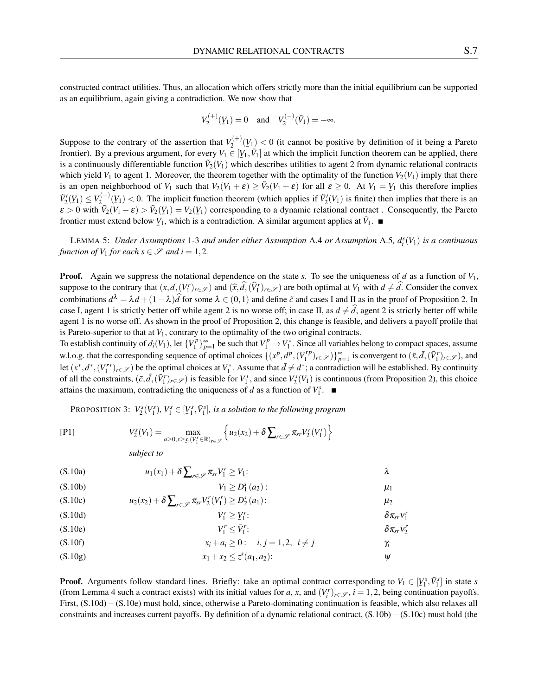constructed contract utilities. Thus, an allocation which offers strictly more than the initial equilibrium can be supported as an equilibrium, again giving a contradiction. We now show that

$$
V_2^{(+)}(V_1) = 0
$$
 and  $V_2^{(-)}(\bar{V}_1) = -\infty$ .

Suppose to the contrary of the assertion that  $V_2^{(+)}$  $\chi^{(+)}(V_1)$  < 0 (it cannot be positive by definition of it being a Pareto frontier). By a previous argument, for every  $V_1 \in [Y_1, \bar{V}_1]$  at which the implicit function theorem can be applied, there is a continuously differentiable function  $\tilde{V}_2(V_1)$  which describes utilities to agent 2 from dynamic relational contracts which yield  $V_1$  to agent 1. Moreover, the theorem together with the optimality of the function  $V_2(V_1)$  imply that there is an open neighborhood of  $V_1$  such that  $V_2(V_1 + \varepsilon) \ge \tilde{V}_2(V_1 + \varepsilon)$  for all  $\varepsilon \ge 0$ . At  $V_1 = V_1$  this therefore implies  $\tilde{V}'_2(Y_1) \leq V_2^{(+)}(Y_1) < 0$ . The implicit function theorem (which applies if  $\tilde{V}'_2(V_1)$  is finite) then  $\varepsilon > 0$  with  $\tilde{V}_2(V_1 - \varepsilon) > \tilde{V}_2(V_1) = V_2(V_1)$  corresponding to a dynamic relational contract . Consequently, the Pareto  $\sum_{i=1}^{N} (Y_i) < 0$ . The implicit function theorem (which applies if  $\tilde{V}'_2(V_1)$  is finite) then implies that there is an frontier must extend below  $V_1$ , which is a contradiction. A similar argument applies at  $\bar{V}_1$ .

LEMMA 5: *Under Assumptions* [1](#page-8-1)*-*[3](#page-9-0) *and under either Assumption* [A.4](#page-29-0) *or Assumption* [A.5](#page-29-1)*, d s i* (*V*1) *is a continuous function of V*<sub>1</sub> *for each*  $s \in \mathcal{S}$  *and*  $i = 1, 2$ *.* 

**Proof.** Again we suppress the notational dependence on the state *s*. To see the uniqueness of *d* as a function of  $V_1$ , suppose to the contrary that  $(x, d, (V_1^r)_{r \in \mathscr{S}})$  and  $(\widehat{x}, \widehat{d}, (\widehat{V}_1^r)_{r \in \mathscr{S}})$  are both optimal at  $V_1$  with  $d \neq \widehat{d}$ . Consider the convex combinations  $d^{\lambda} = \lambda d + (1 - \lambda)d$  for some  $\lambda \in (0,1)$  and define  $\tilde{c}$  and cases I and II as in the proof of Proposition [2.](#page-14-0) In case I, agent 1 is strictly better off while agent 2 is no worse off; in case II, as  $d \neq d$ , agent 2 is strictly better off while agent 1 is no worse off. As shown in the proof of Proposition [2,](#page-14-0) this change is feasible, and delivers a payoff profile that is Pareto-superior to that at  $V_1$ , contrary to the optimality of the two original contracts.

To establish continuity of  $d_i(V_1)$ , let  $\{V_1^p\}$  $\int_{1}^{p} \int_{p=1}^{\infty}$  be such that  $V_{1}^{p} \to V_{1}^{*}$ . Since all variables belong to compact spaces, assume w.l.o.g. that the corresponding sequence of optimal choices  $\{(x^p, d^p, (V_1^{rp})\})$  $\binom{r}{1}$ *r*∈ $\mathscr{S}$ )} $_{p=1}^{\infty}$  is convergent to  $(\bar{x}, \bar{d}, (\bar{V}_1^r)_{r \in \mathscr{S}})$ , and let  $(x^*, d^*, (V_1^{r*})_{r \in \mathscr{S}})$  be the optimal choices at  $V_1^*$ . Assume that  $\bar{d} \neq d^*$ ; a contradiction will be established. By continuity of all the constraints,  $(\bar{c}, \bar{d}, (\bar{V}_1^r)_{r \in \mathscr{S}})$  is feasible for  $V_1^*$ , and since  $V_2^s(V_1)$  is continuous (from Proposition [2\)](#page-14-0), this choice attains the maximum, contradicting the uniqueness of *d* as a function of  $V_1^s$ .

PROPOSITION 3:  $V_2^s(V_1^s)$ ,  $V_1^s \in [Y_1^s, \bar{V}_1^s]$ , *is a solution to the following program* 

[**P1**] 
$$
V_2^s(V_1) = \max_{a \ge 0, x \ge x, (V_1^r \in \mathbb{R})_{r \in \mathscr{S}}} \left\{ u_2(x_2) + \delta \sum_{r \in \mathscr{S}} \pi_{sr} V_2^r(V_1^r) \right\}
$$

*subject to*

<span id="page-44-6"></span><span id="page-44-3"></span><span id="page-44-2"></span><span id="page-44-0"></span>(S.10a)

\n
$$
u_{1}(x_{1}) + \delta \sum_{r \in \mathcal{S}} \pi_{sr} V_{1}^{r} \geq V_{1}:
$$
\n(S.10b)

\n
$$
V_{1} \geq D_{1}^{s}(a_{2}):
$$
\n(S.10c)

\n
$$
u_{2}(x_{2}) + \delta \sum_{r \in \mathcal{S}} \pi_{sr} V_{2}^{r}(V_{1}^{r}) \geq D_{2}^{s}(a_{1}):
$$
\n(S.10d)

\n
$$
V_{1}^{r} \geq V_{1}^{r}:
$$
\n(S.10e)

\n
$$
V_{1}^{r} \leq \bar{V}_{1}^{r}:
$$
\n(S.10f)

\n
$$
x_{i} + a_{i} \geq 0: \quad i, j = 1, 2, \quad i \neq j
$$
\n(S.10h)

\n(S.110i)

<span id="page-44-5"></span><span id="page-44-4"></span><span id="page-44-1"></span>(S.10g)  $x_1 + x_2 \le z^s(a_1, a_2)$ :  $\psi$ 

**Proof.** Arguments follow standard lines. Briefly: take an optimal contract corresponding to  $V_1 \in [Y_1^s, \bar{V}_1^s]$  in state *s* (from Lemma [4](#page-29-3) such a contract exists) with its initial values for *a*, *x*, and  $(V_i^r)_{r \in \mathscr{S}}, i = 1, 2$ , being continuation payoffs. First, [\(S.10d\)](#page-44-0)−[\(S.10e\)](#page-44-1) must hold, since, otherwise a Pareto-dominating continuation is feasible, which also relaxes all constraints and increases current payoffs. By definition of a dynamic relational contract, [\(S.10b\)](#page-44-2)−[\(S.10c\)](#page-44-3) must hold (the

*r* 1

*r* 2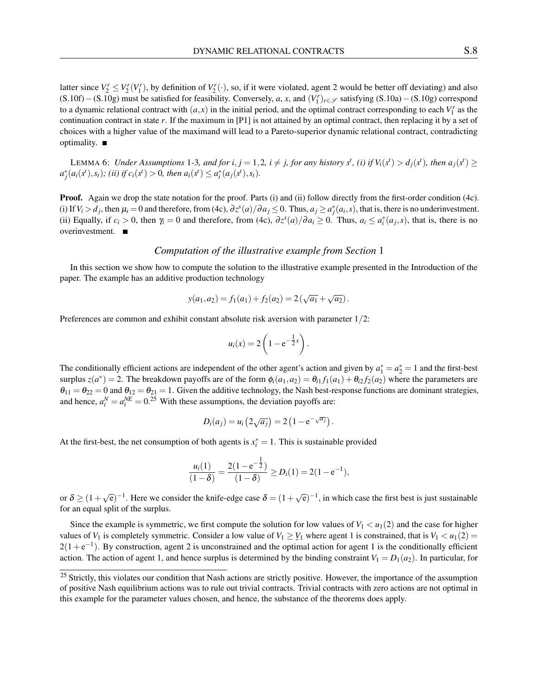latter since  $V_2^r \le V_2^r(V_1^r)$ , by definition of  $V_2^r(\cdot)$ , so, if it were violated, agent 2 would be better off deviating) and also  $(S.10f) - (S.10g)$  $(S.10f) - (S.10g)$  $(S.10f) - (S.10g)$  must be satisfied for feasibility. Conversely, *a*, *x*, and  $(V_1^r)_{r \in \mathcal{S}}$  satisfying  $(S.10a) - (S.10g)$  $(S.10a) - (S.10g)$  correspond to a dynamic relational contract with  $(a, x)$  in the initial period, and the optimal contract corresponding to each  $V_1^r$  as the continuation contract in state *r*. If the maximum in [P1] is not attained by an optimal contract, then replacing it by a set of choices with a higher value of the maximand will lead to a Pareto-superior dynamic relational contract, contradicting optimality.  $\blacksquare$ 

LEMMA 6: Under Assumptions [1](#page-8-1)-[3](#page-9-0), and for  $i, j = 1, 2, i \neq j$ , for any history  $s^t$ , (i) if  $V_i(s^t) > d_j(s^t)$ , then  $a_j(s^t) \ge$  $a_j^*(a_i(s^t), s_t)$ ; (ii) if  $c_i(s^t) > 0$ , then  $a_i(s^t) \le a_i^*(a_j(s^t), s_t)$ .

Proof. Again we drop the state notation for the proof. Parts (i) and (ii) follow directly from the first-order condition [\(4c\)](#page-16-2). (i) If  $V_i > d_j$ , then  $\mu_i = 0$  and therefore, from [\(4c\)](#page-16-2),  $\partial z^s(a)/\partial a_j \leq 0$ . Thus,  $a_j \geq a_j^*(a_i, s)$ , that is, there is no underinvestment. (ii) Equally, if  $c_i > 0$ , then  $\gamma_i = 0$  and therefore, from [\(4c\)](#page-16-2),  $\partial z^s(a)/\partial a_i \ge 0$ . Thus,  $a_i \le a_i^*(a_j, s)$ , that is, there is no overinvestment.

#### *Computation of the illustrative example from Section* [1](#page-0-0)

In this section we show how to compute the solution to the illustrative example presented in the Introduction of the paper. The example has an additive production technology

$$
y(a_1, a_2) = f_1(a_1) + f_2(a_2) = 2(\sqrt{a_1} + \sqrt{a_2}).
$$

Preferences are common and exhibit constant absolute risk aversion with parameter 1/2:

$$
u_i(x) = 2\left(1 - e^{-\frac{1}{2}x}\right).
$$

The conditionally efficient actions are independent of the other agent's action and given by  $a_1^* = a_2^* = 1$  and the first-best surplus  $z(a^*) = 2$ . The breakdown payoffs are of the form  $\phi_i(a_1, a_2) = \theta_{i1} f_1(a_1) + \theta_{i2} f_2(a_2)$  where the parameters are  $\theta_{11} = \theta_{22} = 0$  and  $\theta_{12} = \theta_{21} = 1$ . Given the additive technology, the Nash best-response functions are dominant strategies, and hence,  $a_i^N = a_i^{NE} = 0.25$  With these assumptions, the deviation payoffs are:

$$
D_i(a_j) = u_i\left(2\sqrt{a_j}\right) = 2\left(1 - e^{-\sqrt{a_j}}\right).
$$

At the first-best, the net consumption of both agents is  $x_i^* = 1$ . This is sustainable provided

$$
\frac{u_i(1)}{(1-\delta)}=\frac{2(1-e^{-\frac{1}{2}})}{(1-\delta)}\ge D_i(1)=2(1-e^{-1}),
$$

or  $\delta \ge (1 + \sqrt{\epsilon})^{-1}$ . Here we consider the knife-edge case  $\delta = (1 + \sqrt{\epsilon})^{-1}$ , in which case the first best is just sustainable for an equal split of the surplus.

Since the example is symmetric, we first compute the solution for low values of  $V_1 < u_1(2)$  and the case for higher values of  $V_1$  is completely symmetric. Consider a low value of  $V_1 \geq V_1$  where agent 1 is constrained, that is  $V_1 < u_1(2)$  =  $2(1+e^{-1})$ . By construction, agent 2 is unconstrained and the optimal action for agent 1 is the conditionally efficient action. The action of agent 1, and hence surplus is determined by the binding constraint  $V_1 = D_1(a_2)$ . In particular, for

<sup>&</sup>lt;sup>25</sup> Strictly, this violates our condition that Nash actions are strictly positive. However, the importance of the assumption of positive Nash equilibrium actions was to rule out trivial contracts. Trivial contracts with zero actions are not optimal in this example for the parameter values chosen, and hence, the substance of the theorems does apply.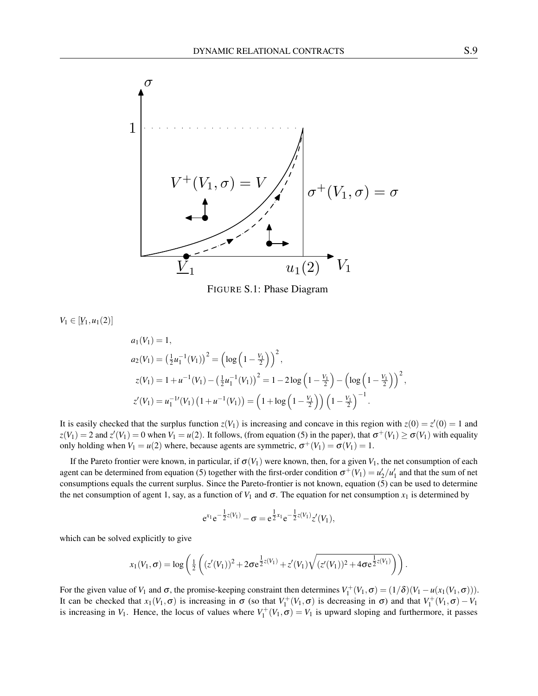

<span id="page-46-0"></span>FIGURE S.1: Phase Diagram

 $V_1 \in [V_1, u_1(2)]$ 

$$
a_1(V_1) = 1,
$$
  
\n
$$
a_2(V_1) = \left(\frac{1}{2}u_1^{-1}(V_1)\right)^2 = \left(\log\left(1 - \frac{V_1}{2}\right)\right)^2,
$$
  
\n
$$
z(V_1) = 1 + u^{-1}(V_1) - \left(\frac{1}{2}u_1^{-1}(V_1)\right)^2 = 1 - 2\log\left(1 - \frac{V_1}{2}\right) - \left(\log\left(1 - \frac{V_1}{2}\right)\right)^2
$$
  
\n
$$
z'(V_1) = u_1^{-1'}(V_1)\left(1 + u^{-1}(V_1)\right) = \left(1 + \log\left(1 - \frac{V_1}{2}\right)\right)\left(1 - \frac{V_1}{2}\right)^{-1}.
$$

It is easily checked that the surplus function  $z(V_1)$  is increasing and concave in this region with  $z(0) = z'(0) = 1$  and  $z(V_1) = 2$  and  $z'(V_1) = 0$  when  $V_1 = u(2)$ . It follows, (from equation [\(5\)](#page-18-0) in the paper), that  $\sigma^+(V_1) \ge \sigma(V_1)$  with equality only holding when  $V_1 = u(2)$  where, because agents are symmetric,  $\sigma^+(V_1) = \sigma(V_1) = 1$ .

If the Pareto frontier were known, in particular, if  $\sigma(V_1)$  were known, then, for a given  $V_1$ , the net consumption of each agent can be determined from equation [\(5\)](#page-18-0) together with the first-order condition  $\sigma^+(V_1) = u'_2/u'_1$  and that the sum of net consumptions equals the current surplus. Since the Pareto-frontier is not known, equation [\(5\)](#page-18-0) can be used to determine the net consumption of agent 1, say, as a function of  $V_1$  and  $\sigma$ . The equation for net consumption  $x_1$  is determined by

$$
e^{x_1}e^{-\frac{1}{2}z(V_1)}-\sigma=e^{\frac{1}{2}x_1}e^{-\frac{1}{2}z(V_1)}z'(V_1),
$$

which can be solved explicitly to give

$$
x_1(V_1,\sigma)=\log\left(\frac{1}{2}\left((z'(V_1))^2+2\sigma e^{\frac{1}{2}z(V_1)}+z'(V_1)\sqrt{(z'(V_1))^2+4\sigma e^{\frac{1}{2}z(V_1)}}\right)\right).
$$

For the given value of  $V_1$  and  $\sigma$ , the promise-keeping constraint then determines  $V_1^+(V_1,\sigma) = (1/\delta)(V_1 - u(x_1(V_1,\sigma)))$ . It can be checked that  $x_1(V_1, \sigma)$  is increasing in  $\sigma$  (so that  $V_1^+(V_1, \sigma)$  is decreasing in  $\sigma$ ) and that  $V_1^+(V_1, \sigma) - V_1$ is increasing in *V*<sub>1</sub>. Hence, the locus of values where  $V_1^+(V_1, \sigma) = V_1$  is upward sloping and furthermore, it passes

,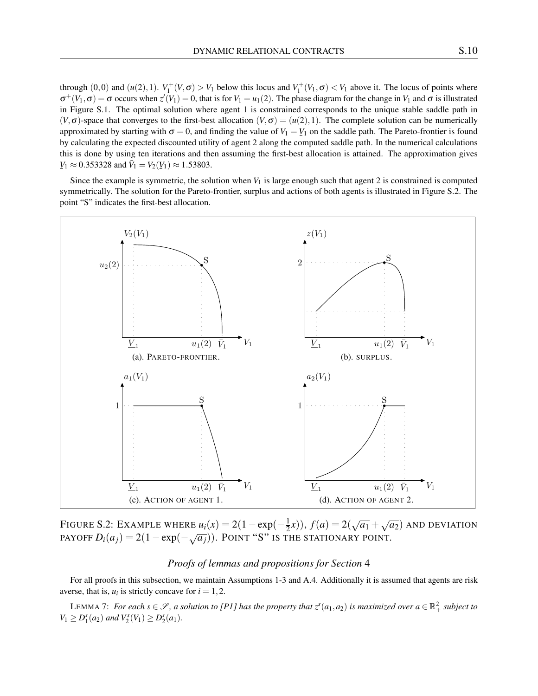through  $(0,0)$  and  $(u(2),1)$ .  $V_1^+(V,\sigma) > V_1$  below this locus and  $V_1^+(V_1,\sigma) < V_1$  above it. The locus of points where  $\sigma^+(V_1,\sigma) = \sigma$  occurs when  $z'(V_1) = 0$ , that is for  $V_1 = u_1(2)$ . The phase diagram for the change in  $V_1$  and  $\sigma$  is illustrated in Figure [S.1.](#page-46-0) The optimal solution where agent 1 is constrained corresponds to the unique stable saddle path in  $(V, \sigma)$ -space that converges to the first-best allocation  $(V, \sigma) = (u(2), 1)$ . The complete solution can be numerically approximated by starting with  $\sigma = 0$ , and finding the value of  $V_1 = V_1$  on the saddle path. The Pareto-frontier is found by calculating the expected discounted utility of agent 2 along the computed saddle path. In the numerical calculations this is done by using ten iterations and then assuming the first-best allocation is attained. The approximation gives  $V_1 \approx 0.353328$  and  $\bar{V}_1 = V_2(V_1) \approx 1.53803$ .

Since the example is symmetric, the solution when  $V_1$  is large enough such that agent 2 is constrained is computed symmetrically. The solution for the Pareto-frontier, surplus and actions of both agents is illustrated in Figure [S.2.](#page-47-0) The point "S" indicates the first-best allocation.



<span id="page-47-0"></span>FIGURE S.2: EXAMPLE WHERE  $u_i(x) = 2(1-\exp(-\frac{1}{2})$  $(\frac{1}{2}x)$ ),  $f(a) = 2(\sqrt{a_1} + \sqrt{a_2})$  and deviation PAYOFF  $D_i(a_j) = 2(1 - \exp(-\sqrt{a_j}))$ . POINT "S" IS THE STATIONARY POINT.

## *Proofs of lemmas and propositions for Section* [4](#page-17-0)

For all proofs in this subsection, we maintain Assumptions [1-](#page-8-1)[3](#page-9-0) and [A.4.](#page-29-0) Additionally it is assumed that agents are risk averse, that is,  $u_i$  is strictly concave for  $i = 1, 2$ .

LEMMA 7: For each  $s \in \mathscr{S}$ , a solution to [P1] has the property that  $z^s(a_1,a_2)$  is maximized over  $a \in \mathbb{R}_+^2$  subject to  $V_1 \geq D_1^s(a_2)$  *and*  $V_2^s(V_1) \geq D_2^s(a_1)$ *.*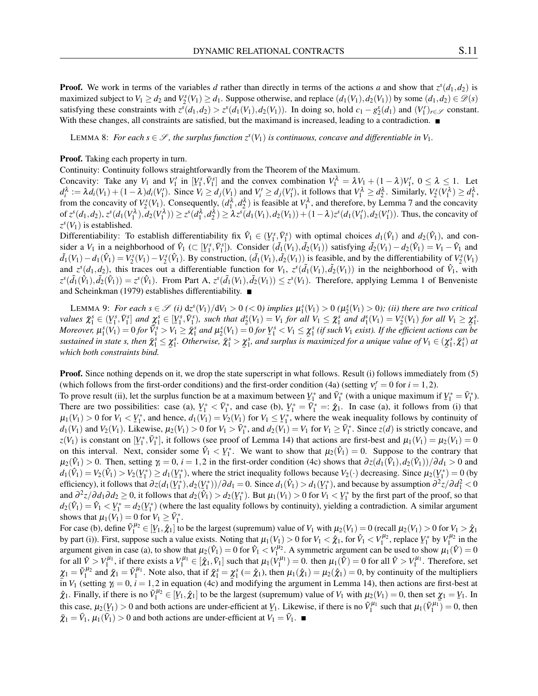**Proof.** We work in terms of the variables *d* rather than directly in terms of the actions *a* and show that  $z^s(d_1, d_2)$  is maximized subject to  $V_1 \ge d_2$  and  $V_2^s(V_1) \ge d_1$ . Suppose otherwise, and replace  $(d_1(V_1), d_2(V_1))$  by some  $(d_1, d_2) \in \mathcal{D}(s)$ satisfying these constraints with  $z^s(d_1, d_2) > z^s(d_1(V_1), d_2(V_1))$ . In doing so, hold  $c_1 - g_2^s(d_1)$  and  $(V_1^r)_{r \in \mathcal{S}}$  constant. With these changes, all constraints are satisfied, but the maximand is increased, leading to a contradiction.

LEMMA 8: For each  $s \in \mathscr{S}$ , the surplus function  $z^s(V_1)$  is continuous, concave and differentiable in  $V_1$ .

#### Proof. Taking each property in turn.

Continuity: Continuity follows straightforwardly from the Theorem of the Maximum.

Concavity: Take any *V*<sub>1</sub> and *V*<sub>1</sub><sup>'</sup> in [*V*<sub>1</sub><sup>s</sup>,  $\bar{V}_1^s$ ] and the convex combination  $V_1^{\lambda} = \lambda V_1 + (1 - \lambda)V_1^{\prime}$ ,  $0 \le \lambda \le 1$ . Let  $d_i^{\lambda} := \lambda d_i(V_1) + (1 - \lambda) d_i(V'_1)$ . Since  $V_i \ge d_j(V_1)$  and  $V'_i \ge d_j(V'_1)$ , it follows that  $V_1^{\lambda} \ge d_2^{\lambda}$ . Similarly,  $V_2^s(V_1^{\lambda}) \ge d_1^{\lambda}$ , from the concavity of  $V_2^s(V_1)$ . Consequently,  $(d_1^{\lambda}, d_2^{\lambda})$  is feasible at  $V_1^{\lambda}$ , and therefore, by Lemma [7](#page-30-2) and the concavity of  $z^{s}(d_1, d_2)$ ,  $z^{s}(d_1(V_1^{\lambda}), d_2(V_1^{\lambda})) \ge z^{s}(d_1^{\lambda}, d_2^{\lambda}) \ge \lambda z^{s}(d_1(V_1), d_2(V_1)) + (1 - \lambda)z^{s}(d_1(V_1'), d_2(V_1')).$  Thus, the concavity of  $z^s(V_1)$  is established.

Differentiability: To establish differentiability fix  $\hat{V}_1 \in (V_1^s, \bar{V}_1^s)$  with optimal choices  $d_1(\hat{V}_1)$  and  $d_2(\hat{V}_1)$ , and consider a  $V_1$  in a neighborhood of  $\hat{V}_1 \subset [Y_1^s, \bar{V}_1^s]$ . Consider  $(\tilde{d}_1(V_1), \tilde{d}_2(V_1))$  satisfying  $\tilde{d}_2(V_1) - d_2(\hat{V}_1) = V_1 - \hat{V}_1$  and  $d_1(V_1) - d_1(\hat{V}_1) = V_2^s(V_1) - V_2^s(\hat{V}_1)$ . By construction,  $(d_1(V_1), d_2(V_1))$  is feasible, and by the differentiability of  $V_2^s(V_1)$ and  $z^{s}(d_1, d_2)$ , this traces out a differentiable function for  $V_1$ ,  $z^{s}(\tilde{d}_1(V_1), \tilde{d}_2(V_1))$  in the neighborhood of  $\hat{V}_1$ , with  $z^{s}(\tilde{d}_1(\hat{V}_1), \tilde{d}_2(\hat{V}_1)) = z^{s}(\hat{V}_1)$ . From Part A,  $z^{s}(\tilde{d}_1(V_1), \tilde{d}_2(V_1)) \leq z^{s}(V_1)$ . Therefore, applying Lemma 1 of [Benveniste](#page-35-3) [and Scheinkman](#page-35-3) [\(1979\)](#page-35-3) establishes differentiability.

LEMMA 9: For each  $s \in \mathscr{S}$  (i)  $dz^s(V_1)/dV_1 > 0$  (< 0) implies  $\mu_1^s(V_1) > 0$  ( $\mu_2^s(V_1) > 0$ ); (ii) there are two critical values  $\bar{\chi}_1^s \in (Y_1^s, \bar{V}_1^s]$  and  $\underline{\chi}_1^s \in [Y_1^s, \bar{V}_1^s)$ , such that  $d_2^s(V_1) = V_1$  for all  $V_1 \leq \bar{\chi}_1^s$  and  $d_1^s(V_1) = V_2^s(V_1)$  for all  $V_1 \geq \underline{\chi}_1^s$ . Moreover,  $\mu_1^s(V_1) = 0$  for  $\bar{V}_1^s > V_1 \ge \bar{\chi}_1^s$  and  $\mu_2^s(V_1) = 0$  for  $V_1^s < V_1 \le \underline{\chi}_1^s$  (if such  $V_1$  exist). If the efficient actions can be  $\sum_{i=1}^{n} \sum_{j=1}^{n} \sum_{j=1}^{n} \sum_{j=1}^{n} \sum_{j=1}^{n}$  *s*  $\sum_{i=1}^{n} \sum_{j=1}^{n} \sum_{j=1}^{n} \sum_{j=1}^{n} \sum_{j=1}^{n} \sum_{j=1}^{n} \sum_{j=1}^{n} \sum_{j=1}^{n} \sum_{j=1}^{n} \sum_{j=1}^{n} \sum_{j=1}^{n} \sum_{j=1}^{n} \sum_{j=1}^{n} \sum_{j=1}^{n} \sum_{j=1}^{n} \sum_{j=1}^{n} \sum_{$  $\underline{\chi}_1^s$ . *Otherwise*,  $\bar{\chi}_1^s > \underline{\chi}$  $\underline{\chi}_1^s$ , and surplus is maximized for a unique value of  $V_1 \in ($ ¯  $\chi_1^s, \bar{\chi}_1^s$ ) at *which both constraints bind.*

**Proof.** Since nothing depends on it, we drop the state superscript in what follows. Result (i) follows immediately from [\(5\)](#page-18-0) (which follows from the first-order conditions) and the first-order condition [\(4a\)](#page-16-1) (setting  $v_i^r = 0$  for  $i = 1, 2$ ).

To prove result (ii), let the surplus function be at a maximum between  $V_1^*$  and  $\bar{V}_1^*$  (with a unique maximum if  $V_1^* = \bar{V}_1^*$ ). There are two possibilities: case (a),  $V_1^* < \bar{V}_1^*$ , and case (b),  $V_1^* = \bar{V}_1^* =: \hat{\chi}_1$ . In case (a), it follows from (i) that  $\mu(V) > 0$  for  $V_1 < V_1^*$  and happen  $\mathcal{A}(V) = V_1(V_1)$  for  $V_1 < V_1^*$  where the week  $\mu_1(V_1) > 0$  for  $V_1 < V_1^*$ , and hence,  $d_1(V_1) = V_2(V_1)$  for  $V_1 \le V_1^*$ , where the weak inequality follows by continuity of  $d_1(V_1)$  and  $V_2(V_1)$ . Likewise,  $\mu_2(V_1) > 0$  for  $V_1 > \overline{V}_1^*$ , and  $d_2(V_1) = V_1$  for  $V_1 \ge \overline{V}_1^*$ . Since  $z(d)$  is strictly concave, and  $d_1(V_1)$  and  $V_2(V_1)$ . Likewise,  $\mu_2(V_1) > 0$  for  $V_1 > \overline{V}_1^*$ , and  $z(V_1)$  is constant on  $[V_1^*, \overline{V}_1^*]$ , it follows (see proof of Lemma [14\)](#page-34-2) that actions are first-best and  $\mu_1(V_1) = \mu_2(V_1) = 0$ on this interval. Next, consider some  $\hat{V}_1 < V_1^*$ . We want to show that  $\mu_2(\hat{V}_1) = 0$ . Suppose to the contrary that  $\mu_2(\hat{V}_1) > 0$ . Then, setting  $\gamma_i = 0$ ,  $i = 1, 2$  in the first-order condition [\(4c\)](#page-16-2) shows that  $\partial z(d_1(\hat{V}_1), d_2(\hat{V}_1))/\partial d_1 > 0$  and  $d_1(\hat{V}_1) = V_2(\hat{V}_1) > V_2(V_1^*) \ge d_1(V_1^*)$ , where the strict inequality follows because  $V_2(\cdot)$  decreasing. Since  $\mu_2(V_1^*) = 0$  (by efficiency), it follows that  $\partial z(d_1(V_1^*), d_2(V_1^*))/\partial d_1 = 0$ . Since  $d_1(\hat{V}_1) > d_1(V_1^*)$ , and because by assumption  $\partial^2 z/\partial d_1^2 < 0$ and  $\frac{\partial^2 z}{\partial d_1 \partial d_2} \ge 0$ , it follows that  $d_2(\hat{V}_1) > d_2(V_1^*)$ . But  $\mu_1(V_1) > 0$  for  $V_1 < V_1^*$  by the first part of the proof, so that  $d_2(\hat{V}_1) = \hat{V}_1 \leq \underline{V}_1^* = d_2(\underline{V}_1^*)$  (where the last equality follows by continuity), yielding a contradiction. A similar argument shows that  $\mu_1(V_1) = 0$  for  $V_1 \ge \bar{V}_1^*$ .

For case (b), define  $\tilde{V}_1^{\mu_2} \in [Y_1, \hat{\chi}_1]$  to be the largest (supremum) value of  $V_1$  with  $\mu_2(V_1) = 0$  (recall  $\mu_2(V_1) > 0$  for  $V_1 > \hat{\chi}_1$ by part (i)). First, suppose such a value exists. Noting that  $\mu_1(V_1) > 0$  for  $V_1 < \hat{\chi}_1$ , for  $\hat{V}_1 < V_1^{\mu_2}$ , replace  $V_1^{\mu_1}$  by  $V_1^{\mu_2}$  in the by part (1)). First, suppose such a value exists. Noting that  $\mu_1(v_1) > 0$  for  $v_1 < \chi_1$ , for  $v_1 < v_1$ , replace  $\frac{\chi_1}{2}$  by  $v_1$ . In the argument given in case (a), to show that  $\mu_2(\hat{V}_1) = 0$  for  $\hat{V}_1 < V_1^{\mu_$ for all  $\hat{V} > V_1^{\mu_1}$ , if there exists a  $V_1^{\mu_1} \in [\hat{\chi}_1, \bar{V}_1]$  such that  $\mu_1(\hat{V}_1^{\mu_1}) = 0$ . then  $\mu_1(\hat{V}) = 0$  for all  $\hat{V} > V_1^{\mu_1}$ . Therefore, set in *V*<sub>1</sub> (setting  $\gamma_i = 0$ ,  $i = 1, 2$  in equation [\(4c\)](#page-16-2) and modifying the argument in Lemma [14\)](#page-34-2), then actions are first-best at  $\underline{\chi}_1 = \tilde{V}_1^{\mu_2}$  and  $\overline{\chi}_1 = \tilde{V}_1^{\mu_1}$ . Note also, that if  $\overline{\chi}_1^s = \underline{\chi}_1^s (= \hat{\chi}_1)$ , then  $\mu_1(\hat{\chi}_1) = \mu_2(\hat{\chi}_1) = 0$ , by continuity of the multipliers  $\hat{\chi}_1$ . Finally, if there is no  $\tilde{V}_1^{\mu_2} \in [Y_1, \hat{\chi}_1]$  to be the largest (supremum) value of  $V_1$  with  $\mu_2(V_1) = 0$ , then set  $\underline{\chi}_1 = V_1$ . In this case,  $\mu_2(Y_1) > 0$  and both actions are under-efficient at  $Y_1$ . Likewise, if there is no  $\tilde{V}_1^{\mu_1}$  such that  $\mu_1(\tilde{V}_1^{\mu_1}) = 0$ , then  $\bar{\chi}_1 = \bar{V}_1$ ,  $\mu_1(\bar{V}_1) > 0$  and both actions are under-efficient at  $V_1 = \bar{V}_1$ .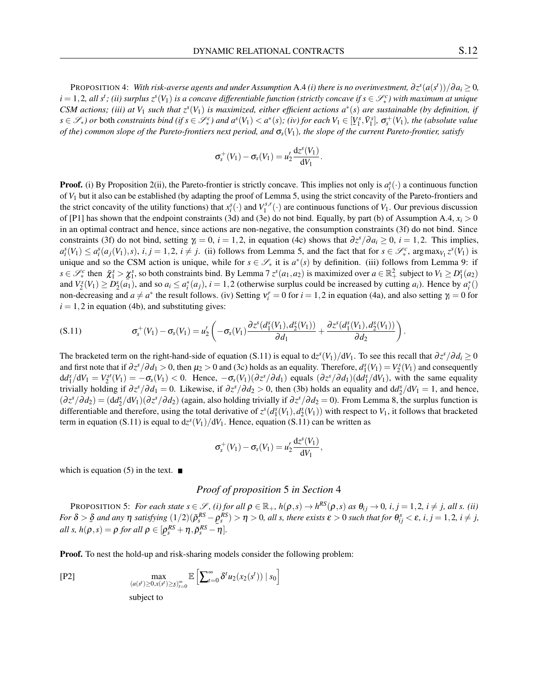PROPOSITION 4: With risk-averse agents and under Assumption [A.4](#page-29-0) (i) there is no overinvestment,  $\partial z^s(a(s^t)) / \partial a_i \ge 0$ ,  $i = 1, 2$ , all  $s'$ ; (ii) surplus  $z^s(V_1)$  is a concave differentiable function (strictly concave if  $s \in \mathscr{S}^c_*$ ) with maximum at unique *CSM* actions; (iii) at  $V_1$  such that  $z^s(V_1)$  is maximized, either efficient actions  $a^*(s)$  are sustainable (by definition, if  $s \in \mathscr{S}_*$ ) or both constraints bind (if  $s \in \mathscr{S}_*^c$ ) and  $a^s(V_1) < a^*(s)$ ; (iv) for each  $V_1 \in [\underline{V}_1^s, \overline{V}_1^s]$ ,  $\sigma_s^+(V_1)$ , the (absolute value  $\sigma$  for  $\epsilon$  of the) common slope of the Pareto-frontiers next period, and  $\sigma_s(V_1)$ , the slope of the current Pareto-frontier, satisfy

$$
\sigma_s^+(V_1) - \sigma_s(V_1) = u'_2 \frac{dz^s(V_1)}{dV_1}.
$$

**Proof.** (i) By Proposition [2\(](#page-14-0)ii), the Pareto-frontier is strictly concave. This implies not only is  $a_i^s(\cdot)$  a continuous function of *V*<sup>1</sup> but it also can be established (by adapting the proof of Lemma [5,](#page-30-3) using the strict concavity of the Pareto-frontiers and the strict concavity of the utility functions) that  $x_i^s(\cdot)$  and  $V_1^{s,r}$  $1^{s,r}(\cdot)$  are continuous functions of  $V_1$ . Our previous discussion of [P1] has shown that the endpoint constraints [\(3d\)](#page-15-3) and [\(3e\)](#page-15-4) do not bind. Equally, by part (b) of Assumption [A.4,](#page-29-0)  $x_i > 0$ in an optimal contract and hence, since actions are non-negative, the consumption constraints [\(3f\)](#page-15-5) do not bind. Since constraints [\(3f\)](#page-15-5) do not bind, setting  $\gamma_i = 0$ ,  $i = 1, 2$ , in equation [\(4c\)](#page-16-2) shows that  $\partial z^s / \partial a_i \ge 0$ ,  $i = 1, 2$ . This implies,  $a_i^s(V_1) \le a_i^s(a_j(V_1), s), i, j = 1, 2, i \ne j$ . (ii) follows from Lemma [5,](#page-30-3) and the fact that for  $s \in \mathcal{S}_*^c$ , argmax $v_1 z^s(V_1)$  is unique and so the CSM action is unique, while for  $s \in \mathcal{S}_*$  it is  $a^*(s)$  by definition. (iii) follows from Lemma [9:](#page-30-0) if  $s \in \mathcal{S}_*^c$  then  $\bar{\chi}_1^s > \underline{\chi}_1^s$ , so both constraints bind. By Lemma [7](#page-30-2)  $z^s(a_1, a_2)$  is maximized over  $a \in \mathbb{R}_+^2$  subject to  $V_1 \geq D_1^s(a_2)$ and  $V_2^s(V_1) \geq D_2^s(a_1)$ , and so  $a_i \leq a_i^*(a_j)$ ,  $i = 1, 2$  (otherwise surplus could be increased by cutting  $a_i$ ). Hence by  $a_i^*(0)$ non-decreasing and  $a \neq a^*$  the result follows. (iv) Setting  $v_i^r = 0$  for  $i = 1, 2$  in equation [\(4a\)](#page-16-1), and also setting  $\gamma_i = 0$  for  $i = 1, 2$  in equation [\(4b\)](#page-16-0), and substituting gives:

<span id="page-49-0"></span>
$$
(S.11) \t\sigma_s^+(V_1) - \sigma_s(V_1) = u'_2 \left( -\sigma_s(V_1) \frac{\partial z^s(d_1^s(V_1), d_2^s(V_1))}{\partial d_1} + \frac{\partial z^s(d_1^s(V_1), d_2^s(V_1))}{\partial d_2} \right).
$$

The bracketed term on the right-hand-side of equation [\(S.11\)](#page-49-0) is equal to  $dz^s(V_1)/dV_1$ . To see this recall that  $\partial z^s/\partial d_i \geq 0$ and first note that if  $\partial z^s / \partial d_1 > 0$ , then  $\mu_2 > 0$  and [\(3c\)](#page-15-2) holds as an equality. Therefore,  $d_1^s(V_1) = V_2^s(V_1)$  and consequently  $dd_1^s/dV_1 = V_2^{s'}(V_1) = -\sigma_s(V_1) < 0$ . Hence,  $-\sigma_s(V_1)(\partial z^s/\partial d_1)$  equals  $(\partial z^s/\partial d_1)(dd_1^s/dV_1)$ , with the same equality trivially holding if  $\partial z^s / \partial d_1 = 0$ . Likewise, if  $\partial z^s / \partial d_2 > 0$ , then [\(3b\)](#page-15-1) holds an equality and  $dd_2^s / dV_1 = 1$ , and hence,  $(\partial z^s / \partial d_2) = (dd_2^s / dV_1)(\partial z^s / \partial d_2)$  (again, also holding trivially if  $\partial z^s / \partial d_2 = 0$ ). From Lemma [8,](#page-30-1) the surplus function is differentiable and therefore, using the total derivative of  $z^s(d_1^s(V_1), d_2^s(V_1))$  with respect to  $V_1$ , it follows that bracketed term in equation [\(S.11\)](#page-49-0) is equal to  $\frac{d^s(V_1)}{dV_1}$ . Hence, equation (S.11) can be written as

$$
\sigma_s^+(V_1) - \sigma_s(V_1) = u'_2 \frac{dz^s(V_1)}{dV_1},
$$

which is equation [\(5\)](#page-18-0) in the text.  $\blacksquare$ 

#### *Proof of proposition* [5](#page-23-0) *in Section* [4](#page-17-0)

PROPOSITION 5: For each state  $s \in \mathscr{S}$ , (i) for all  $\rho \in \mathbb{R}_+$ ,  $h(\rho, s) \to h^{RS}(\rho, s)$  as  $\theta_{ij} \to 0$ , i,  $j = 1, 2$ ,  $i \neq j$ , all s. (ii) *For*  $\delta > \delta$  *and any*  $\eta$  *satisfying*  $(1/2)(\bar{\rho}_s^{RS} - \rho_s)$ <br>*all*  $s, h(\rho, s) = \rho$  *for all*  $\rho \in [\rho^{RS} + \eta, \bar{\rho}^{RS}]$  $(\rho_s^{RS}) > \eta > 0$ , all *s, there exists*  $\varepsilon > 0$  *such that for*  $\theta_{ij}^s < \varepsilon$ ,  $i, j = 1, 2, i \neq j$ , *all s,*  $h(\rho, s) = \rho$  *for all*  $\rho \in$  [ ¯  $\rho_s^{RS} + \eta, \bar{\rho}_s^{RS} - \eta$  ].

**Proof.** To nest the hold-up and risk-sharing models consider the following problem:

[P2] 
$$
\max_{(a(s^t) \ge 0, x(s^t) \ge x)_{t=0}^{\infty}} \mathbb{E} \left[ \sum_{t=0}^{\infty} \delta^t u_2(x_2(s^t)) | s_0 \right]
$$

subject to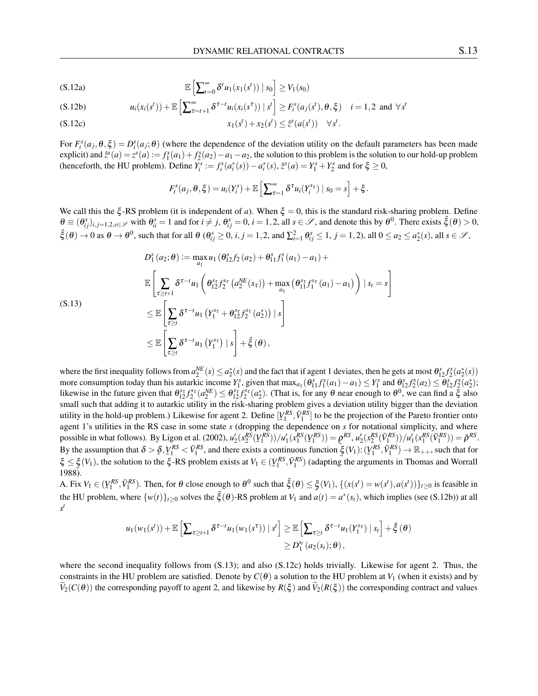$$
\mathbb{E}\left[\sum_{t=0}^{\infty} \delta^t u_1(x_1(s^t)) \mid s_0\right] \geq V_1(s_0)
$$

<span id="page-50-0"></span>
$$
(S.12b) \t u_i(x_i(s^t)) + \mathbb{E}\left[\sum_{\tau=t+1}^{\infty} \delta^{\tau-t} u_i(x_i(s^{\tau})) \mid s^t\right] \geq F_i^s(a_j(s^t), \theta, \xi) \quad i=1,2 \text{ and } \forall s^t
$$

<span id="page-50-2"></span>
$$
(S.12c) \t\t x_1(s^t) + x_2(s^t) \leq \hat{z}^s(a(s^t)) \quad \forall s^t.
$$

For  $F_i^s(a_j, \theta, \xi) = D_i^s(a_j; \theta)$  (where the dependence of the deviation utility on the default parameters has been made explicit) and  $\hat{z}^s(a) = z^s(a) := f_1^s(a_1) + f_2^s(a_2) - a_1 - a_2$ , the solution to this problem is the solution to our hold-up problem (henceforth, the HU problem). Define  $Y_i^s := f_i^s(a_i^*(s)) - a_i^*(s)$ ,  $\hat{z}^s(a) = Y_1^s + Y_2^s$  and for  $\xi \ge 0$ ,

$$
F_i^s(a_j, \theta, \xi) = u_i(Y_i^s) + \mathbb{E}\left[\sum_{\tau=1}^{\infty} \delta^{\tau} u_i(Y_i^{s_{\tau}}) \mid s_0 = s\right] + \xi.
$$

We call this the  $\xi$ -RS problem (it is independent of *a*). When  $\xi = 0$ , this is the standard risk-sharing problem. Define  $\theta \equiv (\theta_{ij}^s)_{i,j=1,2,\ s \in \mathscr{S}}$  with  $\theta_{ii}^s = 1$  and for  $i \neq j$ ,  $\theta_{ij}^s = 0$ ,  $i = 1,2$ , all  $s \in \mathscr{S}$ , and denote this by  $\theta^0$ . There exists  $\hat{\xi}(\theta) > 0$ ,  $\hat{\xi}(\theta) \to 0$  as  $\theta \to \theta^0$ , such that for all  $\theta$  ( $\theta_{ij}^s \ge 0$ , *i*, *j* = 1, 2, and  $\sum_{i=1}^2 \theta_{ij}^s \le 1$ , *j* = 1, 2), all  $0 \le a_2 \le a_2^*(s)$ , all  $s \in \mathcal{S}$ ,

<span id="page-50-1"></span>
$$
D_1^s (a_2; \theta) := \max_{a_1} u_1 (\theta_{12}^s f_2 (a_2) + \theta_{11}^s f_1^s (a_1) - a_1) +
$$
  
\n
$$
\mathbb{E} \left[ \sum_{\tau \ge t+1} \delta^{\tau - t} u_1 \left( \theta_{12}^{s_{\tau}} f_2^{s_{\tau}} (a_2^{NE}(s_{\tau})) + \max_{a_1} (\theta_{11}^{s_{\tau}} f_1^{s_{\tau}} (a_1) - a_1) \right) \mid s_t = s \right]
$$
  
\n
$$
\le \mathbb{E} \left[ \sum_{\tau \ge t} \delta^{\tau - t} u_1 \left( Y_1^{s_{\tau}} + \theta_{12}^{s_{\tau}} f_2^{s_{\tau}} (a_2^*) \right) \mid s \right]
$$
  
\n
$$
\le \mathbb{E} \left[ \sum_{\tau \ge t} \delta^{\tau - t} u_1 \left( Y_1^{s_{\tau}} \right) \mid s \right] + \hat{\xi} (\theta),
$$

where the first inequality follows from  $a_2^{NE}(s) \le a_2^*(s)$  and the fact that if agent 1 deviates, then he gets at most  $\theta_{12}^s f_2^s(a_2^*(s))$ where the first inequality follows from  $a_2^s$  ( $s_j \le a_2(s_j)$  and the fact that if agent 1 deviates, then he gets at most  $b_{12}^s f_2^s (a_2^s)$ )<br>more consumption today than his autarkic income  $Y_1^s$ , given that  $\max_{a_1}$ likewise in the future given that  $\theta_{12}^{s_{\tau}} f_2^{s_{\tau}} (a_2^{NE}) \leq \theta_{12}^{s_{\tau}} f_2^{s_{\tau}} (a_2^*)$ . (That is, for any  $\theta$  near enough to  $\theta^0$ , we can find a  $\xi$  also small such that adding it to autarkic utility in the risk-sharing problem gives a deviation utility bigger than the deviation utility in the hold-up problem.) Likewise for agent 2. Define  $[Y_1^{RS}, \bar{V}_1^{RS}]$  to be the projection of the Pareto frontier onto<br>agent 1's utilities in the PS case in some state s (dropping the dependence on s for potatio agent 1's utilities in the RS case in some state *s* (dropping the dependence on *s* for notational simplicity, and where possible in what follows). By [Ligon et al.](#page-36-2) [\(2002\)](#page-36-2),  $u'_2(x_2^{RS}(Y_1^{RS}))/u'_1(x_1^{RS}(Y_1^{RS})) = \rho^{RS}, u'_2(x_2^{RS}(\bar{V}_1^{RS}))/u'_1(x_1^{RS}(\bar{V}_1^{RS})) = \bar{\rho}^{RS}.$ By the assumption that  $\delta > \delta$ ,  $V_1^{RS} < \bar{V}_1^{RS}$ , and there exists a continuous function  $\frac{\xi}{2}(V_1):(V_1^{RS},\bar{V}_1^{RS}) \to \mathbb{R}_{++}$ , such that for  $\xi \leq \xi(V_1)$ , the solution to the  $\xi$ -RS problem exists at  $V_1 \in (Y_1^{RS}, \bar{V}_1^{RS})$  (adapting the arguments in [Thomas and Worrall](#page-37-3) 1000)  $1988$ .

A. Fix  $V_1 \in (Y_1^{RS}, \bar{V}_1^{RS})$ . Then, for  $\theta$  close enough to  $\theta^0$  such that  $\hat{\xi}(\theta) \leq \underline{\xi}(V_1)$ ,  $\{(x(s^t) = w(s^t), a(s^t))\}_{t \geq 0}$  is feasible in the HU problem, where  $\{w(t)\}_{t\geq 0}$  solves the  $\hat{\xi}(\theta)$ -RS problem at  $V_1$  and  $a(t) = a^*(s_t)$ , which implies (see [\(S.12b\)](#page-50-0)) at all *s t*

$$
u_1(w_1(s^t)) + \mathbb{E}\left[\sum_{\tau\geq t+1} \delta^{\tau-t} u_1(w_1(s^{\tau})) \mid s^t\right] \geq \mathbb{E}\left[\sum_{\tau\geq t} \delta^{\tau-t} u_1(Y_1^{s_{\tau}}) \mid s_t\right] + \hat{\xi}(\theta) \geq D_1^{s_t}(a_2(s_t);\theta),
$$

where the second inequality follows from  $(S.13)$ ; and also  $(S.12c)$  holds trivially. Likewise for agent 2. Thus, the constraints in the HU problem are satisfied. Denote by  $C(\theta)$  a solution to the HU problem at  $V_1$  (when it exists) and by  $V_2(C(\theta))$  the corresponding payoff to agent 2, and likewise by  $R(\xi)$  and  $V_2(R(\xi))$  the corresponding contract and values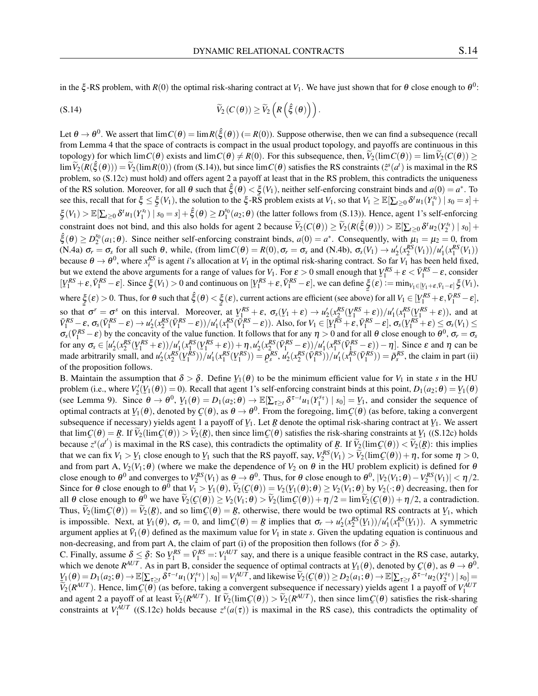in the  $\xi$ -RS problem, with  $R(0)$  the optimal risk-sharing contract at  $V_1$ . We have just shown that for  $\theta$  close enough to  $\theta^0$ :

<span id="page-51-0"></span>
$$
\widetilde{V}_2(C(\theta)) \ge \widetilde{V}_2\left(R\left(\hat{\xi}(\theta)\right)\right).
$$
 (S.14)

Let  $\theta \to \theta^0$ . We assert that  $\lim C(\theta) = \lim R(\hat{\xi}(\theta)) = R(0)$ . Suppose otherwise, then we can find a subsequence (recall from Lemma [4](#page-29-3) that the space of contracts is compact in the usual product topology, and payoffs are continuous in this topology) for which  $\lim C(\theta)$  exists and  $\lim C(\theta) \neq R(0)$ . For this subsequence, then,  $\tilde{V}_2(\lim C(\theta)) = \lim \tilde{V}_2(C(\theta)) \ge$  $\lim_{\epsilon \to 0} \widetilde{V}_2(R(\hat{\xi}(\theta))) = \widetilde{V}_2(\lim_{\epsilon \to 0} R(0))$  (from [\(S.14\)](#page-51-0)), but since  $\lim_{\epsilon \to 0} C(\theta)$  satisfies the RS constraints ( $\hat{z}^s(a^t)$  is maximal in the RS problem, so [\(S.12c\)](#page-50-2) must hold) and offers agent 2 a payoff at least that in the RS problem, this contradicts the uniqueness of the RS solution. Moreover, for all  $\theta$  such that  $\hat{\xi}(\theta) < \xi(V_1)$ , neither self-enforcing constraint binds and  $a(0) = a^*$ . To see this, recall that for  $\xi \leq \xi(V_1)$ , the solution to the  $\xi$ -RS problem exists at  $V_1$ , so that  $V_1 \geq \mathbb{E}[\sum_{t \geq 0} \delta^t u_1(Y_1^{S_t}) \mid s_0 = s] +$  $\frac{\xi}{2}(V_1) > \mathbb{E}[\sum_{t \geq 0} \delta^t u_1(Y_1^{s_t}) \mid s_0 = s] + \hat{\xi}(\theta) \geq D_1^{s_0}(a_2; \theta)$  (the latter follows from [\(S.13\)](#page-50-1)). Hence, agent 1's self-enforcing constraint does not bind, and this also holds for agent 2 because  $\widetilde{V}_2(C(\theta)) \ge \widetilde{V}_2(R(\hat{\xi}(\theta))) > \mathbb{E}[\sum_{t \ge 0} \delta^t u_2(Y_2^{s_t}) \mid s_0] +$  $\hat{\xi}(\theta) \geq D_2^{s_0}(a_1;\theta)$ . Since neither self-enforcing constraint binds,  $a(0) = a^*$ . Consequently, with  $\mu_1 = \mu_2 = 0$ , from [\(N.4a\)](#page-54-0)  $\sigma_r = \sigma_s$  for all such  $\theta$ , while, (from  $\lim C(\theta) = R(0), \sigma_r = \sigma_s$  and [\(N.4b\)](#page-54-1),  $\sigma_s(V_1) \to u'_2(x_2^{RS}(V_1))/u'_1(x_1^{RS}(V_1))$ because  $\theta \to \theta^0$ , where  $x_i^{RS}$  is agent *i*'s allocation at  $V_1$  in the optimal risk-sharing contract. So far  $V_1$  has been held fixed, but we extend the above arguments for a range of values for *V*<sub>1</sub>. For  $\varepsilon > 0$  small enough that  $V_1^{RS} + \varepsilon < \bar{V}_1^{RS} - \varepsilon$ , consider  $V_1^{RS} + \varepsilon < \bar{V}_1^{RS}$  +  $\varepsilon < \bar{V}_1^{RS}$  +  $\varepsilon < \bar{V}_1^{RS}$  +  $\varepsilon < \bar{V}_1^{RS}$  +  $\vare$  $[Y_1^{RS} + \varepsilon, \bar{V}_1^{RS} - \varepsilon]$ . Since  $\xi(V_1) > 0$  and continuous on  $[Y_1^{RS} + \varepsilon, \bar{V}_1^{RS} - \varepsilon]$ , we can define  $\xi(\varepsilon) := \min_{V_1 \in [Y_1 + \varepsilon, \bar{V}_1 - \varepsilon]} \xi(V_1)$ , where  $\xi(\varepsilon) > 0$ . Thus, for  $\theta$  such that  $\hat{\xi}(\theta) < \xi(\varepsilon)$ , current actions are efficient (see above) for all  $V_1 \in [Y_1^{RS} + \varepsilon, \overline{V_1^{RS}} - \varepsilon]$ ,  $\pi \sigma' = \sigma^s$  on this interval. Moreover, at  $V^{RS} = \sigma (V_1 + \epsilon) \rightarrow u' (r^{RS}(V^{RS} + \epsilon)) / u' (r^{RS}(V_1 + \epsilon))$ so that  $\sigma^r = \sigma^s$  on this interval. Moreover, at  $V_1^{RS} + \varepsilon$ ,  $\sigma_s(V_1 + \varepsilon) \to u_2'(x_2^{RS}(V_1^{RS} + \varepsilon)) / u_1'(x_1^{RS}(V_1^{RS} + \varepsilon))$ , and at  $\overline{V}^{RS}$ ,  $\varepsilon$ ,  $\sigma_s(\overline{V}^{RS} \cap \varepsilon) \to u_2'(x_2^{RS}(\overline{V}^{RS} \cap \varepsilon)) / u_2'(x_2^{RS}(\overline{V}$  $\bar{V}_1^{RS} - \varepsilon, \sigma_s(\bar{V}_1^{RS} - \varepsilon) \to u_2'(x_2^{RS}(\bar{V}_1^{RS} - \varepsilon))/u_1'(x_1^{RS}(\bar{V}_1^{RS} - \varepsilon)).$  Also, for  $V_1 \in [\underline{V}_1^{RS} + \varepsilon, \bar{V}_1^{RS} - \varepsilon], \sigma_s(\underline{V}_1^{RS} + \varepsilon) \leq \sigma_s(V_1) \leq$  $\sigma_s(\bar{V}_1^{RS} - \varepsilon)$  by the concavity of the value function. It follows that for any  $\eta > 0$  and for all  $\theta$  close enough to  $\theta^0$ ,  $\sigma_r = \sigma_s$ for any  $\sigma_s \in [u_2'(x_1^{RS}(Y_1^{RS} + \varepsilon))/u_1'(x_1^{RS}(Y_1^{RS} + \varepsilon)) + \eta, u_2'(x_2^{RS}(\bar{V}_1^{RS} - \varepsilon))/u_1'(x_1^{RS}(\bar{V}_1^{RS} - \varepsilon)) - \eta]$ . Since  $\varepsilon$  and  $\eta$  can be mode orbitrarily small, and  $u'(x_1^{RS}(Y_1^{RS}))$ ,  $u'(x_1^{RS}(Y_1^{RS})) = \sigma^{RS}$ ,  $u'($ made arbitrarily small, and  $u'_2(x_2^{RS}(Y_1^{RS}))/u'_1(x_1^{RS}(Y_1^{RS})) =$ ¯  $\rho_s^{RS}$ ,  $u'_2(x_2^{RS}(\bar{V}_1^{RS})) / u'_1(x_1^{RS}(\bar{V}_1^{RS})) = \bar{\rho}_s^{RS}$ , the claim in part (ii) of the proposition follows.

B. Maintain the assumption that  $\delta > \delta$ . Define  $V_1(\theta)$  to be the minimum efficient value for  $V_1$  in state *s* in the HU problem (i.e., where  $V_2'(V_1(\theta)) = 0$ ). Recall that agent 1's self-enforcing constraint binds at this point,  $D_1(a_2; \theta) = V_1(\theta)$ (see Lemma [9\)](#page-30-0). Since  $\theta \to \theta^0$ ,  $V_1(\theta) = D_1(a_2; \theta) \to \mathbb{E}[\sum_{\tau \geq t} \delta^{\tau-t} u_1(Y_1^{\tau}) | s_0] = V_1$ , and consider the sequence of optimal contracts at  $V_1(\theta)$ , denoted by  $C(\theta)$ , as  $\theta \to \theta^0$ . From the foregoing,  $\lim_{\theta \to 0} C(\theta)$  (as before, taking a convergent subsequence if necessary) yields agent 1 a payoff of  $Y_1$ . Let  $R$  denote the optimal risk-sharing contract at  $Y_1$ . We assert  $\lim_{\epsilon \to 0} C(\theta) = R$ . If  $\tilde{V}_2(\lim_{\epsilon \to 0} C(\theta)) > \tilde{V}_2(R)$ , then since  $\lim_{\epsilon \to 0} C(\theta)$  satisfies the risk-sharing constraints at  $V_1$  ([\(S.12c\)](#page-50-2) holds because  $z^s(a^t)$  is maximal in the RS case), this contradicts the optimality of *R*. If  $\tilde{V}_2(\text{lim }C(\theta)) < \tilde{V}_2(R)$ : this implies that we can fix  $V_1 > V_1$  close enough to  $V_1$  such that the RS payoff, say,  $V_2^{RS}(V_1) > \tilde{V}_2(\lim_{\theta \to 0} C(\theta)) + \eta$ , for some  $\eta > 0$ , and from part A,  $V_2(V_1; \theta)$  (where we make the dependence of  $V_2$  on  $\theta$  in the HU problem explicit) is defined for  $\theta$ close enough to  $\theta^0$  and converges to  $V_2^{RS}(V_1)$  as  $\theta \to \theta^0$ . Thus, for  $\theta$  close enough to  $\theta^0$ ,  $|V_2(V_1; \theta) - V_2^{RS}(V_1)| < \eta/2$ . Since for  $\theta$  close enough to  $\theta^0$  that  $V_1 > V_1(\theta), \widetilde{V}_2(C(\theta)) = V_2(Y_1(\theta); \theta) \ge V_2(Y_1; \theta)$  by  $V_2(\cdot; \theta)$  decreasing, then for  $\overline{V}_2(C(\theta)) = V_2(V_1; \theta) > V_2(V_1; \theta) > V_2(\lim_{\theta \to 0} C(\theta)) + \eta/2 = \lim_{\theta \to 0} V_2(C(\theta)) + \eta/2$ , a contradiction. Thus,  $\tilde{V}_2(\lim C(\theta)) = \tilde{V}_2(R)$ , and so  $\lim C(\theta) = R$ , otherwise, there would be two optimal RS contracts at  $V_1$ , which is impossible. Next, at  $V_1(\theta)$ ,  $\sigma_s = 0$ , and  $\lim_{\mathcal{C}} C(\theta) = R$  implies that  $\sigma_r \to u'_2(x_2^{RS}(V_1))/u'_1(x_1^{RS}(V_1))$ . A symmetric  $\lim_{\epsilon \to 0} \frac{\ln \left( \frac{1}{\epsilon} \right) - \ln \left( \frac{1}{\epsilon} \right)}{\ln \left( \frac{1}{\epsilon} \right)}$  is  $\lim_{\epsilon \to 0} \frac{\ln \left( \frac{1}{\epsilon} \right) - \ln \left( \frac{1}{\epsilon} \right)}{\ln \left( \frac{1}{\epsilon} \right)}$  is  $\lim_{\epsilon \to 0} \frac{\ln \left( \frac{1}{\epsilon} \right) - \ln \left( \frac{1}{\epsilon} \right)}{\ln \left( \frac{1}{\epsilon} \right)}$ . The symmetric argument non-decreasing, and from part A, the claim of part (i) of the proposition then follows (for  $\delta > \delta$ ).

C. Finally, assume  $\delta \leq \delta$ : So  $Y_1^{RS} = \overline{V_1^{RS}} =: V_1^{AUT}$  say, and there is a unique feasible contract in the RS case, autarky, which we denote  $R^{AUT}$ . As in part B, consider the sequence of optimal contracts at  $V_1(\theta)$ , denoted by  $C(\theta)$ , as  $\theta \to \theta^0$ .<br>*V*<sub>1</sub>(e) – *D*<sub>1</sub>(g),  $V_2(\theta) = P_1(a \cdot \theta)$ ,  $V_1 = V_2 = V_1 + V_2$ ,  $V_2 = V_1 + V_2 + V_3$ ,  $V_3 = V_1 + V_$  $V_1(\theta) = D_1(a_2; \theta) \rightarrow \mathbb{E}[\sum_{\tau \geq t} \delta^{\tau-t} u_1(Y_1^{\delta_{\tau}}) | s_0] = V_1^{AUT}$ , and likewise  $\widetilde{V}_2(\mathcal{C}(\theta)) \geq D_2(a_1; \theta) \rightarrow \mathbb{E}[\sum_{\tau \geq t} \delta^{\tau-t} u_2(Y_2^{\delta_{\tau}}) | s_0] = \widetilde{V}_1(\mathcal{P}^{AUT})$ . Hence  $\lim_{\tau \to 0} C(\theta)$  (so before taki  $\widetilde{V}_2(R^{AUT})$ . Hence,  $\lim_{\epsilon \to 0} C(\theta)$  (as before, taking a convergent subsequence if necessary) yields agent 1 a payoff of  $V_1^{AUT}$ and agent 2 a payoff of at least  $\tilde{V}_2(R^{AUT})$ . If  $\tilde{V}_2(\lim_{\theta \to 0} C(\theta)) > \tilde{V}_2(R^{AUT})$ , then since  $\lim_{\theta \to 0} C(\theta)$  satisfies the risk-sharing constraints at  $V_1^{AUT}$  ([\(S.12c\)](#page-50-2) holds because  $z^s(a(\tau))$  is maximal in the RS case), this contradicts the optimality of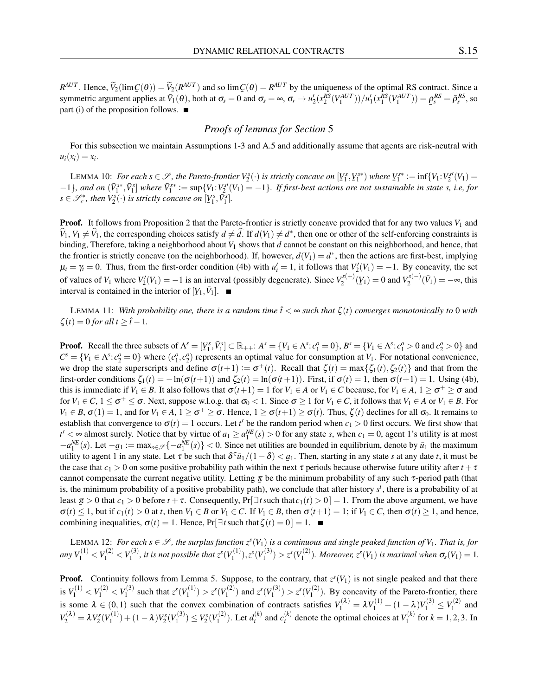$R^{AUT}$ . Hence,  $\tilde{V}_2(\lim C(\theta)) = \tilde{V}_2(R^{AUT})$  and so  $\lim C(\theta) = R^{AUT}$  by the uniqueness of the optimal RS contract. Since a symmetric argument applies at  $\overline{V}_1(\theta)$ , both at  $\sigma_s = 0$  and  $\sigma_s = \infty$ ,  $\sigma_r \rightarrow u'_2(x_2^{RS}(V_1^{AUT}))/u'_1(x_1^{RS}(V_1^{AUT})) =$ ¯  $\rho_s^{RS} = \bar{\rho}_s^{RS}$ , so part (i) of the proposition follows.  $\blacksquare$ 

#### *Proofs of lemmas for Section* [5](#page-24-0)

For this subsection we maintain Assumptions [1-](#page-8-1)[3](#page-9-0) and [A.5](#page-29-1) and additionally assume that agents are risk-neutral with  $u_i(x_i) = x_i$ .

LEMMA 10: For each  $s \in \mathscr{S}$ , the Pareto-frontier  $V_2^s(\cdot)$  is strictly concave on  $[\underline{V}_1^s, \underline{V}_1^{s*})$  where  $\underline{V}_1^{s*} := \inf \{V_1 : V_2^{s'}(V_1) =$  $[-1]$ , and on  $(\bar{V}_1^{s*}, \bar{V}_1^{s}]$  where  $\bar{V}_1^{s*} := \sup\{V_1: V_2^{s}(V_1) = -1\}$ . If first-best actions are not sustainable in state s, i.e, for  $s \in \mathscr{S}_c^*$ , then  $V_2^s(\cdot)$  *is strictly concave on*  $[Y_1^s, \overline{V}_1^s]$ *.* 

**Proof.** It follows from Proposition [2](#page-14-0) that the Pareto-frontier is strictly concave provided that for any two values  $V_1$  and  $\hat{V}_1, V_1 \neq \hat{V}_1$ , the corresponding choices satisfy  $d \neq \hat{d}$ . If  $d(V_1) \neq d^*$ , then one or other of the self-enforcing constraints is binding, Therefore, taking a neighborhood about *V*<sup>1</sup> shows that *d* cannot be constant on this neighborhood, and hence, that the frontier is strictly concave (on the neighborhood). If, however,  $d(V_1) = d^*$ , then the actions are first-best, implying  $\mu_i = \gamma_i = 0$ . Thus, from the first-order condition [\(4b\)](#page-16-0) with  $u'_i = 1$ , it follows that  $V'_2(V_1) = -1$ . By concavity, the set of values of *V*<sub>1</sub> where  $V'_2(V_1) = -1$  is an interval (possibly degenerate). Since  $V_2^{s(+)}$  $V_2^{s(+)}(V_1) = 0$  and  $V_2^{s(-)}$  $\chi_2^{s(-)}(\bar{V}_1) = -\infty$ , this interval is contained in the interior of  $[\underline{V}_1, \overline{V}_1]$ .

LEMMA 11: With probability one, there is a random time  $\hat{t} < \infty$  such that  $\zeta(t)$  converges monotonically to 0 with  $\zeta(t) = 0$  *for all t*  $\geq \hat{t} - 1$ *.* 

**Proof.** Recall the three subsets of  $\Lambda^s = [\underline{V}_1^s, \overline{V}_1^s] \subset \mathbb{R}_{++}$ :  $A^s = \{V_1 \in \Lambda^s : c_1^o = 0\}$ ,  $B^s = \{V_1 \in \Lambda^s : c_1^o > 0 \text{ and } c_2^o > 0\}$  and  $C^s = \{V_1 \in \Lambda^s : c_2^o = 0\}$  where  $(c_1^o, c_2^o)$  represents an optimal value for consumption at  $V_1$ . For notational convenience, we drop the state superscripts and define  $\sigma(t+1) := \sigma^+(t)$ . Recall that  $\zeta(t) = \max{\{\zeta_1(t), \zeta_2(t)\}}$  and that from the first-order conditions  $\zeta_1(t) = -\ln(\sigma(t+1))$  and  $\zeta_2(t) = \ln(\sigma(t+1))$ . First, if  $\sigma(t) = 1$ , then  $\sigma(t+1) = 1$ . Using [\(4b\)](#page-16-0), this is immediate if  $V_1 \in B$ . It also follows that  $\sigma(t+1) = 1$  for  $V_1 \in A$  or  $V_1 \in C$  because, for  $V_1 \in A$ ,  $1 \ge \sigma^+ \ge \sigma$  and for  $V_1 \in C$ ,  $1 \le \sigma^+ \le \sigma$ . Next, suppose w.l.o.g. that  $\sigma_0 < 1$ . Since  $\sigma \ge 1$  for  $V_1 \in C$ , it follows that  $V_1 \in A$  or  $V_1 \in B$ . For  $V_1 \in B$ ,  $\sigma(1) = 1$ , and for  $V_1 \in A$ ,  $1 \ge \sigma^+ \ge \sigma$ . Hence,  $1 \ge \sigma(t+1) \ge \sigma(t)$ . Thus,  $\zeta(t)$  declines for all  $\sigma_0$ . It remains to establish that convergence to  $\sigma(t) = 1$  occurs. Let *t'* be the random period when  $c_1 > 0$  first occurs. We first show that  $t' < \infty$  almost surely. Notice that by virtue of  $a_1 \ge a_1^{NE}(s) > 0$  for any state *s*, when  $c_1 = 0$ , agent 1's utility is at most  $-a_1^{NE}(s)$ . Let  $-a_1 := \max_{s \in \mathcal{S}} \{-a_1^{NE}(s)\} < 0$ . Since net utilities are bounded in equilibrium, denote by  $\bar{u}_1$  the maximum utility to agent 1 in any state. Let  $\tau$  be such that  $\delta^{\tau} \bar{u}_1/(1-\delta) < \bar{u}_1$ . Then, starting in any state *s* at any date *t*, it must be the case that  $c_1 > 0$  on some positive probability path within the next  $\tau$  periods because otherwise future utility after  $t + \tau$ cannot compensate the current negative utility. Letting  $\pi$  be the minimum probability of any such  $\tau$ -period path (that is, the minimum probability of a positive probability path), we conclude that after history  $s^t$ , there is a probability of at least  $\pi > 0$  that  $c_1 > 0$  before  $t + \tau$ . Consequently, Pr[ $\exists t$  such that  $c_1(t) > 0$ ] = 1. From the above argument, we have  $\sigma(t) \leq 1$ , but if  $c_1(t) > 0$  at *t*, then  $V_1 \in B$  or  $V_1 \in C$ . If  $V_1 \in B$ , then  $\sigma(t+1) = 1$ ; if  $V_1 \in C$ , then  $\sigma(t) \geq 1$ , and hence, combining inequalities,  $\sigma(t) = 1$ . Hence, Pr[ $\exists t$  such that  $\zeta(t) = 0$ ] = 1.

LEMMA 12: For each  $s \in \mathscr{S}$ , the surplus function  $z^s(V_1)$  is a continuous and single peaked function of  $V_1$ . That is, for *any*  $V_1^{(1)} < V_1^{(2)} < V_1^{(3)}$  $\sigma_1^{(3)}$ , *it is not possible that*  $z^s(V_1^{(1)})$  $(z_1^{(1)}), z^s(V_1^{(3)})$  $\left( \begin{smallmatrix} (3) \\ 1 \end{smallmatrix} \right) > z^s(V_1^{(2)})$  $\sigma_s^{(2)}$ ). Moreover,  $z^s(V_1)$  is maximal when  $\sigma_s(V_1) = 1$ .

**Proof.** Continuity follows from Lemma [5.](#page-30-3) Suppose, to the contrary, that  $z^{s}(V_1)$  is not single peaked and that there is  $V_1^{(1)} < V_1^{(2)} < V_1^{(3)}$  $\chi_1^{(3)}$  such that  $z^{s}(V_1^{(1)})$  $\left[ \begin{smallmatrix} 1 \ 1 \end{smallmatrix} \right] > z^s(V_1^{(2)})$  $\binom{1}{1}$  and  $z^{s}(V_1^{(3)})$  $\left( \frac{1}{1}^{(3)} \right) > z^s(V_1^{(2)}$  $I_1^{(2)}$ ). By concavity of the Pareto-frontier, there is some  $\lambda \in (0,1)$  such that the convex combination of contracts satisfies  $V_1^{(\lambda)} = \lambda V_1^{(1)} + (1 - \lambda)V_1^{(3)} \leq V_1^{(2)}$  $\int_1^{(2)}$  and  $V_2^{(\lambda)} = \lambda V_2^s(V_1^{(1)})$  $V_1^{(1)}$  +  $(1 - \lambda)V_2^{s}(V_1^{(3)})$  $V_1^{(3)}$ )  $\leq V_2^{s}(V_1^{(2)})$  $a_1^{(2)}$ ). Let  $d_i^{(k)}$  $c_i^{(k)}$  and  $c_i^{(k)}$  $\mathbf{v}_i^{(k)}$  denote the optimal choices at  $V_1^{(k)}$  $f_1^{(k)}$  for  $k = 1, 2, 3$ . In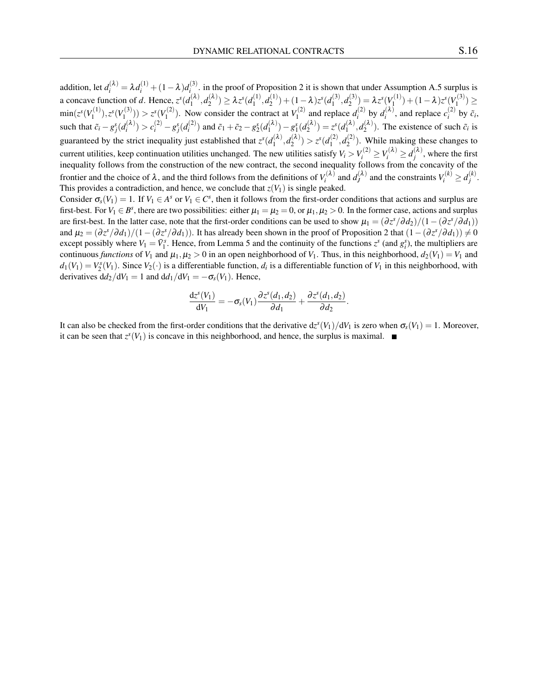addition, let  $d_i^{(\lambda)} = \lambda d_i^{(1)} + (1 - \lambda) d_i^{(3)}$  $i_j^{(3)}$ , in the proof of Proposition [2](#page-14-0) it is shown that under Assumption [A.5](#page-29-1) surplus is a concave function of *d*. Hence,  $z^s(d_1^{(\lambda)}, d_2^{(\lambda)}) \geq \lambda z^s(d_1^{(1)})$  $a_1^{(1)}, a_2^{(1)}$  $(z^{(1)}_2)+(1-\lambda)z^s(d_1^{(3)})$  $a_1^{(3)}, a_2^{(3)}$  $\lambda z^s(V^{(1)}_1) = \lambda z^s(V^{(1)}_1)$  $\chi_1^{(1)}) + (1 - \lambda)z^s(V_1^{(3)})$  $j_{1}^{(3)}$ )  $\geq$  $\min(z^s(V_1^{(1)})$  $(z_1^{(1)}), z^s(V_1^{(3)})$  $(z_1^{(3)})) > z^s(V_1^{(2)}$  $y_1^{(2)}$ ). Now consider the contract at  $V_1^{(2)}$  $a_1^{(2)}$  and replace  $d_i^{(2)}$  $a_i^{(2)}$  by  $d_i^{(\lambda)}$ , and replace  $c_i^{(2)}$  $\int_{i}^{(2)}$  by  $\tilde{c}_i$ , such that  $\tilde{c}_i - g_j^s(d_i^{(\lambda)}) > c_i^{(2)} - g_j^s(d_i^{(2)})$  $g_i^{(2)}$  and  $\tilde{c}_1 + \tilde{c}_2 - g_2^{s}(d_1^{(\lambda)}) - g_1^{s}(d_2^{(\lambda)}) = z^{s}(d_1^{(\lambda)}, d_2^{(\lambda)})$ . The existence of such  $\tilde{c}_i$  is guaranteed by the strict inequality just established that  $z^s(d_1^{(\lambda)}, d_2^{(\lambda)}) > z^s(d_1^{(2)})$  $a_1^{(2)}, a_2^{(2)}$  $2^{(2)}$ ). While making these changes to current utilities, keep continuation utilities unchanged. The new utilities satisfy  $V_i > V_i^{(2)} \ge V_i^{(\lambda)} \ge d_j^{(\lambda)}$ , where the first inequality follows from the construction of the new contract, the second inequality follows from the concavity of the frontier and the choice of  $\lambda$ , and the third follows from the definitions of  $V_i^{(\lambda)}$  and  $d_J^{(\lambda)}$  and the constraints  $V_i^{(k)} \ge d_j^{(k)}$ *j* . This provides a contradiction, and hence, we conclude that  $z(V_1)$  is single peaked.

Consider  $\sigma_s(V_1) = 1$ . If  $V_1 \in A^s$  or  $V_1 \in C^s$ , then it follows from the first-order conditions that actions and surplus are first-best. For  $V_1 \in B^s$ , there are two possibilities: either  $\mu_1 = \mu_2 = 0$ , or  $\mu_1, \mu_2 > 0$ . In the former case, actions and surplus are first-best. In the latter case, note that the first-order conditions can be used to show  $\mu_1 = (\partial z^s / \partial d_2)/(1 - (\partial z^s / \partial d_1))$ and  $\mu_2 = (\partial z^s / \partial d_1)/(1 - (\partial z^s / \partial d_1))$  $\mu_2 = (\partial z^s / \partial d_1)/(1 - (\partial z^s / \partial d_1))$  $\mu_2 = (\partial z^s / \partial d_1)/(1 - (\partial z^s / \partial d_1))$ . It has already been shown in the proof of Proposition 2 that  $(1 - (\partial z^s / \partial d_1)) \neq 0$ except possibly where  $V_1 = \bar{V}_1^s$ . Hence, from Lemma [5](#page-30-3) and the continuity of the functions  $z^s$  (and  $g_i^s$ ), the multipliers are continuous *functions* of  $V_1$  and  $\mu_1, \mu_2 > 0$  in an open neighborhood of  $V_1$ . Thus, in this neighborhood,  $d_2(V_1) = V_1$  and  $d_1(V_1) = V_2^s(V_1)$ . Since  $V_2(\cdot)$  is a differentiable function,  $d_i$  is a differentiable function of  $V_1$  in this neighborhood, with derivatives  $\frac{dd_2}{dV_1} = 1$  and  $\frac{dd_1}{dV_1} = -\sigma_s(V_1)$ . Hence,

$$
\frac{\mathrm{d}z^{s}(V_1)}{\mathrm{d}V_1}=-\sigma_s(V_1)\frac{\partial z^{s}(d_1,d_2)}{\partial d_1}+\frac{\partial z^{s}(d_1,d_2)}{\partial d_2}.
$$

It can also be checked from the first-order conditions that the derivative  $dz^{s}(V_1)/dV_1$  is zero when  $\sigma_s(V_1) = 1$ . Moreover, it can be seen that  $z^{s}(V_1)$  is concave in this neighborhood, and hence, the surplus is maximal.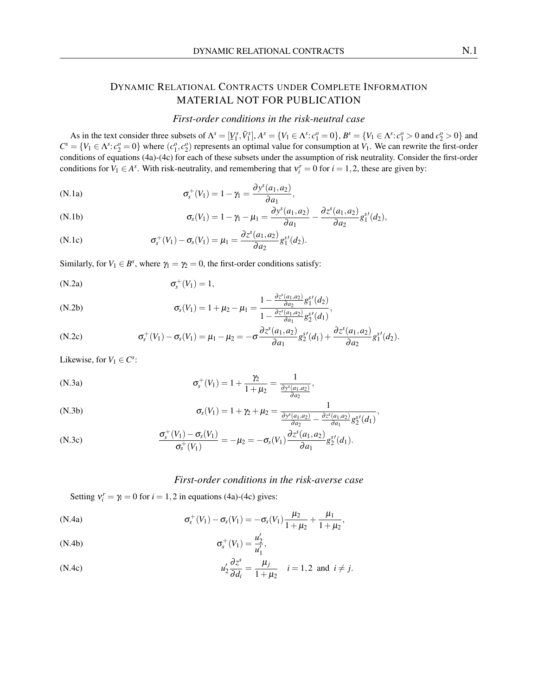## DYNAMIC RELATIONAL CONTRACTS UNDER COMPLETE INFORMATION MATERIAL NOT FOR PUBLICATION

## *First-order conditions in the risk-neutral case*

As in the text consider three subsets of  $\Lambda^s = [Y_1^s, \bar{V}_1^s], A^s = \{V_1 \in \Lambda^s : c_1^o = 0\}, B^s = \{V_1 \in \Lambda^s : c_1^o > 0 \text{ and } c_2^o > 0\}$  and  $c_2^o > 0$  and  $c_2^o > 0$  where  $(c_2^o, c_2^o)$  represents an optimal value for consumpt  $C^s = \{V_1 \in \Lambda^s : c_2^o = 0\}$  where  $(c_1^o, c_2^o)$  represents an optimal value for consumption at  $V_1$ . We can rewrite the first-order conditions of equations [\(4a\)](#page-16-1)-[\(4c\)](#page-16-2) for each of these subsets under the assumption of risk neutrality. Consider the first-order conditions for  $V_1 \in A^s$ . With risk-neutrality, and remembering that  $v_i^r = 0$  for  $i = 1, 2$ , these are given by:

(N.1a) 
$$
\sigma_s^+(V_1) = 1 - \gamma_1 = \frac{\partial y^s(a_1, a_2)}{\partial a_1},
$$

(N.1b) 
$$
\sigma_s(V_1) = 1 - \gamma_1 - \mu_1 = \frac{\partial y^s(a_1, a_2)}{\partial a_1} - \frac{\partial z^s(a_1, a_2)}{\partial a_2} g_1^{s}(d_2),
$$

(N.1c) 
$$
\sigma_s^+(V_1) - \sigma_s(V_1) = \mu_1 = \frac{\partial z^s(a_1, a_2)}{\partial a_2} g_1^{s}(d_2).
$$

Similarly, for  $V_1 \in B^s$ , where  $\gamma_1 = \gamma_2 = 0$ , the first-order conditions satisfy:

$$
\sigma_s^+(V_1) = 1,
$$

(N.2b) 
$$
\sigma_s(V_1) = 1 + \mu_2 - \mu_1 = \frac{1 - \frac{\partial z^s(a_1, a_2)}{\partial a_2} g_1^{s'}(d_2)}{1 - \frac{\partial z^s(a_1, a_2)}{\partial a_1} g_2^{s'}(d_1)},
$$

(N.2c) 
$$
\sigma_s^+(V_1) - \sigma_s(V_1) = \mu_1 - \mu_2 = -\sigma \frac{\partial z^s(a_1, a_2)}{\partial a_1} g_2^{s'}(d_1) + \frac{\partial z^s(a_1, a_2)}{\partial a_2} g_1^{s'}(d_2).
$$

Likewise, for  $V_1 \in C^s$ :

(N.3a) 
$$
\sigma_s^+(V_1) = 1 + \frac{\gamma_2}{1 + \mu_2} = \frac{1}{\frac{\partial y^s(a_1, a_2)}{\partial a_2}},
$$

(N.3b) 
$$
\sigma_s(V_1) = 1 + \gamma_2 + \mu_2 = \frac{1}{\frac{\partial y^s(a_1, a_2)}{\partial a_2} - \frac{\partial z^s(a_1, a_2)}{\partial a_1} g_2^{s'}(d_1)},
$$

(N.3c) 
$$
\frac{\sigma_s^+(V_1) - \sigma_s(V_1)}{\sigma_s^+(V_1)} = -\mu_2 = -\sigma_s(V_1) \frac{\partial z^s(a_1, a_2)}{\partial a_1} g_2^{s'}(d_1).
$$

#### *First-order conditions in the risk-averse case*

Setting  $v_i^r = \gamma_i = 0$  for  $i = 1, 2$  in equations [\(4a\)](#page-16-1)-[\(4c\)](#page-16-2) gives:

<span id="page-54-0"></span>(N.4a) 
$$
\sigma_s^+(V_1) - \sigma_s(V_1) = -\sigma_s(V_1)\frac{\mu_2}{1+\mu_2} + \frac{\mu_1}{1+\mu_2},
$$

<span id="page-54-1"></span>(N.4b) 
$$
\sigma_s^+(V_1) = \frac{u'_2}{u'_1},
$$

(N.4c) 
$$
u_2' \frac{\partial z^s}{\partial d_i} = \frac{\mu_j}{1 + \mu_2} \quad i = 1, 2 \text{ and } i \neq j.
$$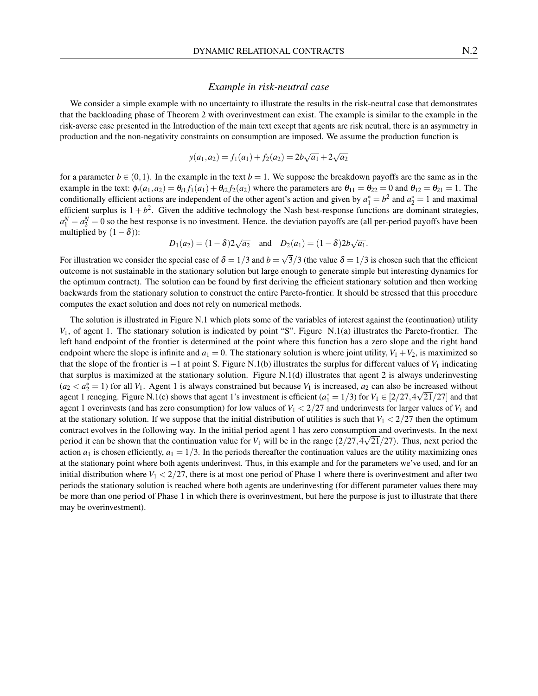#### *Example in risk-neutral case*

We consider a simple example with no uncertainty to illustrate the results in the risk-neutral case that demonstrates that the backloading phase of Theorem [2](#page-26-0) with overinvestment can exist. The example is similar to the example in the risk-averse case presented in the Introduction of the main text except that agents are risk neutral, there is an asymmetry in production and the non-negativity constraints on consumption are imposed. We assume the production function is

$$
y(a_1, a_2) = f_1(a_1) + f_2(a_2) = 2b\sqrt{a_1} + 2\sqrt{a_2}
$$

for a parameter  $b \in (0,1)$ . In the example in the text  $b = 1$ . We suppose the breakdown payoffs are the same as in the example in the text:  $\phi_i(a_1, a_2) = \theta_{i1} f_1(a_1) + \theta_{i2} f_2(a_2)$  where the parameters are  $\theta_{11} = \theta_{22} = 0$  and  $\theta_{12} = \theta_{21} = 1$ . The conditionally efficient actions are independent of the other agent's action and given by  $a_1^* = b^2$  and  $a_2^* = 1$  and maximal efficient surplus is  $1 + b^2$ . Given the additive technology the Nash best-response functions are dominant strategies,  $a_1^N = a_2^N = 0$  so the best response is no investment. Hence. the deviation payoffs are (all per-period payoffs have been multiplied by  $(1 - \delta)$ : √ √

$$
D_1(a_2) = (1 - \delta)2\sqrt{a_2}
$$
 and  $D_2(a_1) = (1 - \delta)2b\sqrt{a_1}$ .

For illustration we consider the special case of  $\delta = 1/3$  and  $b =$ √  $3/3$  (the value  $\delta = 1/3$  is chosen such that the efficient outcome is not sustainable in the stationary solution but large enough to generate simple but interesting dynamics for the optimum contract). The solution can be found by first deriving the efficient stationary solution and then working backwards from the stationary solution to construct the entire Pareto-frontier. It should be stressed that this procedure computes the exact solution and does not rely on numerical methods.

The solution is illustrated in Figure [N.1](#page-56-0) which plots some of the variables of interest against the (continuation) utility *V*1, of agent 1. The stationary solution is indicated by point "S". Figure [N.1](#page-56-0)[\(a\)](#page-56-1) illustrates the Pareto-frontier. The left hand endpoint of the frontier is determined at the point where this function has a zero slope and the right hand endpoint where the slope is infinite and  $a_1 = 0$ . The stationary solution is where joint utility,  $V_1 + V_2$ , is maximized so that the slope of the frontier is  $-1$  at point S. Figure [N.1](#page-56-0)[\(b\)](#page-56-2) illustrates the surplus for different values of  $V_1$  indicating that surplus is maximized at the stationary solution. Figure [N.1](#page-56-0)[\(d\)](#page-56-3) illustrates that agent 2 is always underinvesting  $(a_2 < a_2^* = 1)$  for all  $V_1$ . Agent 1 is always constrained but because  $V_1$  is increased,  $a_2$  can also be increased without agent 1 reneging. Figure [N.1](#page-56-0)[\(c\)](#page-56-4) shows that agent 1's investment is efficient  $(a_1^* = 1/3)$  for  $V_1 \in [2/27, 4\sqrt{21}/27]$  and that agent 1 overinvests (and has zero consumption) for low values of  $V_1 < 2/27$  and underinvests for larger values of  $V_1$  and at the stationary solution. If we suppose that the initial distribution of utilities is such that  $V_1 < 2/27$  then the optimum contract evolves in the following way. In the initial period agent 1 has zero consumption and overinvests. In the next period it can be shown that the continuation value for  $V_1$  will be in the range  $(2/27, 4\sqrt{21}/27)$ . Thus, next period the action  $a_1$  is chosen efficiently,  $a_1 = 1/3$ . In the periods thereafter the continuation values are the utility maximizing ones at the stationary point where both agents underinvest. Thus, in this example and for the parameters we've used, and for an initial distribution where  $V_1 < 2/27$ , there is at most one period of Phase 1 where there is overinvestment and after two periods the stationary solution is reached where both agents are underinvesting (for different parameter values there may be more than one period of Phase 1 in which there is overinvestment, but here the purpose is just to illustrate that there may be overinvestment).